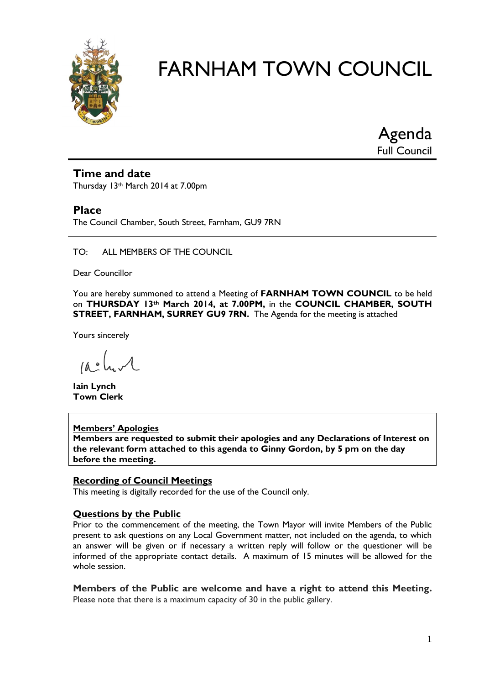

Agenda Full Council

# **Time and date**

Thursday 13th March 2014 at 7.00pm

# **Place**

The Council Chamber, South Street, Farnham, GU9 7RN

### TO: ALL MEMBERS OF THE COUNCIL

Dear Councillor

You are hereby summoned to attend a Meeting of **FARNHAM TOWN COUNCIL** to be held on **THURSDAY 13th March 2014, at 7.00PM,** in the **COUNCIL CHAMBER, SOUTH STREET, FARNHAM, SURREY GU9 7RN.** The Agenda for the meeting is attached

Yours sincerely

 $100 \text{ km/s}$ 

**Iain Lynch Town Clerk**

#### **Members' Apologies**

**Members are requested to submit their apologies and any Declarations of Interest on the relevant form attached to this agenda to Ginny Gordon, by 5 pm on the day before the meeting.**

#### **Recording of Council Meetings**

This meeting is digitally recorded for the use of the Council only.

#### **Questions by the Public**

Prior to the commencement of the meeting, the Town Mayor will invite Members of the Public present to ask questions on any Local Government matter, not included on the agenda, to which an answer will be given or if necessary a written reply will follow or the questioner will be informed of the appropriate contact details. A maximum of 15 minutes will be allowed for the whole session.

**Members of the Public are welcome and have a right to attend this Meeting.**  Please note that there is a maximum capacity of 30 in the public gallery.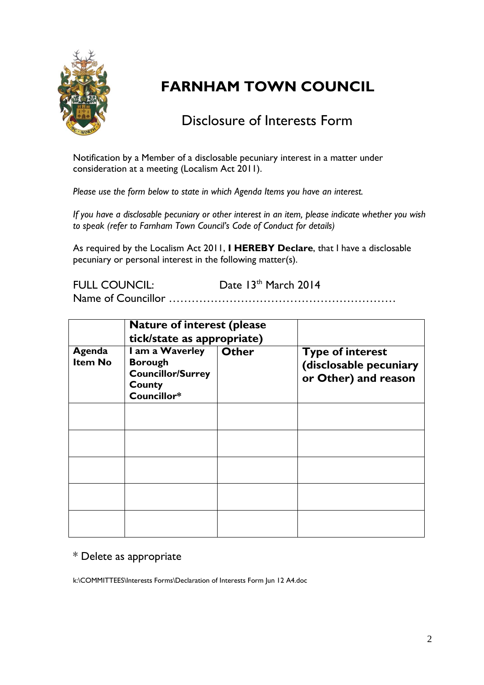

# Disclosure of Interests Form

Notification by a Member of a disclosable pecuniary interest in a matter under consideration at a meeting (Localism Act 2011).

*Please use the form below to state in which Agenda Items you have an interest.* 

*If you have a disclosable pecuniary or other interest in an item, please indicate whether you wish to speak (refer to Farnham Town Council's Code of Conduct for details)*

As required by the Localism Act 2011, **I HEREBY Declare**, that I have a disclosable pecuniary or personal interest in the following matter(s).

FULL COUNCIL: Date 13<sup>th</sup> March 2014

Name of Councillor ……………………………………………………

|                          | <b>Nature of interest (please)</b><br>tick/state as appropriate)                       |              |                                                                           |
|--------------------------|----------------------------------------------------------------------------------------|--------------|---------------------------------------------------------------------------|
| Agenda<br><b>Item No</b> | I am a Waverley<br><b>Borough</b><br><b>Councillor/Surrey</b><br>County<br>Councillor* | <b>Other</b> | <b>Type of interest</b><br>(disclosable pecuniary<br>or Other) and reason |
|                          |                                                                                        |              |                                                                           |
|                          |                                                                                        |              |                                                                           |
|                          |                                                                                        |              |                                                                           |
|                          |                                                                                        |              |                                                                           |
|                          |                                                                                        |              |                                                                           |

# \* Delete as appropriate

k:\COMMITTEES\Interests Forms\Declaration of Interests Form Jun 12 A4.doc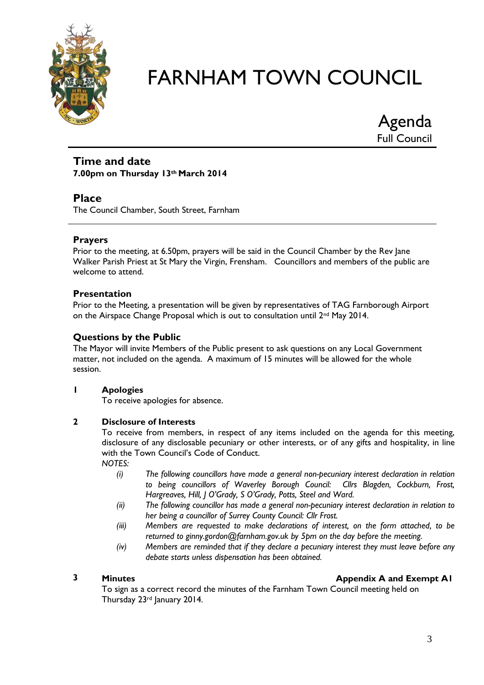

Agenda Full Council

### **Time and date 7.00pm on Thursday 13th March 2014**

# **Place**

The Council Chamber, South Street, Farnham

# **Prayers**

Prior to the meeting, at 6.50pm, prayers will be said in the Council Chamber by the Rev Jane Walker Parish Priest at St Mary the Virgin, Frensham. Councillors and members of the public are welcome to attend.

# **Presentation**

Prior to the Meeting, a presentation will be given by representatives of TAG Farnborough Airport on the Airspace Change Proposal which is out to consultation until 2<sup>nd</sup> May 2014.

# **Questions by the Public**

The Mayor will invite Members of the Public present to ask questions on any Local Government matter, not included on the agenda. A maximum of 15 minutes will be allowed for the whole session.

# **1 Apologies**

To receive apologies for absence.

# **2 Disclosure of Interests**

To receive from members, in respect of any items included on the agenda for this meeting, disclosure of any disclosable pecuniary or other interests, or of any gifts and hospitality, in line with the Town Council's Code of Conduct.

*NOTES:*

- *(i) The following councillors have made a general non-pecuniary interest declaration in relation to being councillors of Waverley Borough Council: Cllrs Blagden, Cockburn, Frost, Hargreaves, Hill, J O'Grady, S O'Grady, Potts, Steel and Ward.*
- *(ii) The following councillor has made a general non-pecuniary interest declaration in relation to her being a councillor of Surrey County Council: Cllr Frost.*
- *(iii) Members are requested to make declarations of interest, on the form attached, to be returned to ginny.gordon@farnham.gov.uk by 5pm on the day before the meeting.*
- *(iv) Members are reminded that if they declare a pecuniary interest they must leave before any debate starts unless dispensation has been obtained.*

# **2 Minutes Minutes Appendix A and Exempt A1**

To sign as a correct record the minutes of the Farnham Town Council meeting held on Thursday 23rd January 2014.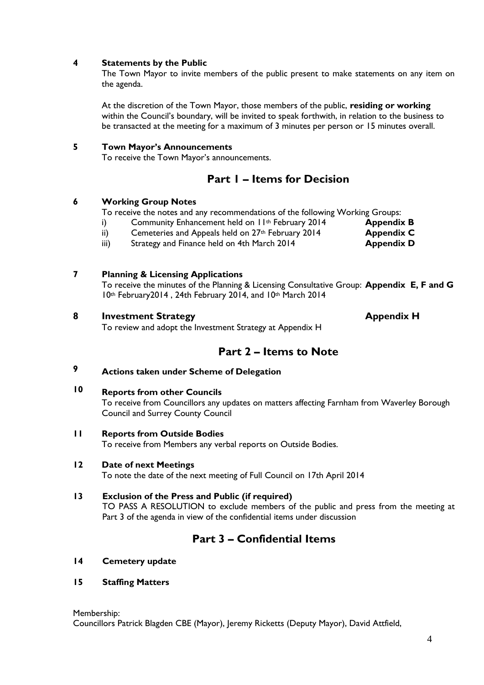#### **4 Statements by the Public**

The Town Mayor to invite members of the public present to make statements on any item on the agenda.

At the discretion of the Town Mayor, those members of the public, **residing or working** within the Council's boundary, will be invited to speak forthwith, in relation to the business to be transacted at the meeting for a maximum of 3 minutes per person or 15 minutes overall.

#### **5 Town Mayor's Announcements**

To receive the Town Mayor's announcements.

# **Part 1 – Items for Decision**

#### **6 Working Group Notes**

To receive the notes and any recommendations of the following Working Groups:

i) Community Enhancement held on 11<sup>th</sup> February 2014 **Appendix B** 

ii) Cemeteries and Appeals held on 27<sup>th</sup> February 2014 **Appendix C** 

iii) Strategy and Finance held on 4th March 2014 **Appendix D** 

### **7 Planning & Licensing Applications**

To receive the minutes of the Planning & Licensing Consultative Group: **Appendix E, F and G** 10th February2014 , 24th February 2014, and 10th March 2014

### **8 Investment Strategy Appendix H**

To review and adopt the Investment Strategy at Appendix H

# **Part 2 – Items to Note**

#### **9 Actions taken under Scheme of Delegation**

#### **10 Reports from other Councils**

To receive from Councillors any updates on matters affecting Farnham from Waverley Borough Council and Surrey County Council

**11 Reports from Outside Bodies**

To receive from Members any verbal reports on Outside Bodies.

#### **12 Date of next Meetings**

To note the date of the next meeting of Full Council on 17th April 2014

#### **13 Exclusion of the Press and Public (if required)**

TO PASS A RESOLUTION to exclude members of the public and press from the meeting at Part 3 of the agenda in view of the confidential items under discussion

# **Part 3 – Confidential Items**

**14 Cemetery update**

#### **15 Staffing Matters**

Membership: Councillors Patrick Blagden CBE (Mayor), Jeremy Ricketts (Deputy Mayor), David Attfield,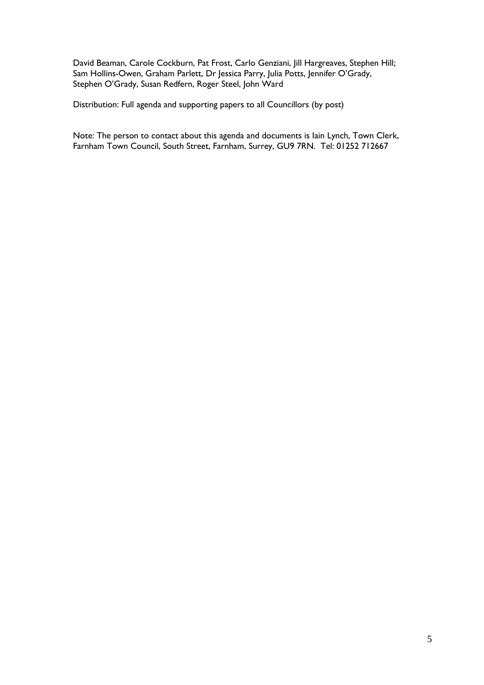David Beaman, Carole Cockburn, Pat Frost, Carlo Genziani, Jill Hargreaves, Stephen Hill; Sam Hollins-Owen, Graham Parlett, Dr Jessica Parry, Julia Potts, Jennifer O'Grady, Stephen O'Grady, Susan Redfern, Roger Steel, John Ward

Distribution: Full agenda and supporting papers to all Councillors (by post)

Note: The person to contact about this agenda and documents is Iain Lynch, Town Clerk, Farnham Town Council, South Street, Farnham, Surrey, GU9 7RN. Tel: 01252 712667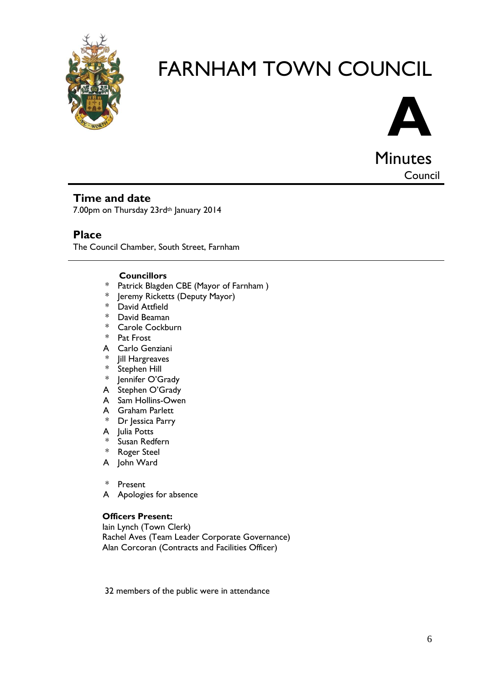



**Minutes** Council

# **Time and date**

7.00pm on Thursday 23rd<sup>th</sup> January 2014

# **Place**

The Council Chamber, South Street, Farnham

# **Councillors**

- \* Patrick Blagden CBE (Mayor of Farnham )
- \* Jeremy Ricketts (Deputy Mayor)
- \* David Attfield
- \* David Beaman
- \* Carole Cockburn
- \* Pat Frost
- A Carlo Genziani
- \* Jill Hargreaves
- \* Stephen Hill
- Jennifer O'Grady
- A Stephen O'Grady
- A Sam Hollins-Owen
- A Graham Parlett
- \* Dr Jessica Parry
- A Julia Potts
- \* Susan Redfern
- \* Roger Steel
- A John Ward
- \* Present
- A Apologies for absence

#### **Officers Present:**

Iain Lynch (Town Clerk) Rachel Aves (Team Leader Corporate Governance) Alan Corcoran (Contracts and Facilities Officer)

32 members of the public were in attendance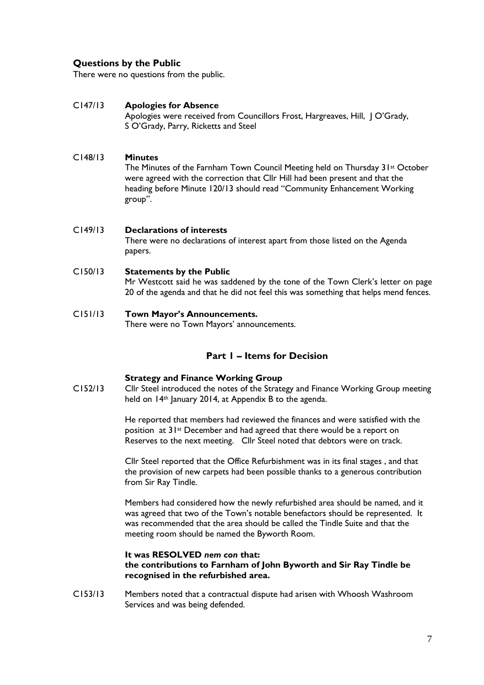### **Questions by the Public**

There were no questions from the public.

#### C147/13 **Apologies for Absence**

Apologies were received from Councillors Frost, Hargreaves, Hill, | O'Grady, S O'Grady, Parry, Ricketts and Steel

#### C148/13 **Minutes**

The Minutes of the Farnham Town Council Meeting held on Thursday 31st October were agreed with the correction that Cllr Hill had been present and that the heading before Minute 120/13 should read "Community Enhancement Working group".

#### C149/13 **Declarations of interests** There were no declarations of interest apart from those listed on the Agenda papers.

#### C150/13 **Statements by the Public**

Mr Westcott said he was saddened by the tone of the Town Clerk's letter on page 20 of the agenda and that he did not feel this was something that helps mend fences.

#### C151/13 **Town Mayor's Announcements.**

There were no Town Mayors' announcements.

#### **Part 1 – Items for Decision**

#### **Strategy and Finance Working Group**

C152/13 Cllr Steel introduced the notes of the Strategy and Finance Working Group meeting held on 14<sup>th</sup> January 2014, at Appendix B to the agenda.

> He reported that members had reviewed the finances and were satisfied with the position at 31st December and had agreed that there would be a report on Reserves to the next meeting. Cllr Steel noted that debtors were on track.

> Cllr Steel reported that the Office Refurbishment was in its final stages , and that the provision of new carpets had been possible thanks to a generous contribution from Sir Ray Tindle.

> Members had considered how the newly refurbished area should be named, and it was agreed that two of the Town's notable benefactors should be represented. It was recommended that the area should be called the Tindle Suite and that the meeting room should be named the Byworth Room.

#### **It was RESOLVED** *nem con* **that: the contributions to Farnham of John Byworth and Sir Ray Tindle be recognised in the refurbished area.**

C153/13 Members noted that a contractual dispute had arisen with Whoosh Washroom Services and was being defended.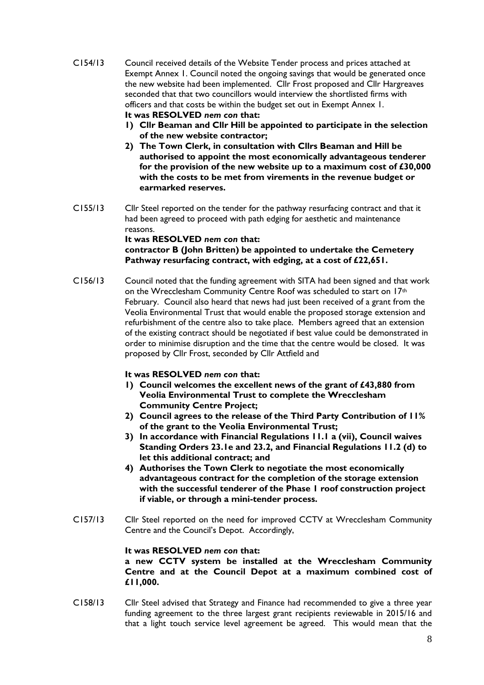- C154/13 Council received details of the Website Tender process and prices attached at Exempt Annex 1. Council noted the ongoing savings that would be generated once the new website had been implemented. Cllr Frost proposed and Cllr Hargreaves seconded that that two councillors would interview the shortlisted firms with officers and that costs be within the budget set out in Exempt Annex 1. **It was RESOLVED** *nem con* **that:**
	- **1) Cllr Beaman and Cllr Hill be appointed to participate in the selection of the new website contractor;**
	- **2) The Town Clerk, in consultation with Cllrs Beaman and Hill be authorised to appoint the most economically advantageous tenderer for the provision of the new website up to a maximum cost of £30,000 with the costs to be met from virements in the revenue budget or earmarked reserves.**
- C155/13 Cllr Steel reported on the tender for the pathway resurfacing contract and that it had been agreed to proceed with path edging for aesthetic and maintenance reasons.

**It was RESOLVED** *nem con* **that: contractor B (John Britten) be appointed to undertake the Cemetery Pathway resurfacing contract, with edging, at a cost of £22,651.**

C156/13 Council noted that the funding agreement with SITA had been signed and that work on the Wrecclesham Community Centre Roof was scheduled to start on 17<sup>th</sup> February. Council also heard that news had just been received of a grant from the Veolia Environmental Trust that would enable the proposed storage extension and refurbishment of the centre also to take place. Members agreed that an extension of the existing contract should be negotiated if best value could be demonstrated in order to minimise disruption and the time that the centre would be closed. It was proposed by Cllr Frost, seconded by Cllr Attfield and

#### **It was RESOLVED** *nem con* **that:**

- **1) Council welcomes the excellent news of the grant of £43,880 from Veolia Environmental Trust to complete the Wrecclesham Community Centre Project;**
- **2) Council agrees to the release of the Third Party Contribution of 11% of the grant to the Veolia Environmental Trust;**
- **3) In accordance with Financial Regulations 11.1 a (vii), Council waives Standing Orders 23.1e and 23.2, and Financial Regulations 11.2 (d) to let this additional contract; and**
- **4) Authorises the Town Clerk to negotiate the most economically advantageous contract for the completion of the storage extension with the successful tenderer of the Phase 1 roof construction project if viable, or through a mini-tender process.**
- C157/13 Cllr Steel reported on the need for improved CCTV at Wrecclesham Community Centre and the Council's Depot. Accordingly,

#### **It was RESOLVED** *nem con* **that:**

**a new CCTV system be installed at the Wrecclesham Community Centre and at the Council Depot at a maximum combined cost of £11,000.**

C158/13 Cllr Steel advised that Strategy and Finance had recommended to give a three year funding agreement to the three largest grant recipients reviewable in 2015/16 and that a light touch service level agreement be agreed. This would mean that the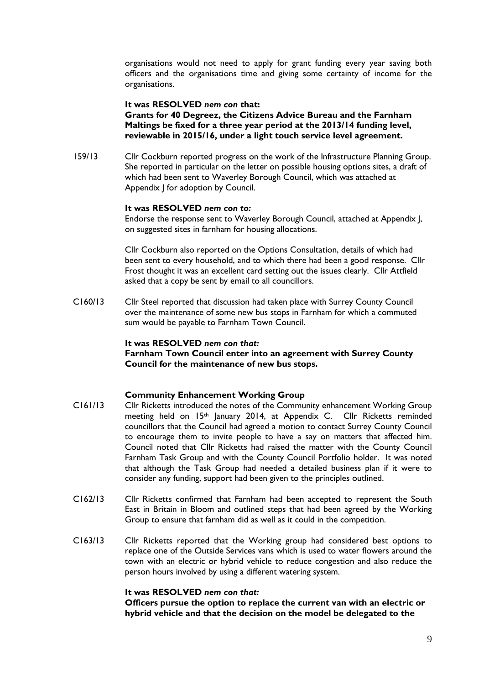organisations would not need to apply for grant funding every year saving both officers and the organisations time and giving some certainty of income for the organisations.

#### **It was RESOLVED** *nem con* **that:**

**Grants for 40 Degreez, the Citizens Advice Bureau and the Farnham Maltings be fixed for a three year period at the 2013/14 funding level, reviewable in 2015/16, under a light touch service level agreement.**

159/13 Cllr Cockburn reported progress on the work of the Infrastructure Planning Group. She reported in particular on the letter on possible housing options sites, a draft of which had been sent to Waverley Borough Council, which was attached at Appendix J for adoption by Council.

#### **It was RESOLVED** *nem con to:*

Endorse the response sent to Waverley Borough Council, attached at Appendix J, on suggested sites in farnham for housing allocations.

Cllr Cockburn also reported on the Options Consultation, details of which had been sent to every household, and to which there had been a good response. Cllr Frost thought it was an excellent card setting out the issues clearly. Cllr Attfield asked that a copy be sent by email to all councillors.

C160/13 Cllr Steel reported that discussion had taken place with Surrey County Council over the maintenance of some new bus stops in Farnham for which a commuted sum would be payable to Farnham Town Council.

#### **It was RESOLVED** *nem con that:*

**Farnham Town Council enter into an agreement with Surrey County Council for the maintenance of new bus stops.**

#### **Community Enhancement Working Group**

- C161/13 Cllr Ricketts introduced the notes of the Community enhancement Working Group meeting held on 15th January 2014, at Appendix C. Cllr Ricketts reminded councillors that the Council had agreed a motion to contact Surrey County Council to encourage them to invite people to have a say on matters that affected him. Council noted that Cllr Ricketts had raised the matter with the County Council Farnham Task Group and with the County Council Portfolio holder. It was noted that although the Task Group had needed a detailed business plan if it were to consider any funding, support had been given to the principles outlined.
- C162/13 Cllr Ricketts confirmed that Farnham had been accepted to represent the South East in Britain in Bloom and outlined steps that had been agreed by the Working Group to ensure that farnham did as well as it could in the competition.
- C163/13 Cllr Ricketts reported that the Working group had considered best options to replace one of the Outside Services vans which is used to water flowers around the town with an electric or hybrid vehicle to reduce congestion and also reduce the person hours involved by using a different watering system.

#### **It was RESOLVED** *nem con that:*

**Officers pursue the option to replace the current van with an electric or hybrid vehicle and that the decision on the model be delegated to the**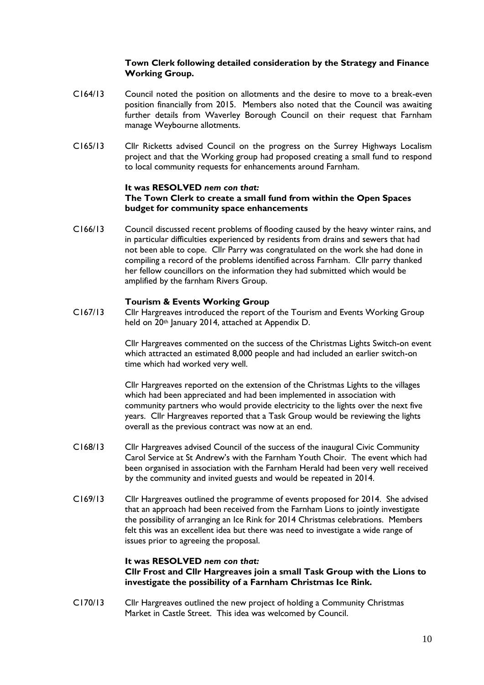#### **Town Clerk following detailed consideration by the Strategy and Finance Working Group.**

- C164/13 Council noted the position on allotments and the desire to move to a break-even position financially from 2015. Members also noted that the Council was awaiting further details from Waverley Borough Council on their request that Farnham manage Weybourne allotments.
- C165/13 Cllr Ricketts advised Council on the progress on the Surrey Highways Localism project and that the Working group had proposed creating a small fund to respond to local community requests for enhancements around Farnham.

#### **It was RESOLVED** *nem con that:* **The Town Clerk to create a small fund from within the Open Spaces budget for community space enhancements**

C166/13 Council discussed recent problems of flooding caused by the heavy winter rains, and in particular difficulties experienced by residents from drains and sewers that had not been able to cope. Cllr Parry was congratulated on the work she had done in compiling a record of the problems identified across Farnham. Cllr parry thanked her fellow councillors on the information they had submitted which would be amplified by the farnham Rivers Group.

#### **Tourism & Events Working Group**

C167/13 Cllr Hargreaves introduced the report of the Tourism and Events Working Group held on 20<sup>th</sup> January 2014, attached at Appendix D.

> Cllr Hargreaves commented on the success of the Christmas Lights Switch-on event which attracted an estimated 8,000 people and had included an earlier switch-on time which had worked very well.

Cllr Hargreaves reported on the extension of the Christmas Lights to the villages which had been appreciated and had been implemented in association with community partners who would provide electricity to the lights over the next five years. Cllr Hargreaves reported that a Task Group would be reviewing the lights overall as the previous contract was now at an end.

- C168/13 Cllr Hargreaves advised Council of the success of the inaugural Civic Community Carol Service at St Andrew's with the Farnham Youth Choir. The event which had been organised in association with the Farnham Herald had been very well received by the community and invited guests and would be repeated in 2014.
- C169/13 Cllr Hargreaves outlined the programme of events proposed for 2014. She advised that an approach had been received from the Farnham Lions to jointly investigate the possibility of arranging an Ice Rink for 2014 Christmas celebrations. Members felt this was an excellent idea but there was need to investigate a wide range of issues prior to agreeing the proposal.

#### **It was RESOLVED** *nem con that:*

**Cllr Frost and Cllr Hargreaves join a small Task Group with the Lions to investigate the possibility of a Farnham Christmas Ice Rink.**

C170/13 Cllr Hargreaves outlined the new project of holding a Community Christmas Market in Castle Street. This idea was welcomed by Council.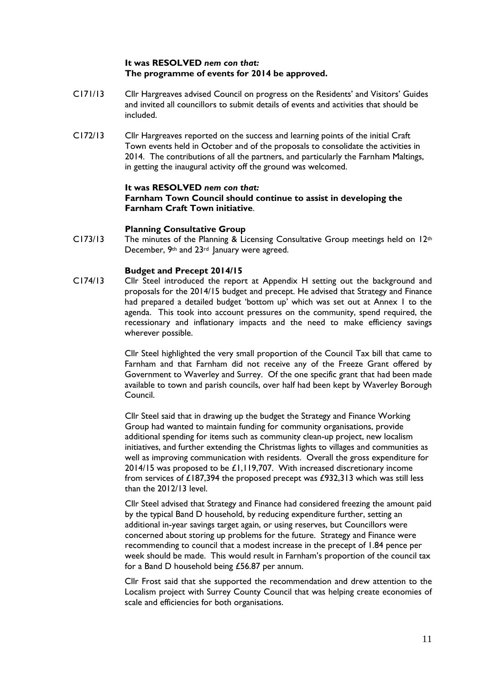#### **It was RESOLVED** *nem con that:* **The programme of events for 2014 be approved.**

- C171/13 Cllr Hargreaves advised Council on progress on the Residents' and Visitors' Guides and invited all councillors to submit details of events and activities that should be included.
- C172/13 Cllr Hargreaves reported on the success and learning points of the initial Craft Town events held in October and of the proposals to consolidate the activities in 2014. The contributions of all the partners, and particularly the Farnham Maltings, in getting the inaugural activity off the ground was welcomed.

#### **It was RESOLVED** *nem con that:* **Farnham Town Council should continue to assist in developing the Farnham Craft Town initiative**.

#### **Planning Consultative Group**

 $C173/13$  The minutes of the Planning & Licensing Consultative Group meetings held on  $12<sup>th</sup>$ December, 9<sup>th</sup> and 23<sup>rd</sup> January were agreed.

#### **Budget and Precept 2014/15**

C174/13 Cllr Steel introduced the report at Appendix H setting out the background and proposals for the 2014/15 budget and precept. He advised that Strategy and Finance had prepared a detailed budget 'bottom up' which was set out at Annex I to the agenda. This took into account pressures on the community, spend required, the recessionary and inflationary impacts and the need to make efficiency savings wherever possible.

> Cllr Steel highlighted the very small proportion of the Council Tax bill that came to Farnham and that Farnham did not receive any of the Freeze Grant offered by Government to Waverley and Surrey. Of the one specific grant that had been made available to town and parish councils, over half had been kept by Waverley Borough Council.

Cllr Steel said that in drawing up the budget the Strategy and Finance Working Group had wanted to maintain funding for community organisations, provide additional spending for items such as community clean-up project, new localism initiatives, and further extending the Christmas lights to villages and communities as well as improving communication with residents. Overall the gross expenditure for 2014/15 was proposed to be £1,119,707. With increased discretionary income from services of £187,394 the proposed precept was £932,313 which was still less than the 2012/13 level.

Cllr Steel advised that Strategy and Finance had considered freezing the amount paid by the typical Band D household, by reducing expenditure further, setting an additional in-year savings target again, or using reserves, but Councillors were concerned about storing up problems for the future. Strategy and Finance were recommending to council that a modest increase in the precept of 1.84 pence per week should be made. This would result in Farnham's proportion of the council tax for a Band D household being £56.87 per annum.

Cllr Frost said that she supported the recommendation and drew attention to the Localism project with Surrey County Council that was helping create economies of scale and efficiencies for both organisations.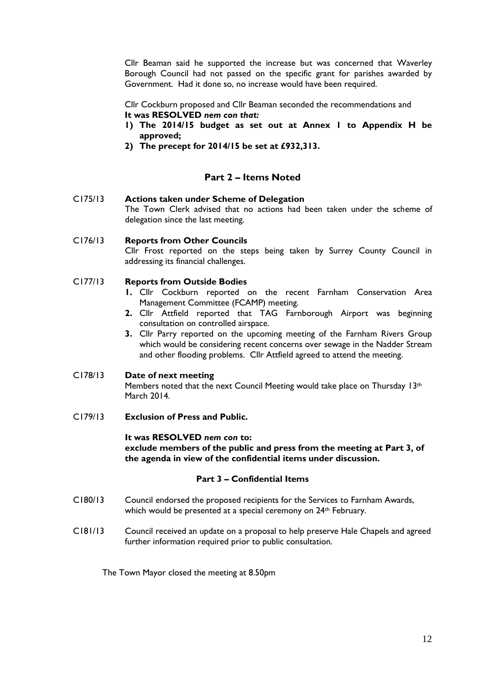Cllr Beaman said he supported the increase but was concerned that Waverley Borough Council had not passed on the specific grant for parishes awarded by Government. Had it done so, no increase would have been required.

Cllr Cockburn proposed and Cllr Beaman seconded the recommendations and **It was RESOLVED** *nem con that:*

- **1) The 2014/15 budget as set out at Annex 1 to Appendix H be approved;**
- **2) The precept for 2014/15 be set at £932,313.**

### **Part 2 – Items Noted**

C175/13 **Actions taken under Scheme of Delegation** The Town Clerk advised that no actions had been taken under the scheme of delegation since the last meeting.

C176/13 **Reports from Other Councils** Cllr Frost reported on the steps being taken by Surrey County Council in addressing its financial challenges.

#### C177/13 **Reports from Outside Bodies**

- **1.** Cllr Cockburn reported on the recent Farnham Conservation Area Management Committee (FCAMP) meeting.
- **2.** Cllr Attfield reported that TAG Farnborough Airport was beginning consultation on controlled airspace.
- **3.** Cllr Parry reported on the upcoming meeting of the Farnham Rivers Group which would be considering recent concerns over sewage in the Nadder Stream and other flooding problems. Cllr Attfield agreed to attend the meeting.

#### C178/13 **Date of next meeting**

Members noted that the next Council Meeting would take place on Thursday 13th March 2014.

C179/13 **Exclusion of Press and Public.**

#### **It was RESOLVED** *nem con* **to:**

**exclude members of the public and press from the meeting at Part 3, of the agenda in view of the confidential items under discussion.**

#### **Part 3 – Confidential Items**

- C180/13 Council endorsed the proposed recipients for the Services to Farnham Awards, which would be presented at a special ceremony on 24<sup>th</sup> February.
- C181/13 Council received an update on a proposal to help preserve Hale Chapels and agreed further information required prior to public consultation.

The Town Mayor closed the meeting at 8.50pm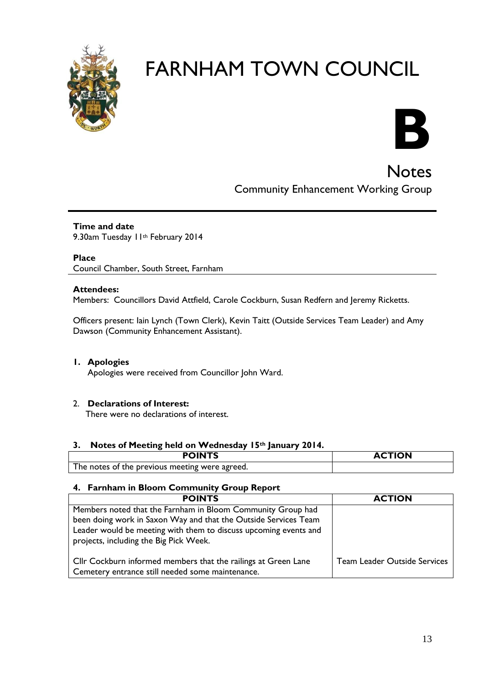



**Notes** Community Enhancement Working Group

#### **Time and date** 9.30am Tuesday 11th February 2014

**Place** Council Chamber, South Street, Farnham

### **Attendees:**

Members: Councillors David Attfield, Carole Cockburn, Susan Redfern and Jeremy Ricketts.

Officers present: Iain Lynch (Town Clerk), Kevin Taitt (Outside Services Team Leader) and Amy Dawson (Community Enhancement Assistant).

#### **1. Apologies**

Apologies were received from Councillor John Ward.

# 2. **Declarations of Interest:**

There were no declarations of interest.

#### **3. Notes of Meeting held on Wednesday 15th January 2014.**

| <b>POINTS</b>                                  | <b>ACTION</b> |
|------------------------------------------------|---------------|
| The notes of the previous meeting were agreed. |               |

# **4. Farnham in Bloom Community Group Report**

| <b>POINTS</b>                                                                                                                                                                                      | <b>ACTION</b>                |
|----------------------------------------------------------------------------------------------------------------------------------------------------------------------------------------------------|------------------------------|
| Members noted that the Farnham in Bloom Community Group had<br>been doing work in Saxon Way and that the Outside Services Team<br>Leader would be meeting with them to discuss upcoming events and |                              |
| projects, including the Big Pick Week.                                                                                                                                                             |                              |
| Cllr Cockburn informed members that the railings at Green Lane<br>Cemetery entrance still needed some maintenance.                                                                                 | Team Leader Outside Services |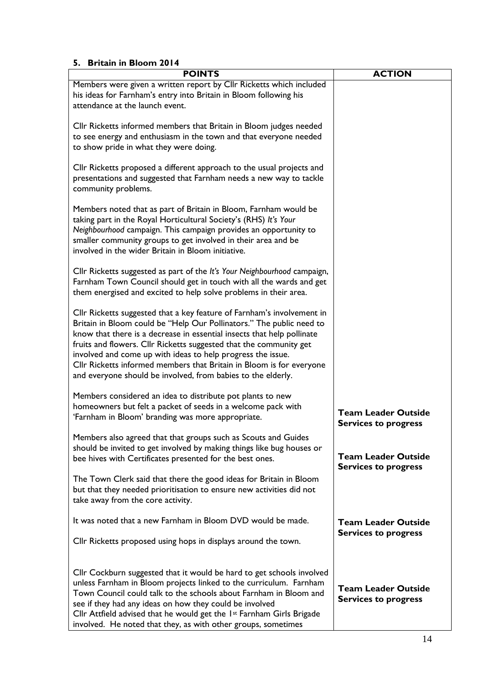#### **5. Britain in Bloom 2014**

| <b>POINTS</b>                                                                                                                                                                                                                                                                                                                                                                                                                                                                                         | <b>ACTION</b>                                             |
|-------------------------------------------------------------------------------------------------------------------------------------------------------------------------------------------------------------------------------------------------------------------------------------------------------------------------------------------------------------------------------------------------------------------------------------------------------------------------------------------------------|-----------------------------------------------------------|
| Members were given a written report by Cllr Ricketts which included<br>his ideas for Farnham's entry into Britain in Bloom following his<br>attendance at the launch event.                                                                                                                                                                                                                                                                                                                           |                                                           |
| Cllr Ricketts informed members that Britain in Bloom judges needed<br>to see energy and enthusiasm in the town and that everyone needed<br>to show pride in what they were doing.                                                                                                                                                                                                                                                                                                                     |                                                           |
| Cllr Ricketts proposed a different approach to the usual projects and<br>presentations and suggested that Farnham needs a new way to tackle<br>community problems.                                                                                                                                                                                                                                                                                                                                    |                                                           |
| Members noted that as part of Britain in Bloom, Farnham would be<br>taking part in the Royal Horticultural Society's (RHS) It's Your<br>Neighbourhood campaign. This campaign provides an opportunity to<br>smaller community groups to get involved in their area and be<br>involved in the wider Britain in Bloom initiative.                                                                                                                                                                       |                                                           |
| Cllr Ricketts suggested as part of the It's Your Neighbourhood campaign,<br>Farnham Town Council should get in touch with all the wards and get<br>them energised and excited to help solve problems in their area.                                                                                                                                                                                                                                                                                   |                                                           |
| Cllr Ricketts suggested that a key feature of Farnham's involvement in<br>Britain in Bloom could be "Help Our Pollinators." The public need to<br>know that there is a decrease in essential insects that help pollinate<br>fruits and flowers. Cllr Ricketts suggested that the community get<br>involved and come up with ideas to help progress the issue.<br>Cllr Ricketts informed members that Britain in Bloom is for everyone<br>and everyone should be involved, from babies to the elderly. |                                                           |
| Members considered an idea to distribute pot plants to new<br>homeowners but felt a packet of seeds in a welcome pack with<br>'Farnham in Bloom' branding was more appropriate.                                                                                                                                                                                                                                                                                                                       | <b>Team Leader Outside</b><br><b>Services to progress</b> |
| Members also agreed that that groups such as Scouts and Guides<br>should be invited to get involved by making things like bug houses or<br>bee hives with Certificates presented for the best ones.                                                                                                                                                                                                                                                                                                   | <b>Team Leader Outside</b><br><b>Services to progress</b> |
| The Town Clerk said that there the good ideas for Britain in Bloom<br>but that they needed prioritisation to ensure new activities did not<br>take away from the core activity.                                                                                                                                                                                                                                                                                                                       |                                                           |
| It was noted that a new Farnham in Bloom DVD would be made.<br>Cllr Ricketts proposed using hops in displays around the town.                                                                                                                                                                                                                                                                                                                                                                         | <b>Team Leader Outside</b><br><b>Services to progress</b> |
| Cllr Cockburn suggested that it would be hard to get schools involved<br>unless Farnham in Bloom projects linked to the curriculum. Farnham<br>Town Council could talk to the schools about Farnham in Bloom and<br>see if they had any ideas on how they could be involved<br>Cllr Attfield advised that he would get the 1 <sup>st</sup> Farnham Girls Brigade<br>involved. He noted that they, as with other groups, sometimes                                                                     | <b>Team Leader Outside</b><br><b>Services to progress</b> |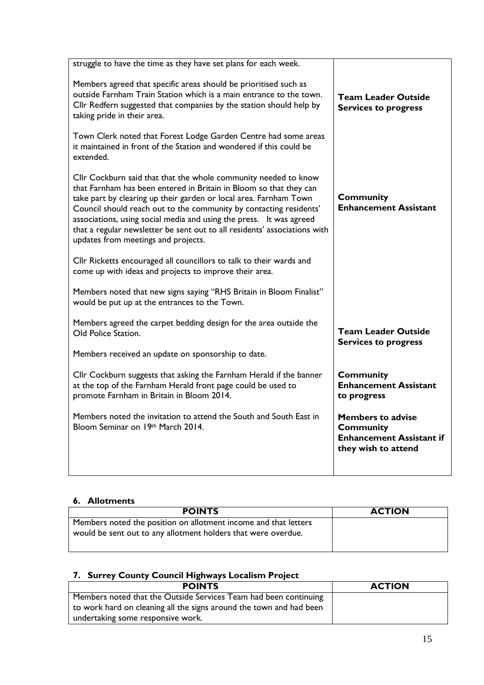| struggle to have the time as they have set plans for each week.                                                                                                                                                                                                                                                                                                                                                                                                             |                                                                                                        |
|-----------------------------------------------------------------------------------------------------------------------------------------------------------------------------------------------------------------------------------------------------------------------------------------------------------------------------------------------------------------------------------------------------------------------------------------------------------------------------|--------------------------------------------------------------------------------------------------------|
| Members agreed that specific areas should be prioritised such as<br>outside Farnham Train Station which is a main entrance to the town.<br>Cllr Redfern suggested that companies by the station should help by<br>taking pride in their area.                                                                                                                                                                                                                               | <b>Team Leader Outside</b><br><b>Services to progress</b>                                              |
| Town Clerk noted that Forest Lodge Garden Centre had some areas<br>it maintained in front of the Station and wondered if this could be<br>extended.                                                                                                                                                                                                                                                                                                                         |                                                                                                        |
| Cllr Cockburn said that that the whole community needed to know<br>that Farnham has been entered in Britain in Bloom so that they can<br>take part by clearing up their garden or local area. Farnham Town<br>Council should reach out to the community by contacting residents'<br>associations, using social media and using the press. It was agreed<br>that a regular newsletter be sent out to all residents' associations with<br>updates from meetings and projects. | <b>Community</b><br><b>Enhancement Assistant</b>                                                       |
| Cllr Ricketts encouraged all councillors to talk to their wards and<br>come up with ideas and projects to improve their area.                                                                                                                                                                                                                                                                                                                                               |                                                                                                        |
| Members noted that new signs saying "RHS Britain in Bloom Finalist"<br>would be put up at the entrances to the Town.                                                                                                                                                                                                                                                                                                                                                        |                                                                                                        |
| Members agreed the carpet bedding design for the area outside the<br>Old Police Station.                                                                                                                                                                                                                                                                                                                                                                                    | <b>Team Leader Outside</b><br><b>Services to progress</b>                                              |
| Members received an update on sponsorship to date.                                                                                                                                                                                                                                                                                                                                                                                                                          |                                                                                                        |
| Cllr Cockburn suggests that asking the Farnham Herald if the banner<br>at the top of the Farnham Herald front page could be used to<br>promote Farnham in Britain in Bloom 2014.                                                                                                                                                                                                                                                                                            | <b>Community</b><br><b>Enhancement Assistant</b><br>to progress                                        |
| Members noted the invitation to attend the South and South East in<br>Bloom Seminar on 19th March 2014.                                                                                                                                                                                                                                                                                                                                                                     | <b>Members to advise</b><br><b>Community</b><br><b>Enhancement Assistant if</b><br>they wish to attend |
|                                                                                                                                                                                                                                                                                                                                                                                                                                                                             |                                                                                                        |

# **6. Allotments**

| <b>POINTS</b>                                                                                                                    | <b>ACTION</b> |
|----------------------------------------------------------------------------------------------------------------------------------|---------------|
| Members noted the position on allotment income and that letters<br>would be sent out to any allotment holders that were overdue. |               |
|                                                                                                                                  |               |

# **7. Surrey County Council Highways Localism Project**

| <b>POINTS</b>                                                       | <b>ACTION</b> |
|---------------------------------------------------------------------|---------------|
| Members noted that the Outside Services Team had been continuing    |               |
| to work hard on cleaning all the signs around the town and had been |               |
| undertaking some responsive work.                                   |               |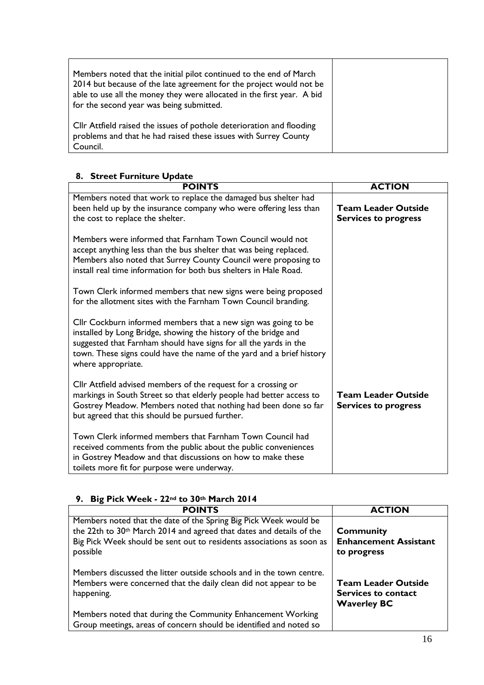| Members noted that the initial pilot continued to the end of March<br>2014 but because of the late agreement for the project would not be<br>able to use all the money they were allocated in the first year. A bid<br>for the second year was being submitted. |  |
|-----------------------------------------------------------------------------------------------------------------------------------------------------------------------------------------------------------------------------------------------------------------|--|
| Cllr Attfield raised the issues of pothole deterioration and flooding<br>problems and that he had raised these issues with Surrey County<br>Council.                                                                                                            |  |

## **8. Street Furniture Update**

| <b>POINTS</b>                                                                                                                                                                                                                                                                                         | <b>ACTION</b>                                             |
|-------------------------------------------------------------------------------------------------------------------------------------------------------------------------------------------------------------------------------------------------------------------------------------------------------|-----------------------------------------------------------|
| Members noted that work to replace the damaged bus shelter had<br>been held up by the insurance company who were offering less than<br>the cost to replace the shelter.                                                                                                                               | <b>Team Leader Outside</b><br><b>Services to progress</b> |
| Members were informed that Farnham Town Council would not<br>accept anything less than the bus shelter that was being replaced.<br>Members also noted that Surrey County Council were proposing to<br>install real time information for both bus shelters in Hale Road.                               |                                                           |
| Town Clerk informed members that new signs were being proposed<br>for the allotment sites with the Farnham Town Council branding.                                                                                                                                                                     |                                                           |
| Cllr Cockburn informed members that a new sign was going to be<br>installed by Long Bridge, showing the history of the bridge and<br>suggested that Farnham should have signs for all the yards in the<br>town. These signs could have the name of the yard and a brief history<br>where appropriate. |                                                           |
| Cllr Attfield advised members of the request for a crossing or<br>markings in South Street so that elderly people had better access to<br>Gostrey Meadow. Members noted that nothing had been done so far<br>but agreed that this should be pursued further.                                          | <b>Team Leader Outside</b><br><b>Services to progress</b> |
| Town Clerk informed members that Farnham Town Council had<br>received comments from the public about the public conveniences<br>in Gostrey Meadow and that discussions on how to make these<br>toilets more fit for purpose were underway.                                                            |                                                           |

# **9. Big Pick Week - 22nd to 30th March 2014**

| <b>POINTS</b>                                                                                                                                                                                                                             | <b>ACTION</b>                                                                  |
|-------------------------------------------------------------------------------------------------------------------------------------------------------------------------------------------------------------------------------------------|--------------------------------------------------------------------------------|
| Members noted that the date of the Spring Big Pick Week would be<br>the 22th to 30 <sup>th</sup> March 2014 and agreed that dates and details of the<br>Big Pick Week should be sent out to residents associations as soon as<br>possible | <b>Community</b><br><b>Enhancement Assistant</b><br>to progress                |
| Members discussed the litter outside schools and in the town centre.<br>Members were concerned that the daily clean did not appear to be<br>happening.                                                                                    | <b>Team Leader Outside</b><br><b>Services to contact</b><br><b>Waverley BC</b> |
| Members noted that during the Community Enhancement Working<br>Group meetings, areas of concern should be identified and noted so                                                                                                         |                                                                                |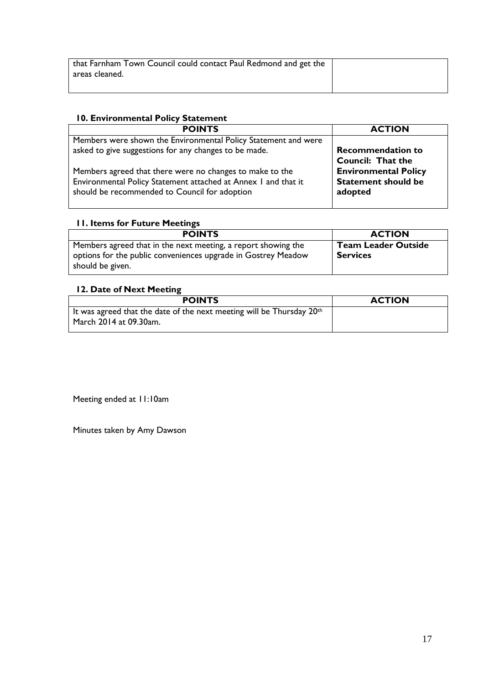| that Farnham Town Council could contact Paul Redmond and get the |  |
|------------------------------------------------------------------|--|
| l areas cleaned.                                                 |  |
|                                                                  |  |

# **10. Environmental Policy Statement**

| <b>POINTS</b>                                                  | <b>ACTION</b>               |
|----------------------------------------------------------------|-----------------------------|
| Members were shown the Environmental Policy Statement and were | <b>Recommendation to</b>    |
| asked to give suggestions for any changes to be made.          | <b>Council: That the</b>    |
| Members agreed that there were no changes to make to the       | <b>Environmental Policy</b> |
| Environmental Policy Statement attached at Annex I and that it | <b>Statement should be</b>  |
| should be recommended to Council for adoption                  | adopted                     |

# **11. Items for Future Meetings**

| <b>POINTS</b>                                                 | <b>ACTION</b>              |
|---------------------------------------------------------------|----------------------------|
| Members agreed that in the next meeting, a report showing the | <b>Team Leader Outside</b> |
| options for the public conveniences upgrade in Gostrey Meadow | <b>Services</b>            |
| should be given.                                              |                            |

# **12. Date of Next Meeting**

| <b>POINTS</b>                                                                       | <b>ACTION</b> |
|-------------------------------------------------------------------------------------|---------------|
| It was agreed that the date of the next meeting will be Thursday $20$ <sup>th</sup> |               |
| March 2014 at 09.30am.                                                              |               |

Meeting ended at 11:10am

Minutes taken by Amy Dawson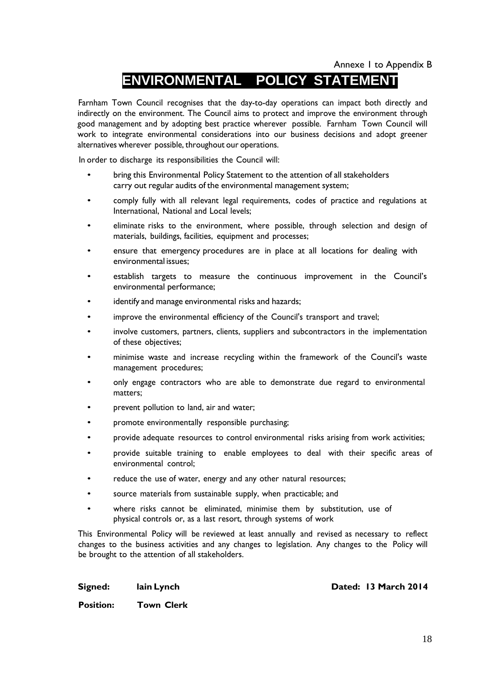Annexe 1 to Appendix B

# **ENVIRONMENTAL POLICY STATEMENT**

Farnham Town Council recognises that the day-to-day operations can impact both directly and indirectly on the environment. The Council aims to protect and improve the environment through good management and by adopting best practice wherever possible. Farnham Town Council will work to integrate environmental considerations into our business decisions and adopt greener alternatives wherever possible, throughout our operations.

In order to discharge its responsibilities the Council will:

- bring this Environmental Policy Statement to the attention of all stakeholders carry out regular audits of the environmental management system;
- comply fully with all relevant legal requirements, codes of practice and regulations at International, National and Local levels;
- eliminate risks to the environment, where possible, through selection and design of materials, buildings, facilities, equipment and processes;
- ensure that emergency procedures are in place at all locations for dealing with environmental issues;
- establish targets to measure the continuous improvement in the Council's environmental performance;
- identify and manage environmental risks and hazards;
- improve the environmental efficiency of the Council's transport and travel;
- involve customers, partners, clients, suppliers and subcontractors in the implementation of these objectives;
- minimise waste and increase recycling within the framework of the Council's waste management procedures;
- only engage contractors who are able to demonstrate due regard to environmental matters;
- prevent pollution to land, air and water;
- promote environmentally responsible purchasing;
- provide adequate resources to control environmental risks arising from work activities;
- provide suitable training to enable employees to deal with their specific areas of environmental control;
- reduce the use of water, energy and any other natural resources;
- source materials from sustainable supply, when practicable; and
- where risks cannot be eliminated, minimise them by substitution, use of physical controls or, as a last resort, through systems of work

This Environmental Policy will be reviewed at least annually and revised as necessary to reflect changes to the business activities and any changes to legislation. Any changes to the Policy will be brought to the attention of all stakeholders.

**Signed: lain Lynch Dated: 13 March 2014**

**Position: Town Clerk**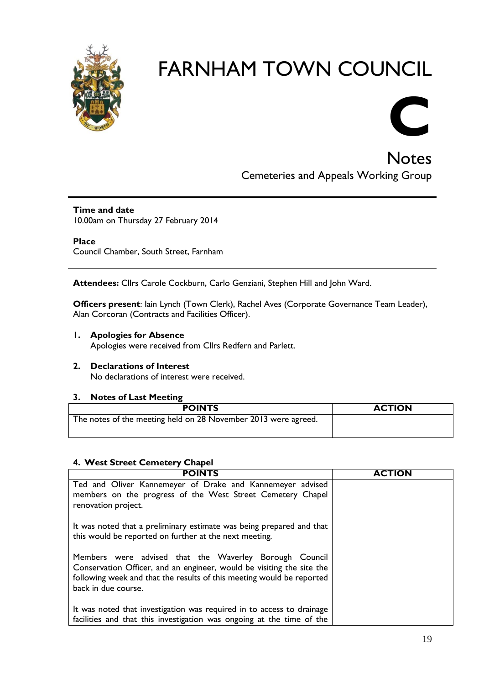



**Notes** Cemeteries and Appeals Working Group

**Time and date** 10.00am on Thursday 27 February 2014

**Place** Council Chamber, South Street, Farnham

**Attendees:** Cllrs Carole Cockburn, Carlo Genziani, Stephen Hill and John Ward.

**Officers present**: Iain Lynch (Town Clerk), Rachel Aves (Corporate Governance Team Leader), Alan Corcoran (Contracts and Facilities Officer).

**1. Apologies for Absence** 

Apologies were received from Cllrs Redfern and Parlett.

**2. Declarations of Interest** No declarations of interest were received.

#### **3. Notes of Last Meeting**

| <b>POINTS</b>                                                  | <b>ACTION</b> |
|----------------------------------------------------------------|---------------|
| The notes of the meeting held on 28 November 2013 were agreed. |               |
|                                                                |               |

# **4. West Street Cemetery Chapel**

| <b>POINTS</b>                                                                                                                                                                                                                   | <b>ACTION</b> |
|---------------------------------------------------------------------------------------------------------------------------------------------------------------------------------------------------------------------------------|---------------|
| Ted and Oliver Kannemeyer of Drake and Kannemeyer advised<br>members on the progress of the West Street Cemetery Chapel<br>renovation project.                                                                                  |               |
| It was noted that a preliminary estimate was being prepared and that<br>this would be reported on further at the next meeting.                                                                                                  |               |
| Members were advised that the Waverley Borough Council<br>Conservation Officer, and an engineer, would be visiting the site the<br>following week and that the results of this meeting would be reported<br>back in due course. |               |
| It was noted that investigation was required in to access to drainage<br>facilities and that this investigation was ongoing at the time of the                                                                                  |               |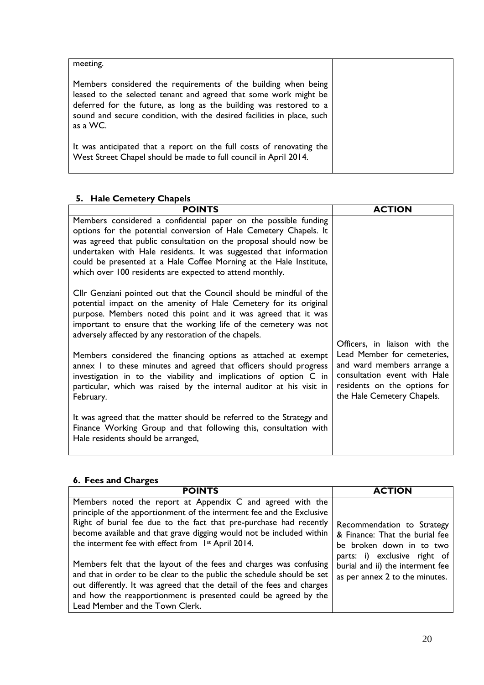| meeting.                                                                                                                                                                                                                                                                                       |  |
|------------------------------------------------------------------------------------------------------------------------------------------------------------------------------------------------------------------------------------------------------------------------------------------------|--|
| Members considered the requirements of the building when being<br>leased to the selected tenant and agreed that some work might be<br>deferred for the future, as long as the building was restored to a<br>sound and secure condition, with the desired facilities in place, such<br>as a WC. |  |
| It was anticipated that a report on the full costs of renovating the<br>West Street Chapel should be made to full council in April 2014.                                                                                                                                                       |  |

# **5. Hale Cemetery Chapels**

| <b>POINTS</b>                                                                                                                                                                                                                                                                                                                                                                                                    | <b>ACTION</b>                                                                                                                                           |
|------------------------------------------------------------------------------------------------------------------------------------------------------------------------------------------------------------------------------------------------------------------------------------------------------------------------------------------------------------------------------------------------------------------|---------------------------------------------------------------------------------------------------------------------------------------------------------|
| Members considered a confidential paper on the possible funding<br>options for the potential conversion of Hale Cemetery Chapels. It<br>was agreed that public consultation on the proposal should now be<br>undertaken with Hale residents. It was suggested that information<br>could be presented at a Hale Coffee Morning at the Hale Institute,<br>which over 100 residents are expected to attend monthly. |                                                                                                                                                         |
| Cllr Genziani pointed out that the Council should be mindful of the<br>potential impact on the amenity of Hale Cemetery for its original<br>purpose. Members noted this point and it was agreed that it was<br>important to ensure that the working life of the cemetery was not<br>adversely affected by any restoration of the chapels.                                                                        | Officers, in liaison with the                                                                                                                           |
| Members considered the financing options as attached at exempt<br>annex I to these minutes and agreed that officers should progress<br>investigation in to the viability and implications of option C in<br>particular, which was raised by the internal auditor at his visit in<br>February.                                                                                                                    | Lead Member for cemeteries,<br>and ward members arrange a<br>consultation event with Hale<br>residents on the options for<br>the Hale Cemetery Chapels. |
| It was agreed that the matter should be referred to the Strategy and<br>Finance Working Group and that following this, consultation with<br>Hale residents should be arranged,                                                                                                                                                                                                                                   |                                                                                                                                                         |

# **6. Fees and Charges**

| <b>POINTS</b>                                                                                                                                                                                                                                                                                                                           | <b>ACTION</b>                                                                                      |  |  |
|-----------------------------------------------------------------------------------------------------------------------------------------------------------------------------------------------------------------------------------------------------------------------------------------------------------------------------------------|----------------------------------------------------------------------------------------------------|--|--|
| Members noted the report at Appendix C and agreed with the<br>principle of the apportionment of the interment fee and the Exclusive<br>Right of burial fee due to the fact that pre-purchase had recently<br>become available and that grave digging would not be included within<br>the interment fee with effect from 1st April 2014. | Recommendation to Strategy<br>& Finance: That the burial fee<br>be broken down in to two           |  |  |
| Members felt that the layout of the fees and charges was confusing<br>and that in order to be clear to the public the schedule should be set<br>out differently. It was agreed that the detail of the fees and charges<br>and how the reapportionment is presented could be agreed by the<br>Lead Member and the Town Clerk.            | parts: i) exclusive right of<br>burial and ii) the interment fee<br>as per annex 2 to the minutes. |  |  |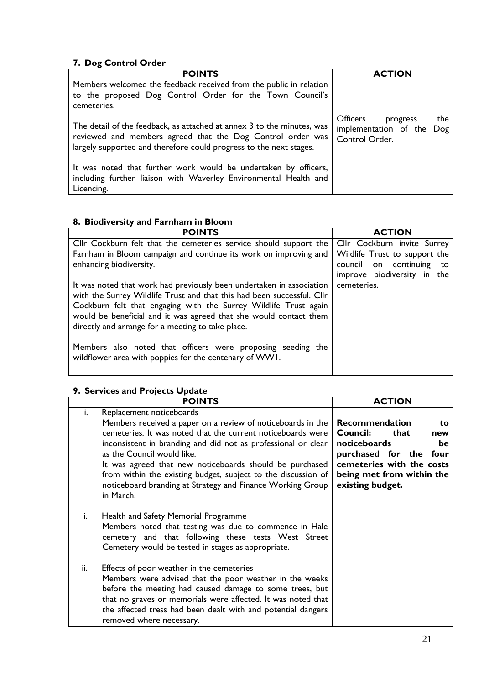# **7. Dog Control Order**

| <b>POINTS</b>                                                                                                                                                                                              | <b>ACTION</b>                                                                     |
|------------------------------------------------------------------------------------------------------------------------------------------------------------------------------------------------------------|-----------------------------------------------------------------------------------|
| Members welcomed the feedback received from the public in relation<br>to the proposed Dog Control Order for the Town Council's<br>cemeteries.                                                              |                                                                                   |
| The detail of the feedback, as attached at annex 3 to the minutes, was<br>reviewed and members agreed that the Dog Control order was<br>largely supported and therefore could progress to the next stages. | <b>Officers</b><br>the<br>progress<br>implementation of the Dog<br>Control Order. |
| It was noted that further work would be undertaken by officers,<br>including further liaison with Waverley Environmental Health and<br>Licencing.                                                          |                                                                                   |

# **8. Biodiversity and Farnham in Bloom**

| <b>POINTS</b>                                                                                                                                                                                                                                                                                                                                | <b>ACTION</b>                 |
|----------------------------------------------------------------------------------------------------------------------------------------------------------------------------------------------------------------------------------------------------------------------------------------------------------------------------------------------|-------------------------------|
| Cllr Cockburn felt that the cemeteries service should support the                                                                                                                                                                                                                                                                            | Cllr Cockburn invite Surrey   |
| Farnham in Bloom campaign and continue its work on improving and                                                                                                                                                                                                                                                                             | Wildlife Trust to support the |
| enhancing biodiversity.                                                                                                                                                                                                                                                                                                                      | council on continuing<br>to   |
|                                                                                                                                                                                                                                                                                                                                              | improve biodiversity in the   |
| It was noted that work had previously been undertaken in association<br>with the Surrey Wildlife Trust and that this had been successful. Cllr<br>Cockburn felt that engaging with the Surrey Wildlife Trust again<br>would be beneficial and it was agreed that she would contact them<br>directly and arrange for a meeting to take place. | cemeteries.                   |
| Members also noted that officers were proposing seeding the<br>wildflower area with poppies for the centenary of WW1.                                                                                                                                                                                                                        |                               |

# **9. Services and Projects Update**

|     | <b>POINTS</b>                                                                                                                                                                                                                                                                                                                                                                                                                                                | <b>ACTION</b>                                                                                                                                                                         |
|-----|--------------------------------------------------------------------------------------------------------------------------------------------------------------------------------------------------------------------------------------------------------------------------------------------------------------------------------------------------------------------------------------------------------------------------------------------------------------|---------------------------------------------------------------------------------------------------------------------------------------------------------------------------------------|
| i.  | Replacement noticeboards<br>Members received a paper on a review of noticeboards in the<br>cemeteries. It was noted that the current noticeboards were<br>inconsistent in branding and did not as professional or clear<br>as the Council would like.<br>It was agreed that new noticeboards should be purchased<br>from within the existing budget, subject to the discussion of<br>noticeboard branding at Strategy and Finance Working Group<br>in March. | <b>Recommendation</b><br>to.<br>Council:<br>that<br>new<br>noticeboards<br>be<br>purchased for the four<br>cemeteries with the costs<br>being met from within the<br>existing budget. |
| i.  | <b>Health and Safety Memorial Programme</b><br>Members noted that testing was due to commence in Hale<br>cemetery and that following these tests West Street<br>Cemetery would be tested in stages as appropriate.                                                                                                                                                                                                                                           |                                                                                                                                                                                       |
| ii. | <b>Effects of poor weather in the cemeteries</b><br>Members were advised that the poor weather in the weeks<br>before the meeting had caused damage to some trees, but<br>that no graves or memorials were affected. It was noted that<br>the affected tress had been dealt with and potential dangers<br>removed where necessary.                                                                                                                           |                                                                                                                                                                                       |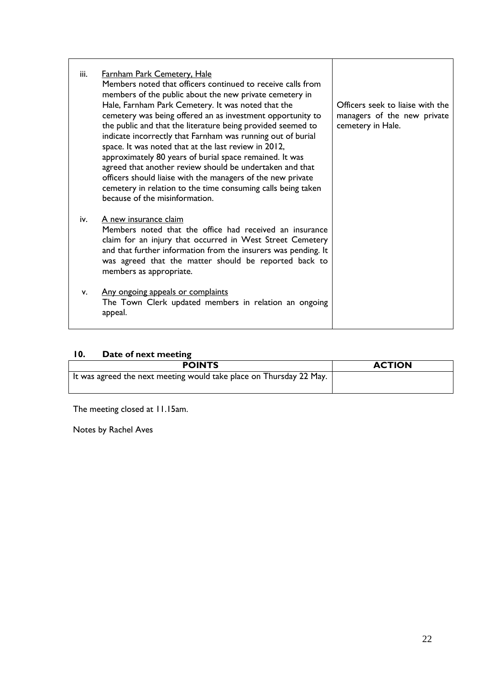| iii. | Farnham Park Cemetery, Hale<br>Members noted that officers continued to receive calls from<br>members of the public about the new private cemetery in<br>Hale, Farnham Park Cemetery. It was noted that the<br>cemetery was being offered an as investment opportunity to<br>the public and that the literature being provided seemed to<br>indicate incorrectly that Farnham was running out of burial<br>space. It was noted that at the last review in 2012,<br>approximately 80 years of burial space remained. It was<br>agreed that another review should be undertaken and that<br>officers should liaise with the managers of the new private<br>cemetery in relation to the time consuming calls being taken<br>because of the misinformation. | Officers seek to liaise with the<br>managers of the new private<br>cemetery in Hale. |
|------|---------------------------------------------------------------------------------------------------------------------------------------------------------------------------------------------------------------------------------------------------------------------------------------------------------------------------------------------------------------------------------------------------------------------------------------------------------------------------------------------------------------------------------------------------------------------------------------------------------------------------------------------------------------------------------------------------------------------------------------------------------|--------------------------------------------------------------------------------------|
| iv.  | A new insurance claim<br>Members noted that the office had received an insurance<br>claim for an injury that occurred in West Street Cemetery<br>and that further information from the insurers was pending. It<br>was agreed that the matter should be reported back to<br>members as appropriate.                                                                                                                                                                                                                                                                                                                                                                                                                                                     |                                                                                      |
| v.   | Any ongoing appeals or complaints<br>The Town Clerk updated members in relation an ongoing<br>appeal.                                                                                                                                                                                                                                                                                                                                                                                                                                                                                                                                                                                                                                                   |                                                                                      |

# **10. Date of next meeting**

| <b>POINTS</b>                                                       | <b>ACTION</b> |
|---------------------------------------------------------------------|---------------|
| It was agreed the next meeting would take place on Thursday 22 May. |               |

The meeting closed at 11.15am.

Notes by Rachel Aves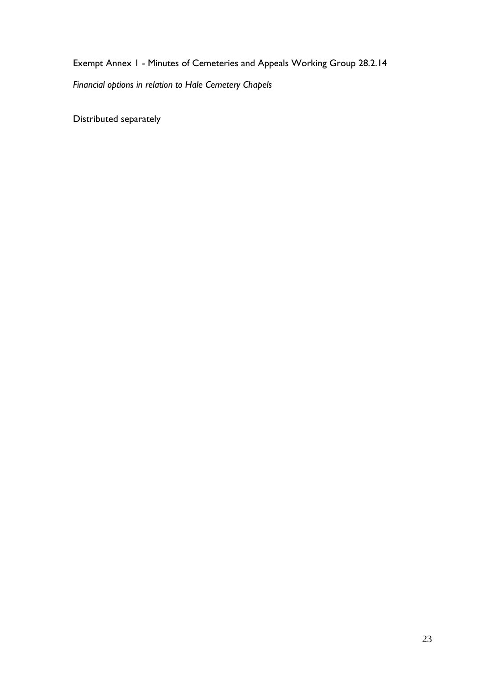Exempt Annex 1 - Minutes of Cemeteries and Appeals Working Group 28.2.14 *Financial options in relation to Hale Cemetery Chapels*

Distributed separately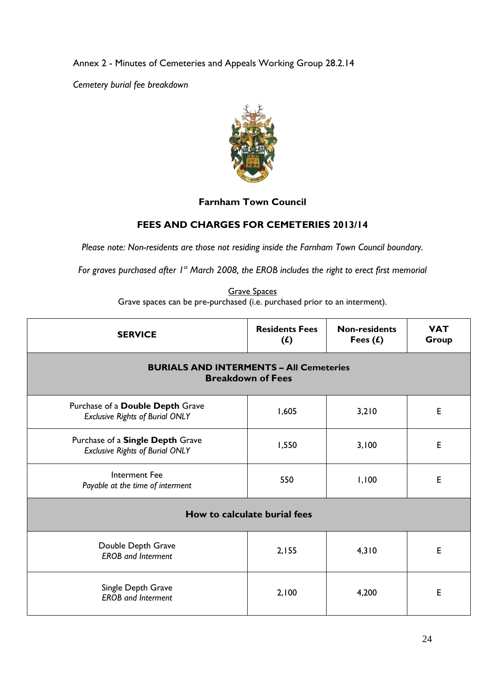Annex 2 - Minutes of Cemeteries and Appeals Working Group 28.2.14

*Cemetery burial fee breakdown*



# **Farnham Town Council**

# **FEES AND CHARGES FOR CEMETERIES 2013/14**

*Please note: Non-residents are those not residing inside the Farnham Town Council boundary.* 

*For graves purchased after 1st March 2008, the EROB includes the right to erect first memorial*

Grave Spaces Grave spaces can be pre-purchased (i.e. purchased prior to an interment).

| <b>SERVICE</b>                                                             | <b>Residents Fees</b><br>$(f)$ | <b>Non-residents</b><br>Fees $(f)$ | <b>VAT</b><br>Group |
|----------------------------------------------------------------------------|--------------------------------|------------------------------------|---------------------|
| <b>BURIALS AND INTERMENTS - All Cemeteries</b><br><b>Breakdown of Fees</b> |                                |                                    |                     |
| Purchase of a Double Depth Grave<br><b>Exclusive Rights of Burial ONLY</b> | 1,605                          | 3,210                              | E                   |
| Purchase of a Single Depth Grave<br><b>Exclusive Rights of Burial ONLY</b> | 1,550                          | 3,100                              | E                   |
| <b>Interment Fee</b><br>Payable at the time of interment                   | 550                            | 1,100                              | E                   |
| How to calculate burial fees                                               |                                |                                    |                     |
| Double Depth Grave<br><b>EROB</b> and Interment                            | 2,155                          | 4,310                              | E                   |
| Single Depth Grave<br><b>EROB</b> and Interment                            | 2,100                          | 4,200                              | E                   |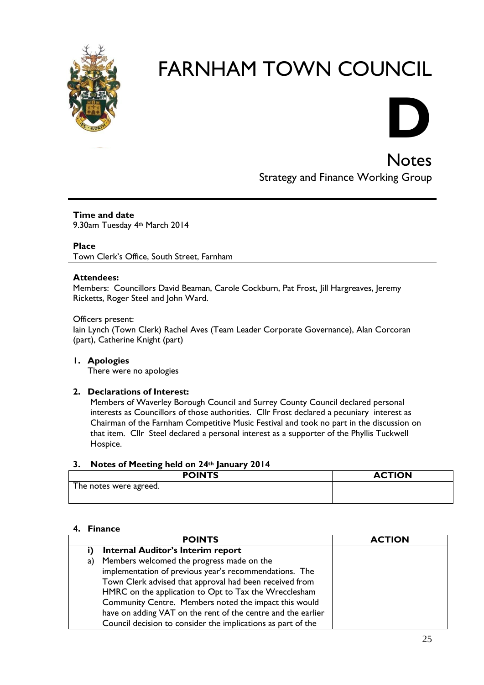



**Notes** Strategy and Finance Working Group

**Time and date** 9.30am Tuesday 4th March 2014

**Place**

Town Clerk's Office, South Street, Farnham

#### **Attendees:**

Members: Councillors David Beaman, Carole Cockburn, Pat Frost, Jill Hargreaves, Jeremy Ricketts, Roger Steel and John Ward.

Officers present: Iain Lynch (Town Clerk) Rachel Aves (Team Leader Corporate Governance), Alan Corcoran (part), Catherine Knight (part)

**1. Apologies** There were no apologies

#### **2. Declarations of Interest:**

Members of Waverley Borough Council and Surrey County Council declared personal interests as Councillors of those authorities. Cllr Frost declared a pecuniary interest as Chairman of the Farnham Competitive Music Festival and took no part in the discussion on that item. Cllr Steel declared a personal interest as a supporter of the Phyllis Tuckwell Hospice.

#### **3. Notes of Meeting held on 24th January 2014**

| <b>POINTS</b>          | <b>ACTION</b> |
|------------------------|---------------|
| The notes were agreed. |               |

#### **4. Finance**

| <b>POINTS</b>                                                | <b>ACTION</b> |
|--------------------------------------------------------------|---------------|
| <b>Internal Auditor's Interim report</b>                     |               |
| Members welcomed the progress made on the<br>a)              |               |
| implementation of previous year's recommendations. The       |               |
| Town Clerk advised that approval had been received from      |               |
| HMRC on the application to Opt to Tax the Wrecclesham        |               |
| Community Centre. Members noted the impact this would        |               |
| have on adding VAT on the rent of the centre and the earlier |               |
| Council decision to consider the implications as part of the |               |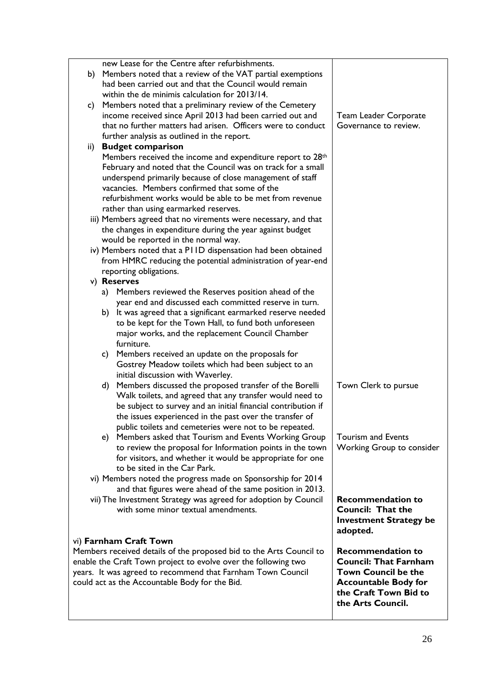|     | new Lease for the Centre after refurbishments.                                                                                         |                               |
|-----|----------------------------------------------------------------------------------------------------------------------------------------|-------------------------------|
| b)  | Members noted that a review of the VAT partial exemptions                                                                              |                               |
|     | had been carried out and that the Council would remain                                                                                 |                               |
|     | within the de minimis calculation for 2013/14.                                                                                         |                               |
| c)  | Members noted that a preliminary review of the Cemetery                                                                                |                               |
|     | income received since April 2013 had been carried out and                                                                              | <b>Team Leader Corporate</b>  |
|     | that no further matters had arisen. Officers were to conduct                                                                           | Governance to review.         |
|     | further analysis as outlined in the report.                                                                                            |                               |
| ii) | <b>Budget comparison</b>                                                                                                               |                               |
|     | Members received the income and expenditure report to 28 <sup>th</sup><br>February and noted that the Council was on track for a small |                               |
|     | underspend primarily because of close management of staff                                                                              |                               |
|     | vacancies. Members confirmed that some of the                                                                                          |                               |
|     | refurbishment works would be able to be met from revenue                                                                               |                               |
|     | rather than using earmarked reserves.                                                                                                  |                               |
|     | iii) Members agreed that no virements were necessary, and that                                                                         |                               |
|     | the changes in expenditure during the year against budget                                                                              |                               |
|     | would be reported in the normal way.                                                                                                   |                               |
|     | iv) Members noted that a PIID dispensation had been obtained                                                                           |                               |
|     | from HMRC reducing the potential administration of year-end                                                                            |                               |
|     | reporting obligations.                                                                                                                 |                               |
|     | v) Reserves                                                                                                                            |                               |
|     | a) Members reviewed the Reserves position ahead of the                                                                                 |                               |
|     | year end and discussed each committed reserve in turn.                                                                                 |                               |
|     | b) It was agreed that a significant earmarked reserve needed                                                                           |                               |
|     | to be kept for the Town Hall, to fund both unforeseen                                                                                  |                               |
|     | major works, and the replacement Council Chamber                                                                                       |                               |
|     | furniture.                                                                                                                             |                               |
|     | Members received an update on the proposals for<br>C)<br>Gostrey Meadow toilets which had been subject to an                           |                               |
|     | initial discussion with Waverley.                                                                                                      |                               |
|     | d) Members discussed the proposed transfer of the Borelli                                                                              | Town Clerk to pursue          |
|     | Walk toilets, and agreed that any transfer would need to                                                                               |                               |
|     | be subject to survey and an initial financial contribution if                                                                          |                               |
|     | the issues experienced in the past over the transfer of                                                                                |                               |
|     | public toilets and cemeteries were not to be repeated.                                                                                 |                               |
|     | e) Members asked that Tourism and Events Working Group                                                                                 | Tourism and Events            |
|     | to review the proposal for Information points in the town                                                                              | Working Group to consider     |
|     | for visitors, and whether it would be appropriate for one                                                                              |                               |
|     | to be sited in the Car Park.                                                                                                           |                               |
|     | vi) Members noted the progress made on Sponsorship for 2014                                                                            |                               |
|     | and that figures were ahead of the same position in 2013.                                                                              |                               |
|     | vii) The Investment Strategy was agreed for adoption by Council                                                                        | <b>Recommendation to</b>      |
|     | with some minor textual amendments.                                                                                                    | <b>Council: That the</b>      |
|     |                                                                                                                                        | <b>Investment Strategy be</b> |
|     | vi) Farnham Craft Town                                                                                                                 | adopted.                      |
|     | Members received details of the proposed bid to the Arts Council to                                                                    | <b>Recommendation to</b>      |
|     | enable the Craft Town project to evolve over the following two                                                                         | <b>Council: That Farnham</b>  |
|     | years. It was agreed to recommend that Farnham Town Council                                                                            | <b>Town Council be the</b>    |
|     | could act as the Accountable Body for the Bid.                                                                                         | <b>Accountable Body for</b>   |
|     |                                                                                                                                        | the Craft Town Bid to         |
|     |                                                                                                                                        | the Arts Council.             |
|     |                                                                                                                                        |                               |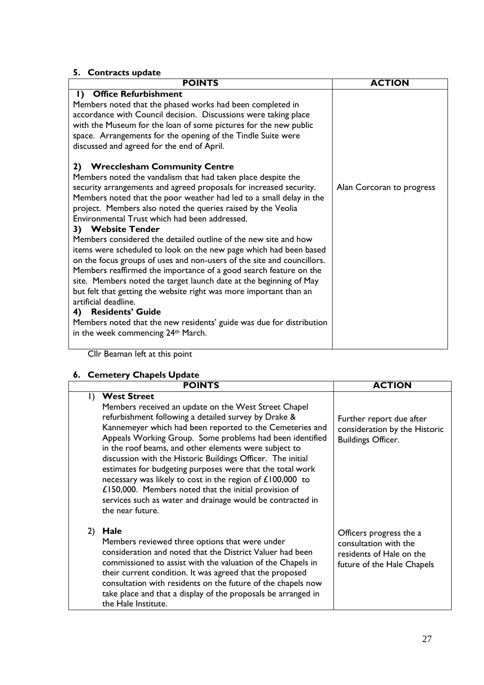# **5. Contracts update**

| <b>POINTS</b>                                                                                                                                                                                                                                                                                                                                                                                                                                                                                                                                                                                                                                                                                                                                                                                                                                                                                                                                                                                            | <b>ACTION</b>             |
|----------------------------------------------------------------------------------------------------------------------------------------------------------------------------------------------------------------------------------------------------------------------------------------------------------------------------------------------------------------------------------------------------------------------------------------------------------------------------------------------------------------------------------------------------------------------------------------------------------------------------------------------------------------------------------------------------------------------------------------------------------------------------------------------------------------------------------------------------------------------------------------------------------------------------------------------------------------------------------------------------------|---------------------------|
| <b>Office Refurbishment</b><br>I)<br>Members noted that the phased works had been completed in<br>accordance with Council decision. Discussions were taking place<br>with the Museum for the loan of some pictures for the new public<br>space. Arrangements for the opening of the Tindle Suite were<br>discussed and agreed for the end of April.                                                                                                                                                                                                                                                                                                                                                                                                                                                                                                                                                                                                                                                      |                           |
| 2) Wrecclesham Community Centre<br>Members noted the vandalism that had taken place despite the<br>security arrangements and agreed proposals for increased security.<br>Members noted that the poor weather had led to a small delay in the<br>project. Members also noted the queries raised by the Veolia<br>Environmental Trust which had been addressed.<br>3) Website Tender<br>Members considered the detailed outline of the new site and how<br>items were scheduled to look on the new page which had been based<br>on the focus groups of uses and non-users of the site and councillors.<br>Members reaffirmed the importance of a good search feature on the<br>site. Members noted the target launch date at the beginning of May<br>but felt that getting the website right was more important than an<br>artificial deadline.<br><b>Residents' Guide</b><br>4)<br>Members noted that the new residents' guide was due for distribution<br>in the week commencing 24 <sup>th</sup> March. | Alan Corcoran to progress |

Cllr Beaman left at this point

# **6. Cemetery Chapels Update**

|              | <b>POINTS</b>                                                                                                                                                                                                                                                                                                                                                                                                                                                                                                                                                                                                                                           | <b>ACTION</b>                                                                                              |
|--------------|---------------------------------------------------------------------------------------------------------------------------------------------------------------------------------------------------------------------------------------------------------------------------------------------------------------------------------------------------------------------------------------------------------------------------------------------------------------------------------------------------------------------------------------------------------------------------------------------------------------------------------------------------------|------------------------------------------------------------------------------------------------------------|
| $\mathsf{I}$ | <b>West Street</b><br>Members received an update on the West Street Chapel<br>refurbishment following a detailed survey by Drake &<br>Kannemeyer which had been reported to the Cemeteries and<br>Appeals Working Group. Some problems had been identified<br>in the roof beams, and other elements were subject to<br>discussion with the Historic Buildings Officer. The initial<br>estimates for budgeting purposes were that the total work<br>necessary was likely to cost in the region of £100,000 to<br>£150,000. Members noted that the initial provision of<br>services such as water and drainage would be contracted in<br>the near future. | Further report due after<br>consideration by the Historic<br><b>Buildings Officer.</b>                     |
| 2)           | Hale<br>Members reviewed three options that were under<br>consideration and noted that the District Valuer had been<br>commissioned to assist with the valuation of the Chapels in<br>their current condition. It was agreed that the proposed<br>consultation with residents on the future of the chapels now<br>take place and that a display of the proposals be arranged in<br>the Hale Institute.                                                                                                                                                                                                                                                  | Officers progress the a<br>consultation with the<br>residents of Hale on the<br>future of the Hale Chapels |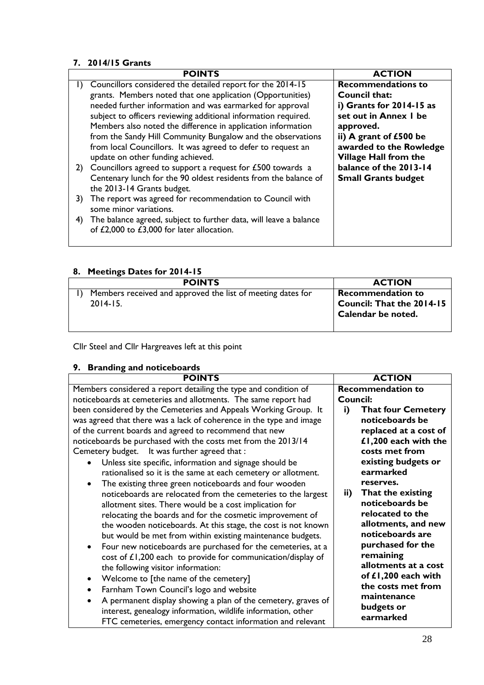# **7. 2014/15 Grants**

|              | <b>POINTS</b>                                                     | <b>ACTION</b>                |
|--------------|-------------------------------------------------------------------|------------------------------|
| $\mathbf{D}$ | Councillors considered the detailed report for the 2014-15        | <b>Recommendations to</b>    |
|              | grants. Members noted that one application (Opportunities)        | Council that:                |
|              | needed further information and was earmarked for approval         | i) Grants for 2014-15 as     |
|              | subject to officers reviewing additional information required.    | set out in Annex I be        |
|              | Members also noted the difference in application information      | approved.                    |
|              | from the Sandy Hill Community Bungalow and the observations       | ii) A grant of $£500$ be     |
|              | from local Councillors. It was agreed to defer to request an      | awarded to the Rowledge      |
|              | update on other funding achieved.                                 | <b>Village Hall from the</b> |
|              | 2) Councillors agreed to support a request for £500 towards a     | balance of the 2013-14       |
|              | Centenary lunch for the 90 oldest residents from the balance of   | <b>Small Grants budget</b>   |
|              | the 2013-14 Grants budget.                                        |                              |
| 3)           | The report was agreed for recommendation to Council with          |                              |
|              | some minor variations.                                            |                              |
| 4)           | The balance agreed, subject to further data, will leave a balance |                              |
|              | of £2,000 to £3,000 for later allocation.                         |                              |
|              |                                                                   |                              |

# **8. Meetings Dates for 2014-15**

| <b>POINTS</b>                                               | <b>ACTION</b>                                   |
|-------------------------------------------------------------|-------------------------------------------------|
| Members received and approved the list of meeting dates for | <b>Recommendation to</b>                        |
| $2014 - 15.$                                                | Council: That the 2014-15<br>Calendar be noted. |
|                                                             |                                                 |

Cllr Steel and Cllr Hargreaves left at this point

# **9. Branding and noticeboards**

| <b>POINTS</b>                                                             | <b>ACTION</b>                   |
|---------------------------------------------------------------------------|---------------------------------|
| Members considered a report detailing the type and condition of           | <b>Recommendation to</b>        |
| noticeboards at cemeteries and allotments. The same report had            | <b>Council:</b>                 |
| been considered by the Cemeteries and Appeals Working Group. It           | i)<br><b>That four Cemetery</b> |
| was agreed that there was a lack of coherence in the type and image       | noticeboards be                 |
| of the current boards and agreed to recommend that new                    | replaced at a cost of           |
| noticeboards be purchased with the costs met from the 2013/14             | £1,200 each with the            |
| Cemetery budget. It was further agreed that :                             | costs met from                  |
| Unless site specific, information and signage should be<br>$\bullet$      | existing budgets or             |
| rationalised so it is the same at each cemetery or allotment.             | earmarked                       |
| The existing three green noticeboards and four wooden<br>$\bullet$        | reserves.                       |
| noticeboards are relocated from the cemeteries to the largest             | That the existing<br>ii)        |
| allotment sites. There would be a cost implication for                    | noticeboards be                 |
| relocating the boards and for the cosmetic improvement of                 | relocated to the                |
| the wooden noticeboards. At this stage, the cost is not known             | allotments, and new             |
| but would be met from within existing maintenance budgets.                | noticeboards are                |
| Four new noticeboards are purchased for the cemeteries, at a<br>$\bullet$ | purchased for the               |
| cost of £1,200 each to provide for communication/display of               | remaining                       |
| the following visitor information:                                        | allotments at a cost            |
| Welcome to [the name of the cemetery]<br>$\bullet$                        | of £1,200 each with             |
| Farnham Town Council's logo and website                                   | the costs met from              |
| A permanent display showing a plan of the cemetery, graves of             | maintenance                     |
| interest, genealogy information, wildlife information, other              | budgets or                      |
| FTC cemeteries, emergency contact information and relevant                | earmarked                       |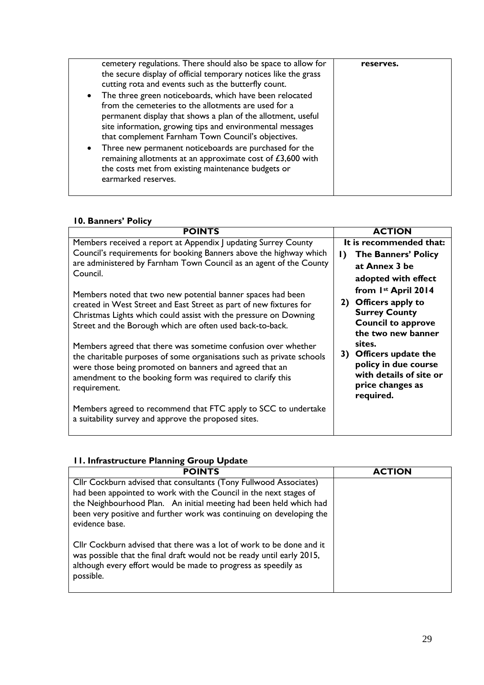| cemetery regulations. There should also be space to allow for<br>the secure display of official temporary notices like the grass<br>cutting rota and events such as the butterfly count.<br>The three green noticeboards, which have been relocated<br>$\bullet$<br>from the cemeteries to the allotments are used for a<br>permanent display that shows a plan of the allotment, useful<br>site information, growing tips and environmental messages<br>that complement Farnham Town Council's objectives.<br>Three new permanent noticeboards are purchased for the<br>$\bullet$<br>remaining allotments at an approximate cost of $£3,600$ with<br>the costs met from existing maintenance budgets or<br>earmarked reserves. | reserves. |
|---------------------------------------------------------------------------------------------------------------------------------------------------------------------------------------------------------------------------------------------------------------------------------------------------------------------------------------------------------------------------------------------------------------------------------------------------------------------------------------------------------------------------------------------------------------------------------------------------------------------------------------------------------------------------------------------------------------------------------|-----------|

### **10. Banners' Policy**

| <b>POINTS</b>                                                                                                                                                                                                                                                                   | <b>ACTION</b>                                                                                                           |
|---------------------------------------------------------------------------------------------------------------------------------------------------------------------------------------------------------------------------------------------------------------------------------|-------------------------------------------------------------------------------------------------------------------------|
| Members received a report at Appendix J updating Surrey County                                                                                                                                                                                                                  | It is recommended that:                                                                                                 |
| Council's requirements for booking Banners above the highway which                                                                                                                                                                                                              | <b>The Banners' Policy</b><br>$\mathbf{D}$                                                                              |
| are administered by Farnham Town Council as an agent of the County                                                                                                                                                                                                              | at Annex 3 be                                                                                                           |
| Council.                                                                                                                                                                                                                                                                        | adopted with effect                                                                                                     |
| Members noted that two new potential banner spaces had been                                                                                                                                                                                                                     | from 1st April 2014                                                                                                     |
| created in West Street and East Street as part of new fixtures for<br>Christmas Lights which could assist with the pressure on Downing<br>Street and the Borough which are often used back-to-back.                                                                             | Officers apply to<br>2)<br><b>Surrey County</b><br><b>Council to approve</b><br>the two new banner                      |
| Members agreed that there was sometime confusion over whether<br>the charitable purposes of some organisations such as private schools<br>were those being promoted on banners and agreed that an<br>amendment to the booking form was required to clarify this<br>requirement. | sites.<br>Officers update the<br>3)<br>policy in due course<br>with details of site or<br>price changes as<br>required. |
| Members agreed to recommend that FTC apply to SCC to undertake<br>a suitability survey and approve the proposed sites.                                                                                                                                                          |                                                                                                                         |

# **11. Infrastructure Planning Group Update**

| <b>POINTS</b>                                                                                                                                                                                                                                                                                          | <b>ACTION</b> |
|--------------------------------------------------------------------------------------------------------------------------------------------------------------------------------------------------------------------------------------------------------------------------------------------------------|---------------|
| Cllr Cockburn advised that consultants (Tony Fullwood Associates)<br>had been appointed to work with the Council in the next stages of<br>the Neighbourhood Plan. An initial meeting had been held which had<br>been very positive and further work was continuing on developing the<br>evidence base. |               |
| Cllr Cockburn advised that there was a lot of work to be done and it<br>was possible that the final draft would not be ready until early 2015,<br>although every effort would be made to progress as speedily as<br>possible.                                                                          |               |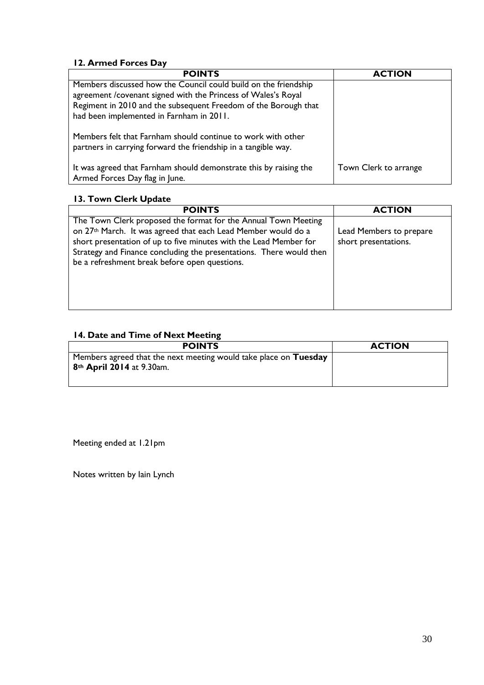# **12. Armed Forces Day**

| <b>POINTS</b>                                                                                                                  | <b>ACTION</b>         |
|--------------------------------------------------------------------------------------------------------------------------------|-----------------------|
| Members discussed how the Council could build on the friendship                                                                |                       |
| agreement / covenant signed with the Princess of Wales's Royal                                                                 |                       |
| Regiment in 2010 and the subsequent Freedom of the Borough that                                                                |                       |
| had been implemented in Farnham in 2011.                                                                                       |                       |
| Members felt that Farnham should continue to work with other<br>partners in carrying forward the friendship in a tangible way. |                       |
| It was agreed that Farnham should demonstrate this by raising the<br>Armed Forces Day flag in June.                            | Town Clerk to arrange |

# **13. Town Clerk Update**

| <b>POINTS</b>                                                                                                                                                                                                                                                                                                                            | <b>ACTION</b>                                   |
|------------------------------------------------------------------------------------------------------------------------------------------------------------------------------------------------------------------------------------------------------------------------------------------------------------------------------------------|-------------------------------------------------|
| The Town Clerk proposed the format for the Annual Town Meeting<br>on 27 <sup>th</sup> March. It was agreed that each Lead Member would do a<br>short presentation of up to five minutes with the Lead Member for<br>Strategy and Finance concluding the presentations. There would then<br>be a refreshment break before open questions. | Lead Members to prepare<br>short presentations. |

# **14. Date and Time of Next Meeting**

| <b>POINTS</b>                                                                                             | <b>ACTION</b> |
|-----------------------------------------------------------------------------------------------------------|---------------|
| Members agreed that the next meeting would take place on Tuesday<br>8 <sup>th</sup> April 2014 at 9.30am. |               |

Meeting ended at 1.21pm

Notes written by Iain Lynch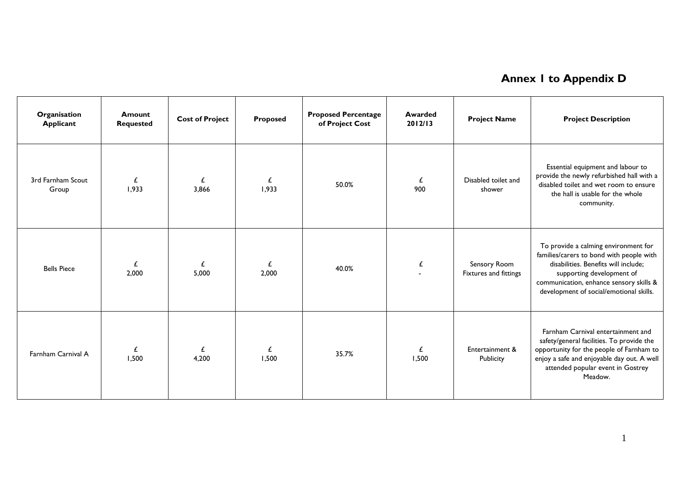# **Annex 1 to Appendix D**

| Organisation<br><b>Applicant</b> | <b>Amount</b><br><b>Requested</b> | <b>Cost of Project</b> | Proposed   | <b>Proposed Percentage</b><br>of Project Cost | <b>Awarded</b><br>2012/13 | <b>Project Name</b>                   | <b>Project Description</b>                                                                                                                                                                                                                  |
|----------------------------------|-----------------------------------|------------------------|------------|-----------------------------------------------|---------------------------|---------------------------------------|---------------------------------------------------------------------------------------------------------------------------------------------------------------------------------------------------------------------------------------------|
| 3rd Farnham Scout<br>Group       | £<br>1,933                        | £<br>3.866             | £<br>1,933 | 50.0%                                         | £<br>900                  | Disabled toilet and<br>shower         | Essential equipment and labour to<br>provide the newly refurbished hall with a<br>disabled toilet and wet room to ensure<br>the hall is usable for the whole<br>community.                                                                  |
| <b>Bells Piece</b>               | £<br>2,000                        | £<br>5,000             | £<br>2,000 | 40.0%                                         | $\pmb{\mathit{f}}$        | Sensory Room<br>Fixtures and fittings | To provide a calming environment for<br>families/carers to bond with people with<br>disabilities. Benefits will include;<br>supporting development of<br>communication, enhance sensory skills &<br>development of social/emotional skills. |
| Farnham Carnival A               | £<br>1,500                        | £<br>4,200             | £<br>1,500 | 35.7%                                         | £<br>1,500                | Entertainment &<br>Publicity          | Farnham Carnival entertainment and<br>safety/general facilities. To provide the<br>opportunity for the people of Farnham to<br>enjoy a safe and enjoyable day out. A well<br>attended popular event in Gostrey<br>Meadow.                   |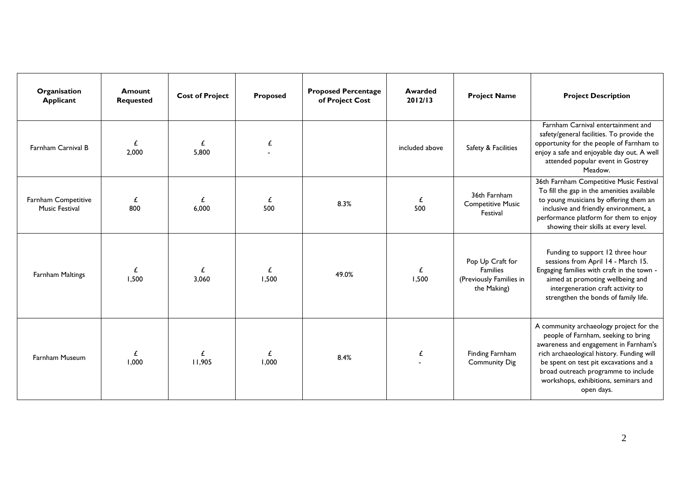| Organisation<br><b>Applicant</b>             | Amount<br><b>Requested</b> | <b>Cost of Project</b> | Proposed   | <b>Proposed Percentage</b><br>of Project Cost | <b>Awarded</b><br>2012/13 | <b>Project Name</b>                                                           | <b>Project Description</b>                                                                                                                                                                                                                                                                                  |
|----------------------------------------------|----------------------------|------------------------|------------|-----------------------------------------------|---------------------------|-------------------------------------------------------------------------------|-------------------------------------------------------------------------------------------------------------------------------------------------------------------------------------------------------------------------------------------------------------------------------------------------------------|
| Farnham Carnival B                           | £<br>2,000                 | £<br>5,800             | £          |                                               | included above            | Safety & Facilities                                                           | Farnham Carnival entertainment and<br>safety/general facilities. To provide the<br>opportunity for the people of Farnham to<br>enjoy a safe and enjoyable day out. A well<br>attended popular event in Gostrey<br>Meadow.                                                                                   |
| Farnham Competitive<br><b>Music Festival</b> | £<br>800                   | £<br>6.000             | £<br>500   | 8.3%                                          | £<br>500                  | 36th Farnham<br><b>Competitive Music</b><br>Festival                          | 36th Farnham Competitive Music Festival<br>To fill the gap in the amenities available<br>to young musicians by offering them an<br>inclusive and friendly environment, a<br>performance platform for them to enjoy<br>showing their skills at every level.                                                  |
| Farnham Maltings                             | £<br>1,500                 | £<br>3.060             | £<br>1,500 | 49.0%                                         | £<br>1,500                | Pop Up Craft for<br><b>Families</b><br>(Previously Families in<br>the Making) | Funding to support 12 three hour<br>sessions from April 14 - March 15.<br>Engaging families with craft in the town -<br>aimed at promoting wellbeing and<br>intergeneration craft activity to<br>strengthen the bonds of family life.                                                                       |
| <b>Farnham Museum</b>                        | £<br>1,000                 | £<br>11,905            | £<br>1,000 | 8.4%                                          | £                         | Finding Farnham<br><b>Community Dig</b>                                       | A community archaeology project for the<br>people of Farnham, seeking to bring<br>awareness and engagement in Farnham's<br>rich archaeological history. Funding will<br>be spent on test pit excavations and a<br>broad outreach programme to include<br>workshops, exhibitions, seminars and<br>open days. |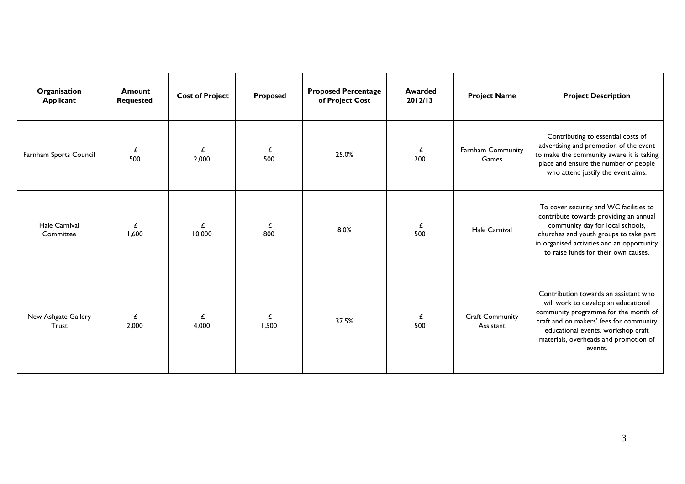| Organisation<br><b>Applicant</b> | <b>Amount</b><br><b>Requested</b> | <b>Cost of Project</b> | Proposed   | <b>Proposed Percentage</b><br>of Project Cost | Awarded<br>2012/13 | <b>Project Name</b>                 | <b>Project Description</b>                                                                                                                                                                                                                                |
|----------------------------------|-----------------------------------|------------------------|------------|-----------------------------------------------|--------------------|-------------------------------------|-----------------------------------------------------------------------------------------------------------------------------------------------------------------------------------------------------------------------------------------------------------|
| Farnham Sports Council           | £<br>500                          | £<br>2,000             | £<br>500   | 25.0%                                         | £<br>200           | <b>Farnham Community</b><br>Games   | Contributing to essential costs of<br>advertising and promotion of the event<br>to make the community aware it is taking<br>place and ensure the number of people<br>who attend justify the event aims.                                                   |
| Hale Carnival<br>Committee       | £<br>1,600                        | £<br>10,000            | £<br>800   | 8.0%                                          | £<br>500           | Hale Carnival                       | To cover security and WC facilities to<br>contribute towards providing an annual<br>community day for local schools,<br>churches and youth groups to take part<br>in organised activities and an opportunity<br>to raise funds for their own causes.      |
| New Ashgate Gallery<br>Trust     | £<br>2,000                        | £<br>4.000             | £<br>1,500 | 37.5%                                         | £<br>500           | <b>Craft Community</b><br>Assistant | Contribution towards an assistant who<br>will work to develop an educational<br>community programme for the month of<br>craft and on makers' fees for community<br>educational events, workshop craft<br>materials, overheads and promotion of<br>events. |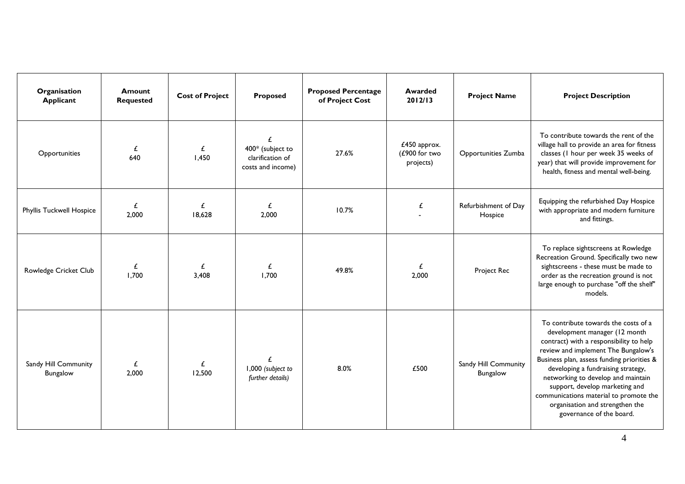| Organisation<br><b>Applicant</b>        | Amount<br><b>Requested</b> | <b>Cost of Project</b> | Proposed                                                       | <b>Proposed Percentage</b><br>of Project Cost | Awarded<br>2012/13                         | <b>Project Name</b>              | <b>Project Description</b>                                                                                                                                                                                                                                                                                                                                                                                                   |
|-----------------------------------------|----------------------------|------------------------|----------------------------------------------------------------|-----------------------------------------------|--------------------------------------------|----------------------------------|------------------------------------------------------------------------------------------------------------------------------------------------------------------------------------------------------------------------------------------------------------------------------------------------------------------------------------------------------------------------------------------------------------------------------|
| Opportunities                           | £<br>640                   | £<br>1,450             | £<br>400* (subject to<br>clarification of<br>costs and income) | 27.6%                                         | £450 approx.<br>(£900 for two<br>projects) | Opportunities Zumba              | To contribute towards the rent of the<br>village hall to provide an area for fitness<br>classes (I hour per week 35 weeks of<br>year) that will provide improvement for<br>health, fitness and mental well-being.                                                                                                                                                                                                            |
| <b>Phyllis Tuckwell Hospice</b>         | £<br>2,000                 | £<br>18,628            | £<br>2,000                                                     | 10.7%                                         | £                                          | Refurbishment of Day<br>Hospice  | Equipping the refurbished Day Hospice<br>with appropriate and modern furniture<br>and fittings.                                                                                                                                                                                                                                                                                                                              |
| Rowledge Cricket Club                   | £<br>1,700                 | £<br>3,408             | £<br>1.700                                                     | 49.8%                                         | £<br>2,000                                 | Project Rec                      | To replace sightscreens at Rowledge<br>Recreation Ground. Specifically two new<br>sightscreens - these must be made to<br>order as the recreation ground is not<br>large enough to purchase "off the shelf"<br>models.                                                                                                                                                                                                       |
| Sandy Hill Community<br><b>Bungalow</b> | £<br>2,000                 | £<br>12,500            | £<br>1,000 (subject to<br>further details)                     | 8.0%                                          | £500                                       | Sandy Hill Community<br>Bungalow | To contribute towards the costs of a<br>development manager (12 month<br>contract) with a responsibility to help<br>review and implement The Bungalow's<br>Business plan, assess funding priorities &<br>developing a fundraising strategy,<br>networking to develop and maintain<br>support, develop marketing and<br>communications material to promote the<br>organisation and strengthen the<br>governance of the board. |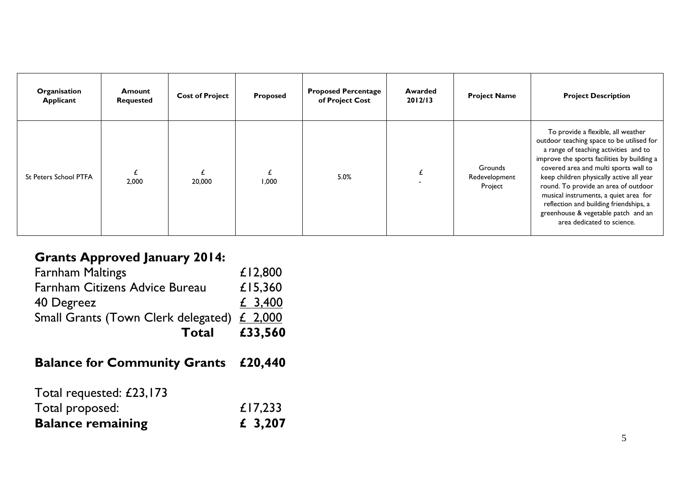| Organisation<br>Applicant    | Amount<br><b>Requested</b> | <b>Cost of Project</b> | Proposed | <b>Proposed Percentage</b><br>of Project Cost | Awarded<br>2012/13 | <b>Project Name</b>                 | <b>Project Description</b>                                                                                                                                                                                                                                                                                                                                                                                                                                   |
|------------------------------|----------------------------|------------------------|----------|-----------------------------------------------|--------------------|-------------------------------------|--------------------------------------------------------------------------------------------------------------------------------------------------------------------------------------------------------------------------------------------------------------------------------------------------------------------------------------------------------------------------------------------------------------------------------------------------------------|
| <b>St Peters School PTFA</b> | 2,000                      | 20,000                 | 1.000    | 5.0%                                          |                    | Grounds<br>Redevelopment<br>Project | To provide a flexible, all weather<br>outdoor teaching space to be utilised for<br>a range of teaching activities and to<br>improve the sports facilities by building a<br>covered area and multi sports wall to<br>keep children physically active all year<br>round. To provide an area of outdoor<br>musical instruments, a quiet area for<br>reflection and building friendships, a<br>greenhouse & vegetable patch and an<br>area dedicated to science. |

# **Grants Approved January 2014:**

| Total                                       | £33,560 |
|---------------------------------------------|---------|
| Small Grants (Town Clerk delegated) £ 2,000 |         |
| 40 Degreez                                  | £ 3,400 |
| <b>Farnham Citizens Advice Bureau</b>       | £15,360 |
| <b>Farnham Maltings</b>                     | £12,800 |

# **Balance for Community Grants £20,440**

| <b>Balance remaining</b> | £ 3,207 |
|--------------------------|---------|
| Total proposed:          | £17,233 |
| Total requested: £23,173 |         |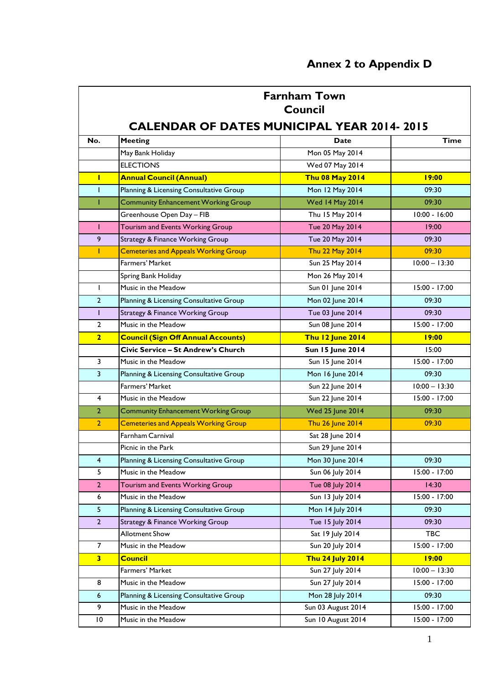|                         | <b>Farnham Town</b><br><b>Council</b>             |                         |                 |  |  |  |  |  |  |  |
|-------------------------|---------------------------------------------------|-------------------------|-----------------|--|--|--|--|--|--|--|
|                         | <b>CALENDAR OF DATES MUNICIPAL YEAR 2014-2015</b> |                         |                 |  |  |  |  |  |  |  |
| No.                     | <b>Meeting</b>                                    | Date                    | <b>Time</b>     |  |  |  |  |  |  |  |
|                         | May Bank Holiday                                  | Mon 05 May 2014         |                 |  |  |  |  |  |  |  |
|                         | <b>ELECTIONS</b>                                  | Wed 07 May 2014         |                 |  |  |  |  |  |  |  |
| Т                       | <b>Annual Council (Annual)</b>                    | <b>Thu 08 May 2014</b>  | 19:00           |  |  |  |  |  |  |  |
| T                       | Planning & Licensing Consultative Group           | Mon 12 May 2014         | 09:30           |  |  |  |  |  |  |  |
| T                       | <b>Community Enhancement Working Group</b>        | <b>Wed 14 May 2014</b>  | 09:30           |  |  |  |  |  |  |  |
|                         | Greenhouse Open Day - FIB                         | Thu 15 May 2014         | $10:00 - 16:00$ |  |  |  |  |  |  |  |
| T.                      | Tourism and Events Working Group                  | Tue 20 May 2014         | 19:00           |  |  |  |  |  |  |  |
| 9                       | <b>Strategy &amp; Finance Working Group</b>       | Tue 20 May 2014         | 09:30           |  |  |  |  |  |  |  |
| T.                      | <b>Cemeteries and Appeals Working Group</b>       | Thu 22 May 2014         | 09:30           |  |  |  |  |  |  |  |
|                         | Farmers' Market                                   | Sun 25 May 2014         | $10:00 - 13:30$ |  |  |  |  |  |  |  |
|                         | Spring Bank Holiday                               | Mon 26 May 2014         |                 |  |  |  |  |  |  |  |
| $\mathbf{I}$            | Music in the Meadow                               | Sun 01 June 2014        | 15:00 - 17:00   |  |  |  |  |  |  |  |
| $\overline{2}$          | Planning & Licensing Consultative Group           | Mon 02 June 2014        | 09:30           |  |  |  |  |  |  |  |
| T                       | <b>Strategy &amp; Finance Working Group</b>       | Tue 03 June 2014        | 09:30           |  |  |  |  |  |  |  |
| $\overline{2}$          | Music in the Meadow                               | Sun 08 June 2014        | 15:00 - 17:00   |  |  |  |  |  |  |  |
| $\overline{2}$          | <b>Council (Sign Off Annual Accounts)</b>         | <b>Thu 12 June 2014</b> | 19:00           |  |  |  |  |  |  |  |
|                         | Civic Service - St Andrew's Church                | <b>Sun 15 June 2014</b> | 15:00           |  |  |  |  |  |  |  |
| 3                       | Music in the Meadow                               | Sun 15 June 2014        | 15:00 - 17:00   |  |  |  |  |  |  |  |
| $\overline{3}$          | Planning & Licensing Consultative Group           | Mon 16 June 2014        | 09:30           |  |  |  |  |  |  |  |
|                         | Farmers' Market                                   | Sun 22 June 2014        | $10:00 - 13:30$ |  |  |  |  |  |  |  |
| $\overline{4}$          | Music in the Meadow                               | Sun 22 June 2014        | 15:00 - 17:00   |  |  |  |  |  |  |  |
| $\overline{2}$          | <b>Community Enhancement Working Group</b>        | <b>Wed 25 June 2014</b> | 09:30           |  |  |  |  |  |  |  |
| $\overline{2}$          | <b>Cemeteries and Appeals Working Group</b>       | Thu 26 June 2014        | 09:30           |  |  |  |  |  |  |  |
|                         | Farnham Carnival                                  | Sat 28 June 2014        |                 |  |  |  |  |  |  |  |
|                         | Picnic in the Park                                | Sun 29 June 2014        |                 |  |  |  |  |  |  |  |
| $\overline{\mathbf{4}}$ | Planning & Licensing Consultative Group           | Mon 30 June 2014        | 09:30           |  |  |  |  |  |  |  |
| 5                       | Music in the Meadow                               | Sun 06 July 2014        | 15:00 - 17:00   |  |  |  |  |  |  |  |
| $\overline{2}$          | Tourism and Events Working Group                  | Tue 08 July 2014        | 14:30           |  |  |  |  |  |  |  |
| 6                       | Music in the Meadow                               | Sun 13 July 2014        | 15:00 - 17:00   |  |  |  |  |  |  |  |
| 5 <sub>1</sub>          | Planning & Licensing Consultative Group           | Mon 14 July 2014        | 09:30           |  |  |  |  |  |  |  |
| $\overline{2}$          | Strategy & Finance Working Group                  | Tue 15 July 2014        | 09:30           |  |  |  |  |  |  |  |
|                         | <b>Allotment Show</b>                             | Sat 19 July 2014        | <b>TBC</b>      |  |  |  |  |  |  |  |
| $\overline{7}$          | Music in the Meadow                               | Sun 20 July 2014        | 15:00 - 17:00   |  |  |  |  |  |  |  |
| $\overline{\mathbf{3}}$ | <b>Council</b>                                    | <b>Thu 24 July 2014</b> | 19:00           |  |  |  |  |  |  |  |
|                         | Farmers' Market                                   | Sun 27 July 2014        | $10:00 - 13:30$ |  |  |  |  |  |  |  |
| 8                       | Music in the Meadow                               | Sun 27 July 2014        | 15:00 - 17:00   |  |  |  |  |  |  |  |
| $\boldsymbol{6}$        | Planning & Licensing Consultative Group           | Mon 28 July 2014        | 09:30           |  |  |  |  |  |  |  |
| 9                       | Music in the Meadow                               | Sun 03 August 2014      | 15:00 - 17:00   |  |  |  |  |  |  |  |
| $\overline{10}$         | Music in the Meadow                               | Sun 10 August 2014      | 15:00 - 17:00   |  |  |  |  |  |  |  |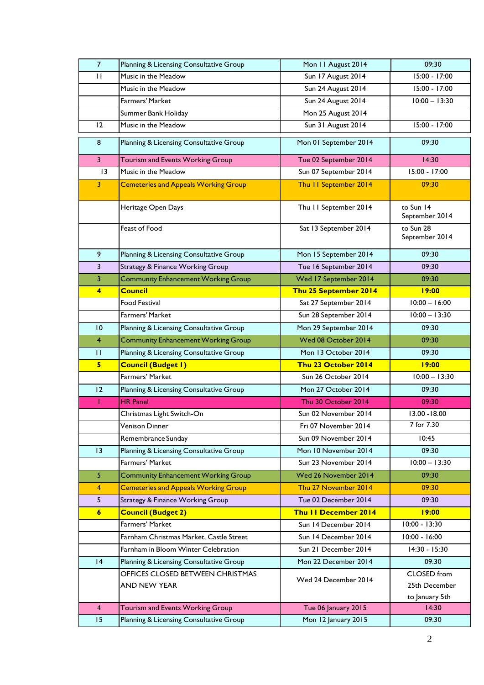| $\overline{7}$   | Planning & Licensing Consultative Group     | Mon 11 August 2014          | 09:30                       |
|------------------|---------------------------------------------|-----------------------------|-----------------------------|
| $\mathbf{H}$     | Music in the Meadow                         | Sun 17 August 2014          | 15:00 - 17:00               |
|                  | Music in the Meadow                         | Sun 24 August 2014          | 15:00 - 17:00               |
|                  | Farmers' Market                             | Sun 24 August 2014          | $10:00 - 13:30$             |
|                  | Summer Bank Holiday                         | Mon 25 August 2014          |                             |
| 12               | Music in the Meadow                         | Sun 31 August 2014          | 15:00 - 17:00               |
| 8                | Planning & Licensing Consultative Group     | Mon 01 September 2014       | 09:30                       |
| $\overline{3}$   | Tourism and Events Working Group            | Tue 02 September 2014       | 14:30                       |
| $\overline{13}$  | Music in the Meadow                         | Sun 07 September 2014       | 15:00 - 17:00               |
| 3                | <b>Cemeteries and Appeals Working Group</b> | Thu II September 2014       | 09:30                       |
|                  | Heritage Open Days                          | Thu II September 2014       | to Sun 14<br>September 2014 |
|                  | Feast of Food                               | Sat 13 September 2014       | to Sun 28<br>September 2014 |
| 9                | Planning & Licensing Consultative Group     | Mon 15 September 2014       | 09:30                       |
| 3                | <b>Strategy &amp; Finance Working Group</b> | Tue 16 September 2014       | 09:30                       |
| 3                | <b>Community Enhancement Working Group</b>  | Wed 17 September 2014       | 09:30                       |
| $\overline{4}$   | <b>Council</b>                              | Thu 25 September 2014       | 19:00                       |
|                  | <b>Food Festival</b>                        | Sat 27 September 2014       | $10:00 - 16:00$             |
|                  | Farmers' Market                             | Sun 28 September 2014       | $10:00 - 13:30$             |
| 10               | Planning & Licensing Consultative Group     | Mon 29 September 2014       | 09:30                       |
| $\overline{4}$   | <b>Community Enhancement Working Group</b>  | Wed 08 October 2014         | 09:30                       |
| П                | Planning & Licensing Consultative Group     | Mon 13 October 2014         | 09:30                       |
| 5 <sup>2</sup>   | <b>Council (Budget I)</b>                   | Thu 23 October 2014         | 19:00                       |
|                  | Farmers' Market                             | Sun 26 October 2014         | $10:00 - 13:30$             |
| 12               | Planning & Licensing Consultative Group     | Mon 27 October 2014         | 09:30                       |
| T                | <b>HR Panel</b>                             | Thu 30 October 2014         | 09:30                       |
|                  | Christmas Light Switch-On                   | Sun 02 November 2014        | 13.00 - 18.00               |
|                  | Venison Dinner                              | Fri 07 November 2014        | 7 for 7.30                  |
|                  | Remembrance Sunday                          | Sun 09 November 2014        | 10:45                       |
| 13               | Planning & Licensing Consultative Group     | Mon 10 November 2014        | 09:30                       |
|                  | Farmers' Market                             | Sun 23 November 2014        | $10:00 - 13:30$             |
| 5                | <b>Community Enhancement Working Group</b>  | Wed 26 November 2014        | 09:30                       |
| $\overline{4}$   | <b>Cemeteries and Appeals Working Group</b> | Thu 27 November 2014        | 09:30                       |
| 5                | <b>Strategy &amp; Finance Working Group</b> | Tue 02 December 2014        | 09:30                       |
| $\boldsymbol{6}$ | <b>Council (Budget 2)</b>                   | <b>Thu II December 2014</b> | 19:00                       |
|                  | Farmers' Market                             | Sun 14 December 2014        | $10:00 - 13:30$             |
|                  | Farnham Christmas Market, Castle Street     | Sun 14 December 2014        | $10:00 - 16:00$             |
|                  | Farnham in Bloom Winter Celebration         | Sun 21 December 2014        | 14:30 - 15:30               |
| 4                | Planning & Licensing Consultative Group     | Mon 22 December 2014        | 09:30                       |
|                  | OFFICES CLOSED BETWEEN CHRISTMAS            |                             | CLOSED from                 |
|                  | AND NEW YEAR                                | Wed 24 December 2014        | 25th December               |
|                  |                                             |                             | to January 5th              |
| $\overline{4}$   | Tourism and Events Working Group            | Tue 06 January 2015         | 14:30                       |
| 15               | Planning & Licensing Consultative Group     | Mon 12 January 2015         | 09:30                       |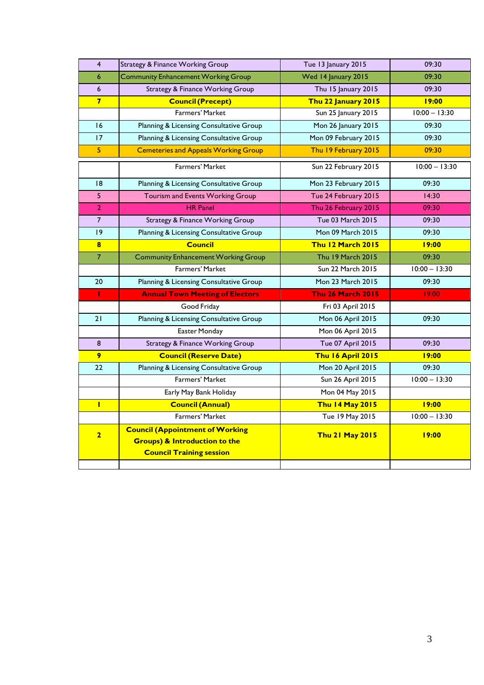| $\overline{4}$ | <b>Strategy &amp; Finance Working Group</b>                                                                           | Tue 13 January 2015      | 09:30           |
|----------------|-----------------------------------------------------------------------------------------------------------------------|--------------------------|-----------------|
| 6              | <b>Community Enhancement Working Group</b>                                                                            | Wed 14 January 2015      | 09:30           |
| 6              | <b>Strategy &amp; Finance Working Group</b>                                                                           | Thu 15 January 2015      | 09:30           |
| $\overline{7}$ | <b>Council (Precept)</b>                                                                                              | Thu 22 January 2015      | 19:00           |
|                | Farmers' Market                                                                                                       | Sun 25 January 2015      | $10:00 - 13:30$ |
| 16             | Planning & Licensing Consultative Group                                                                               | Mon 26 January 2015      | 09:30           |
| 17             | Planning & Licensing Consultative Group                                                                               | Mon 09 February 2015     | 09:30           |
| 5.             | <b>Cemeteries and Appeals Working Group</b>                                                                           | Thu 19 February 2015     | 09:30           |
|                | Farmers' Market                                                                                                       | Sun 22 February 2015     | $10:00 - 13:30$ |
| 8              | Planning & Licensing Consultative Group                                                                               | Mon 23 February 2015     | 09:30           |
| 5              | Tourism and Events Working Group                                                                                      | Tue 24 February 2015     | 14:30           |
| $\overline{2}$ | <b>HR Panel</b>                                                                                                       | Thu 26 February 2015     | 09:30           |
| $\overline{7}$ | <b>Strategy &amp; Finance Working Group</b>                                                                           | <b>Tue 03 March 2015</b> | 09:30           |
| 9              | Planning & Licensing Consultative Group                                                                               | Mon 09 March 2015        | 09:30           |
| $\bf{8}$       | <b>Council</b>                                                                                                        | <b>Thu 12 March 2015</b> | 19:00           |
| $\overline{7}$ | <b>Community Enhancement Working Group</b>                                                                            | Thu 19 March 2015        | 09:30           |
|                | <b>Farmers' Market</b>                                                                                                | Sun 22 March 2015        | $10:00 - 13:30$ |
| 20             | Planning & Licensing Consultative Group                                                                               | Mon 23 March 2015        | 09:30           |
| т              | <b>Annual Town Meeting of Electors</b>                                                                                | <b>Thu 26 March 2015</b> | 19:00           |
|                | Good Friday                                                                                                           | Fri 03 April 2015        |                 |
| 21             | Planning & Licensing Consultative Group                                                                               | Mon 06 April 2015        | 09:30           |
|                | Easter Monday                                                                                                         | Mon 06 April 2015        |                 |
| 8              | <b>Strategy &amp; Finance Working Group</b>                                                                           | Tue 07 April 2015        | 09:30           |
| 9              | <b>Council (Reserve Date)</b>                                                                                         | <b>Thu 16 April 2015</b> | 19:00           |
| 22             | Planning & Licensing Consultative Group                                                                               | Mon 20 April 2015        | 09:30           |
|                | Farmers' Market                                                                                                       | Sun 26 April 2015        | $10:00 - 13:30$ |
|                | Early May Bank Holiday                                                                                                | Mon 04 May 2015          |                 |
| Т              | <b>Council (Annual)</b>                                                                                               | <b>Thu 14 May 2015</b>   | 19:00           |
|                | <b>Farmers' Market</b>                                                                                                | Tue 19 May 2015          | $10:00 - 13:30$ |
| $\overline{2}$ | <b>Council (Appointment of Working</b><br><b>Groups) &amp; Introduction to the</b><br><b>Council Training session</b> | <b>Thu 21 May 2015</b>   | 19:00           |
|                |                                                                                                                       |                          |                 |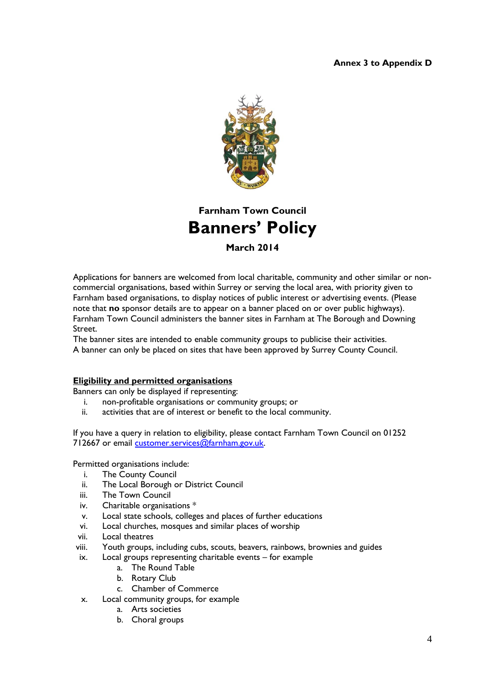#### **Annex 3 to Appendix D**



## **Farnham Town Council Banners' Policy**

**March 2014**

Applications for banners are welcomed from local charitable, community and other similar or noncommercial organisations, based within Surrey or serving the local area, with priority given to Farnham based organisations, to display notices of public interest or advertising events. (Please note that **no** sponsor details are to appear on a banner placed on or over public highways). Farnham Town Council administers the banner sites in Farnham at The Borough and Downing Street.

The banner sites are intended to enable community groups to publicise their activities. A banner can only be placed on sites that have been approved by Surrey County Council.

#### **Eligibility and permitted organisations**

Banners can only be displayed if representing:

- i. non-profitable organisations or community groups; or
- ii. activities that are of interest or benefit to the local community.

If you have a query in relation to eligibility, please contact Farnham Town Council on 01252 712667 or email [customer.services@farnham.gov.uk.](mailto:customer.services@farnham.gov.uk)

Permitted organisations include:

- i. The County Council
- ii. The Local Borough or District Council
- iii. The Town Council
- iv. Charitable organisations \*
- v. Local state schools, colleges and places of further educations
- vi. Local churches, mosques and similar places of worship
- vii. Local theatres
- viii. Youth groups, including cubs, scouts, beavers, rainbows, brownies and guides
- ix. Local groups representing charitable events for example
	- a. The Round Table
	- b. Rotary Club
	- c. Chamber of Commerce
- x. Local community groups, for example
	- a. Arts societies
	- b. Choral groups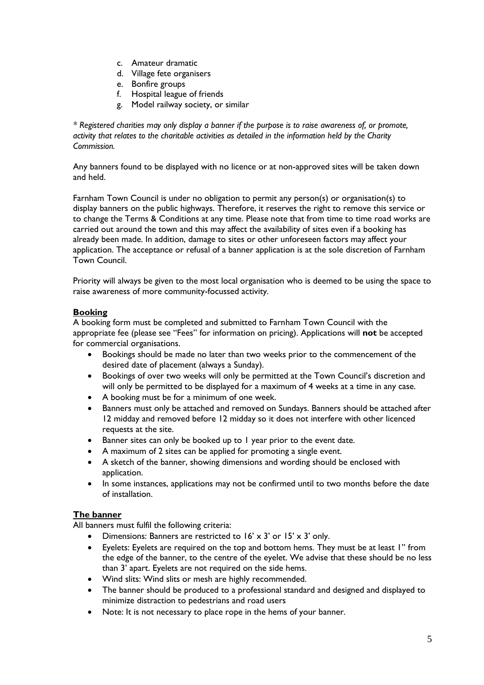- c. Amateur dramatic
- d. Village fete organisers
- e. Bonfire groups
- f. Hospital league of friends
- g. Model railway society, or similar

*\* Registered charities may only display a banner if the purpose is to raise awareness of, or promote, activity that relates to the charitable activities as detailed in the information held by the Charity Commission.*

Any banners found to be displayed with no licence or at non-approved sites will be taken down and held.

Farnham Town Council is under no obligation to permit any person(s) or organisation(s) to display banners on the public highways. Therefore, it reserves the right to remove this service or to change the Terms & Conditions at any time. Please note that from time to time road works are carried out around the town and this may affect the availability of sites even if a booking has already been made. In addition, damage to sites or other unforeseen factors may affect your application. The acceptance or refusal of a banner application is at the sole discretion of Farnham Town Council.

Priority will always be given to the most local organisation who is deemed to be using the space to raise awareness of more community-focussed activity.

#### **Booking**

A booking form must be completed and submitted to Farnham Town Council with the appropriate fee (please see "Fees" for information on pricing). Applications will **not** be accepted for commercial organisations.

- Bookings should be made no later than two weeks prior to the commencement of the desired date of placement (always a Sunday).
- Bookings of over two weeks will only be permitted at the Town Council's discretion and will only be permitted to be displayed for a maximum of 4 weeks at a time in any case.
- A booking must be for a minimum of one week.
- Banners must only be attached and removed on Sundays. Banners should be attached after 12 midday and removed before 12 midday so it does not interfere with other licenced requests at the site.
- Banner sites can only be booked up to 1 year prior to the event date.
- A maximum of 2 sites can be applied for promoting a single event.
- A sketch of the banner, showing dimensions and wording should be enclosed with application.
- In some instances, applications may not be confirmed until to two months before the date of installation.

#### **The banner**

All banners must fulfil the following criteria:

- Dimensions: Banners are restricted to  $16' \times 3'$  or  $15' \times 3'$  only.
- Eyelets: Eyelets are required on the top and bottom hems. They must be at least 1" from the edge of the banner, to the centre of the eyelet. We advise that these should be no less than 3' apart. Eyelets are not required on the side hems.
- Wind slits: Wind slits or mesh are highly recommended.
- The banner should be produced to a professional standard and designed and displayed to minimize distraction to pedestrians and road users
- Note: It is not necessary to place rope in the hems of your banner.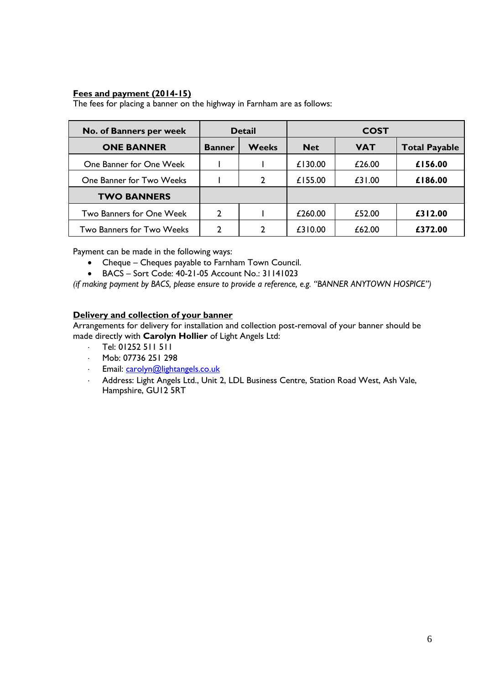#### **Fees and payment (2014-15)**

The fees for placing a banner on the highway in Farnham are as follows:

| No. of Banners per week   | <b>Detail</b> |              | <b>COST</b> |            |                      |
|---------------------------|---------------|--------------|-------------|------------|----------------------|
| <b>ONE BANNER</b>         | <b>Banner</b> | <b>Weeks</b> | <b>Net</b>  | <b>VAT</b> | <b>Total Payable</b> |
| One Banner for One Week   |               |              | £130.00     | £26.00     | £156.00              |
| One Banner for Two Weeks  |               | C            | £155.00     | £31.00     | £186.00              |
| <b>TWO BANNERS</b>        |               |              |             |            |                      |
| Two Banners for One Week  | 2             |              | £260.00     | £52.00     | £312.00              |
| Two Banners for Two Weeks | 2             |              | £310.00     | £62.00     | £372.00              |

Payment can be made in the following ways:

- Cheque Cheques payable to Farnham Town Council.
- BACS Sort Code: 40-21-05 Account No.: 31141023

*(if making payment by BACS, please ensure to provide a reference, e.g. "BANNER ANYTOWN HOSPICE")*

#### **Delivery and collection of your banner**

Arrangements for delivery for installation and collection post-removal of your banner should be made directly with **Carolyn Hollier** of Light Angels Ltd:

- Tel: 01252 511 511
- Mob: 07736 251 298
- Email: [carolyn@lightangels.co.uk](mailto:carolyn@lightangels.co.uk)
- Address: Light Angels Ltd., Unit 2, LDL Business Centre, Station Road West, Ash Vale, Hampshire, GU12 5RT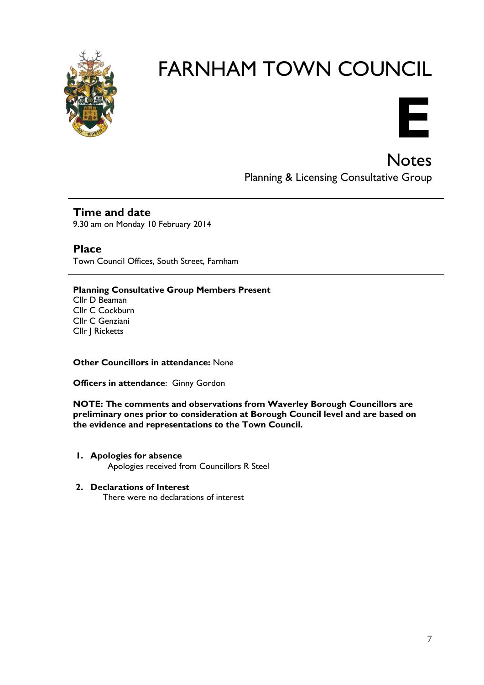

# FARNHAM TOWN COUNCIL



Notes Planning & Licensing Consultative Group

### **Time and date**

9.30 am on Monday 10 February 2014

**Place** Town Council Offices, South Street, Farnham

#### **Planning Consultative Group Members Present** Cllr D Beaman Cllr C Cockburn Cllr C Genziani Cllr J Ricketts

**Other Councillors in attendance:** None

**Officers in attendance**: Ginny Gordon

**NOTE: The comments and observations from Waverley Borough Councillors are preliminary ones prior to consideration at Borough Council level and are based on the evidence and representations to the Town Council.**

- **1. Apologies for absence** Apologies received from Councillors R Steel
- **2. Declarations of Interest**

There were no declarations of interest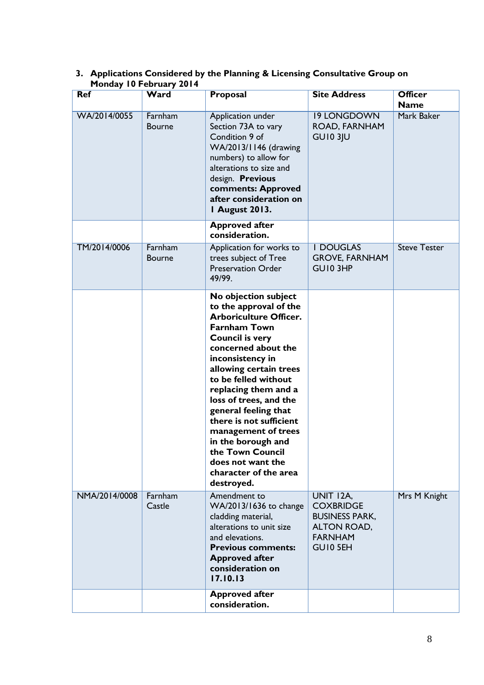| <b>Ref</b>    | Monday TV February 2014<br>Ward | Proposal                                                                                                                                                                                                                                                                                                                                                                                                                                                        | <b>Site Address</b>                                                                                 | <b>Officer</b>            |
|---------------|---------------------------------|-----------------------------------------------------------------------------------------------------------------------------------------------------------------------------------------------------------------------------------------------------------------------------------------------------------------------------------------------------------------------------------------------------------------------------------------------------------------|-----------------------------------------------------------------------------------------------------|---------------------------|
| WA/2014/0055  | Farnham<br><b>Bourne</b>        | Application under<br>Section 73A to vary<br>Condition 9 of<br>WA/2013/1146 (drawing<br>numbers) to allow for<br>alterations to size and<br>design. Previous<br>comments: Approved<br>after consideration on<br><b>I August 2013.</b>                                                                                                                                                                                                                            | <b>19 LONGDOWN</b><br>ROAD, FARNHAM<br><b>GU10 3JU</b>                                              | <b>Name</b><br>Mark Baker |
|               |                                 | <b>Approved after</b><br>consideration.                                                                                                                                                                                                                                                                                                                                                                                                                         |                                                                                                     |                           |
| TM/2014/0006  | Farnham<br><b>Bourne</b>        | Application for works to<br>trees subject of Tree<br><b>Preservation Order</b><br>49/99.                                                                                                                                                                                                                                                                                                                                                                        | <b>I DOUGLAS</b><br><b>GROVE, FARNHAM</b><br>GUI0 3HP                                               | <b>Steve Tester</b>       |
|               |                                 | No objection subject<br>to the approval of the<br><b>Arboriculture Officer.</b><br><b>Farnham Town</b><br><b>Council is very</b><br>concerned about the<br>inconsistency in<br>allowing certain trees<br>to be felled without<br>replacing them and a<br>loss of trees, and the<br>general feeling that<br>there is not sufficient<br>management of trees<br>in the borough and<br>the Town Council<br>does not want the<br>character of the area<br>destroyed. |                                                                                                     |                           |
| NMA/2014/0008 | Farnham<br>Castle               | Amendment to<br>WA/2013/1636 to change<br>cladding material,<br>alterations to unit size<br>and elevations.<br><b>Previous comments:</b><br><b>Approved after</b><br>consideration on<br>17.10.13                                                                                                                                                                                                                                                               | UNIT 12A,<br><b>COXBRIDGE</b><br><b>BUSINESS PARK,</b><br>ALTON ROAD,<br><b>FARNHAM</b><br>GUI0 5EH | Mrs M Knight              |
|               |                                 | <b>Approved after</b><br>consideration.                                                                                                                                                                                                                                                                                                                                                                                                                         |                                                                                                     |                           |

#### **3. Applications Considered by the Planning & Licensing Consultative Group on Monday 10 February 2014**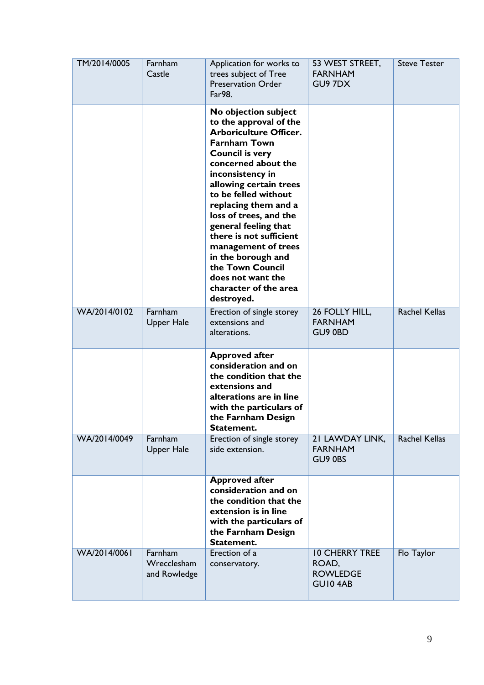| TM/2014/0005 | Farnham<br>Castle                      | Application for works to<br>trees subject of Tree<br><b>Preservation Order</b><br>Far98.                                                                                                                                                                                                                                                                                                                                                                        | 53 WEST STREET,<br><b>FARNHAM</b><br>GU97DX                  | <b>Steve Tester</b>  |
|--------------|----------------------------------------|-----------------------------------------------------------------------------------------------------------------------------------------------------------------------------------------------------------------------------------------------------------------------------------------------------------------------------------------------------------------------------------------------------------------------------------------------------------------|--------------------------------------------------------------|----------------------|
|              |                                        | No objection subject<br>to the approval of the<br><b>Arboriculture Officer.</b><br><b>Farnham Town</b><br><b>Council is very</b><br>concerned about the<br>inconsistency in<br>allowing certain trees<br>to be felled without<br>replacing them and a<br>loss of trees, and the<br>general feeling that<br>there is not sufficient<br>management of trees<br>in the borough and<br>the Town Council<br>does not want the<br>character of the area<br>destroyed. |                                                              |                      |
| WA/2014/0102 | Farnham<br>Upper Hale                  | Erection of single storey<br>extensions and<br>alterations.                                                                                                                                                                                                                                                                                                                                                                                                     | 26 FOLLY HILL,<br><b>FARNHAM</b><br>GU9 0BD                  | <b>Rachel Kellas</b> |
|              |                                        | <b>Approved after</b><br>consideration and on<br>the condition that the<br>extensions and<br>alterations are in line<br>with the particulars of<br>the Farnham Design<br>Statement.                                                                                                                                                                                                                                                                             |                                                              |                      |
| WA/2014/0049 | Farnham<br><b>Upper Hale</b>           | Erection of single storey<br>side extension.                                                                                                                                                                                                                                                                                                                                                                                                                    | 21 LAWDAY LINK,<br><b>FARNHAM</b><br>GU9 0BS                 | <b>Rachel Kellas</b> |
|              |                                        | <b>Approved after</b><br>consideration and on<br>the condition that the<br>extension is in line<br>with the particulars of<br>the Farnham Design<br>Statement.                                                                                                                                                                                                                                                                                                  |                                                              |                      |
| WA/2014/0061 | Farnham<br>Wrecclesham<br>and Rowledge | Erection of a<br>conservatory.                                                                                                                                                                                                                                                                                                                                                                                                                                  | <b>10 CHERRY TREE</b><br>ROAD,<br><b>ROWLEDGE</b><br>GUI04AB | Flo Taylor           |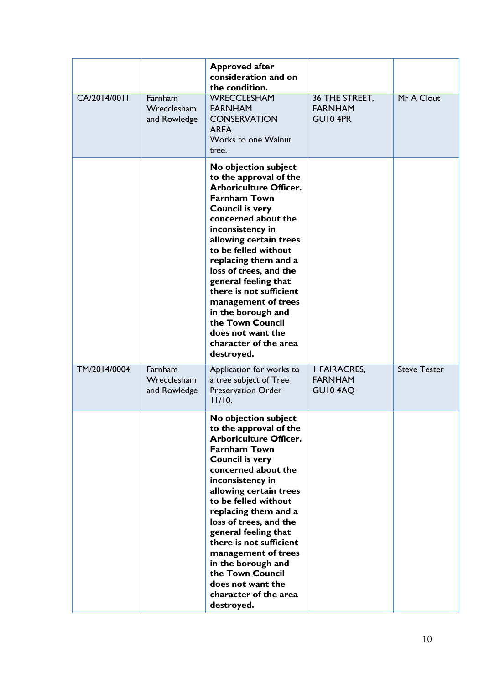|              |                                        | <b>Approved after</b><br>consideration and on<br>the condition.                                                                                                                                                                                                                                                                                                                                                                                                 |                                                  |                     |
|--------------|----------------------------------------|-----------------------------------------------------------------------------------------------------------------------------------------------------------------------------------------------------------------------------------------------------------------------------------------------------------------------------------------------------------------------------------------------------------------------------------------------------------------|--------------------------------------------------|---------------------|
| CA/2014/0011 | Farnham<br>Wrecclesham<br>and Rowledge | WRECCLESHAM<br><b>FARNHAM</b><br><b>CONSERVATION</b><br>AREA.<br>Works to one Walnut<br>tree.                                                                                                                                                                                                                                                                                                                                                                   | 36 THE STREET,<br><b>FARNHAM</b><br>GUI0 4PR     | Mr A Clout          |
|              |                                        | No objection subject<br>to the approval of the<br><b>Arboriculture Officer.</b><br><b>Farnham Town</b><br><b>Council is very</b><br>concerned about the<br>inconsistency in<br>allowing certain trees<br>to be felled without<br>replacing them and a<br>loss of trees, and the<br>general feeling that<br>there is not sufficient<br>management of trees<br>in the borough and<br>the Town Council<br>does not want the<br>character of the area<br>destroyed. |                                                  |                     |
| TM/2014/0004 | Farnham<br>Wrecclesham<br>and Rowledge | Application for works to<br>a tree subject of Tree<br><b>Preservation Order</b><br>11/10.                                                                                                                                                                                                                                                                                                                                                                       | <b>I FAIRACRES,</b><br><b>FARNHAM</b><br>GUI04AQ | <b>Steve Tester</b> |
|              |                                        | No objection subject<br>to the approval of the<br><b>Arboriculture Officer.</b><br><b>Farnham Town</b><br><b>Council is very</b><br>concerned about the<br>inconsistency in<br>allowing certain trees<br>to be felled without<br>replacing them and a<br>loss of trees, and the<br>general feeling that<br>there is not sufficient<br>management of trees<br>in the borough and<br>the Town Council<br>does not want the<br>character of the area<br>destroyed. |                                                  |                     |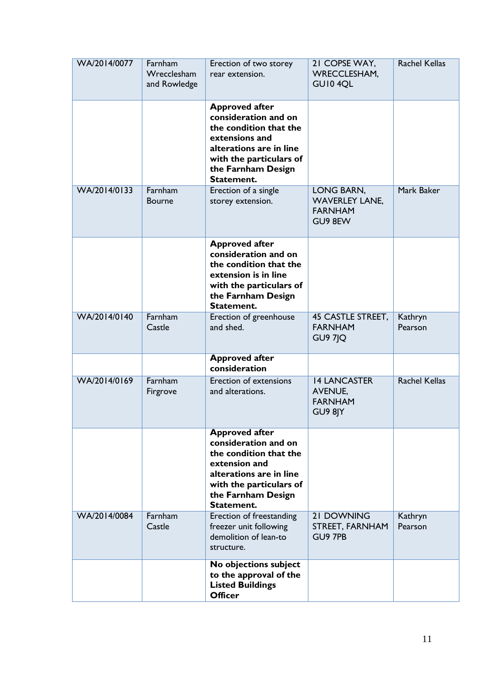| WA/2014/0077 | Farnham<br>Wrecclesham<br>and Rowledge | Erection of two storey<br>rear extension.                                                                                                                                           | 21 COPSE WAY,<br><b>WRECCLESHAM,</b><br>GUI04QL                    | <b>Rachel Kellas</b> |
|--------------|----------------------------------------|-------------------------------------------------------------------------------------------------------------------------------------------------------------------------------------|--------------------------------------------------------------------|----------------------|
|              |                                        | <b>Approved after</b><br>consideration and on<br>the condition that the<br>extensions and<br>alterations are in line<br>with the particulars of<br>the Farnham Design<br>Statement. |                                                                    |                      |
| WA/2014/0133 | Farnham<br><b>Bourne</b>               | Erection of a single<br>storey extension.                                                                                                                                           | LONG BARN,<br><b>WAVERLEY LANE,</b><br><b>FARNHAM</b><br>GU9 8EW   | Mark Baker           |
|              |                                        | <b>Approved after</b><br>consideration and on<br>the condition that the<br>extension is in line<br>with the particulars of<br>the Farnham Design<br>Statement.                      |                                                                    |                      |
| WA/2014/0140 | Farnham<br>Castle                      | Erection of greenhouse<br>and shed.                                                                                                                                                 | <b>45 CASTLE STREET,</b><br><b>FARNHAM</b><br><b>GU9 7JQ</b>       | Kathryn<br>Pearson   |
|              |                                        | <b>Approved after</b><br>consideration                                                                                                                                              |                                                                    |                      |
| WA/2014/0169 | Farnham<br>Firgrove                    | Erection of extensions<br>and alterations.                                                                                                                                          | <b>14 LANCASTER</b><br><b>AVENUE,</b><br><b>FARNHAM</b><br>GU9 8JY | <b>Rachel Kellas</b> |
|              |                                        | <b>Approved after</b><br>consideration and on<br>the condition that the<br>extension and<br>alterations are in line<br>with the particulars of<br>the Farnham Design<br>Statement.  |                                                                    |                      |
| WA/2014/0084 | Farnham<br>Castle                      | Erection of freestanding<br>freezer unit following<br>demolition of lean-to<br>structure.                                                                                           | <b>21 DOWNING</b><br>STREET, FARNHAM<br>GU9 7PB                    | Kathryn<br>Pearson   |
|              |                                        | No objections subject<br>to the approval of the<br><b>Listed Buildings</b><br><b>Officer</b>                                                                                        |                                                                    |                      |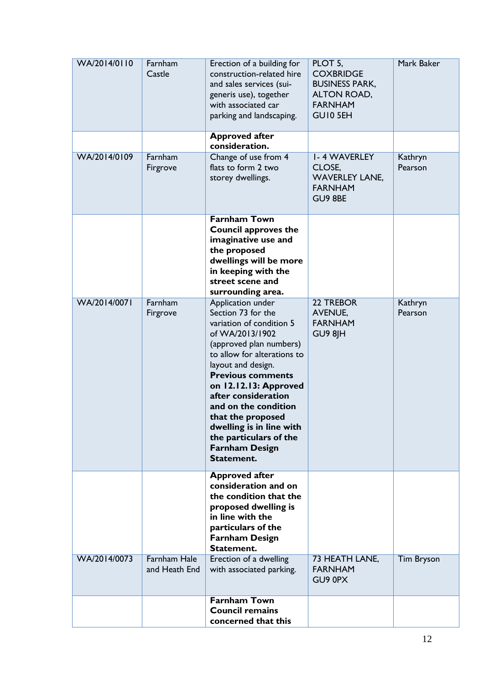| WA/2014/0110 | Farnham<br>Castle                    | Erection of a building for<br>construction-related hire<br>and sales services (sui-<br>generis use), together<br>with associated car<br>parking and landscaping.                                                                                                                                                                                                                             | PLOT 5,<br><b>COXBRIDGE</b><br><b>BUSINESS PARK,</b><br>ALTON ROAD,<br><b>FARNHAM</b><br>GUI0 5EH | Mark Baker         |
|--------------|--------------------------------------|----------------------------------------------------------------------------------------------------------------------------------------------------------------------------------------------------------------------------------------------------------------------------------------------------------------------------------------------------------------------------------------------|---------------------------------------------------------------------------------------------------|--------------------|
|              |                                      | <b>Approved after</b><br>consideration.                                                                                                                                                                                                                                                                                                                                                      |                                                                                                   |                    |
| WA/2014/0109 | Farnham<br>Firgrove                  | Change of use from 4<br>flats to form 2 two<br>storey dwellings.                                                                                                                                                                                                                                                                                                                             | <b>I-4 WAVERLEY</b><br>CLOSE,<br><b>WAVERLEY LANE,</b><br><b>FARNHAM</b><br>GU9 8BE               | Kathryn<br>Pearson |
|              |                                      | <b>Farnham Town</b><br><b>Council approves the</b><br>imaginative use and<br>the proposed<br>dwellings will be more<br>in keeping with the<br>street scene and<br>surrounding area.                                                                                                                                                                                                          |                                                                                                   |                    |
| WA/2014/0071 | Farnham<br>Firgrove                  | Application under<br>Section 73 for the<br>variation of condition 5<br>of WA/2013/1902<br>(approved plan numbers)<br>to allow for alterations to<br>layout and design.<br><b>Previous comments</b><br>on 12.12.13: Approved<br>after consideration<br>and on the condition<br>that the proposed<br>dwelling is in line with<br>the particulars of the<br><b>Farnham Design</b><br>Statement. | 22 TREBOR<br><b>AVENUE,</b><br><b>FARNHAM</b><br>GU9 8JH                                          | Kathryn<br>Pearson |
|              |                                      | <b>Approved after</b><br>consideration and on<br>the condition that the<br>proposed dwelling is<br>in line with the<br>particulars of the<br><b>Farnham Design</b><br>Statement.                                                                                                                                                                                                             |                                                                                                   |                    |
| WA/2014/0073 | <b>Farnham Hale</b><br>and Heath End | Erection of a dwelling<br>with associated parking.                                                                                                                                                                                                                                                                                                                                           | 73 HEATH LANE,<br><b>FARNHAM</b><br>GU9 0PX                                                       | <b>Tim Bryson</b>  |
|              |                                      | <b>Farnham Town</b><br><b>Council remains</b><br>concerned that this                                                                                                                                                                                                                                                                                                                         |                                                                                                   |                    |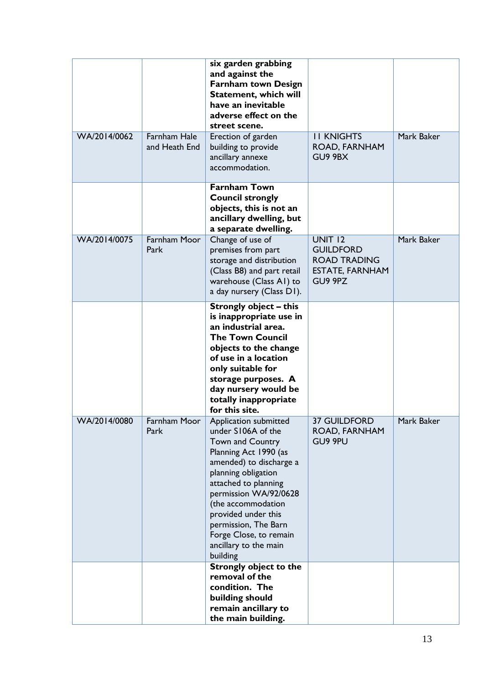|              |                               | six garden grabbing<br>and against the<br><b>Farnham town Design</b><br>Statement, which will<br>have an inevitable<br>adverse effect on the<br>street scene.                                                                                                                                                                          |                                                                                                |            |
|--------------|-------------------------------|----------------------------------------------------------------------------------------------------------------------------------------------------------------------------------------------------------------------------------------------------------------------------------------------------------------------------------------|------------------------------------------------------------------------------------------------|------------|
| WA/2014/0062 | Farnham Hale<br>and Heath End | Erection of garden<br>building to provide<br>ancillary annexe<br>accommodation.                                                                                                                                                                                                                                                        | <b>II KNIGHTS</b><br>ROAD, FARNHAM<br>GU9 9BX                                                  | Mark Baker |
|              |                               | <b>Farnham Town</b><br><b>Council strongly</b><br>objects, this is not an<br>ancillary dwelling, but<br>a separate dwelling.                                                                                                                                                                                                           |                                                                                                |            |
| WA/2014/0075 | <b>Farnham Moor</b><br>Park   | Change of use of<br>premises from part<br>storage and distribution<br>(Class B8) and part retail<br>warehouse (Class A1) to<br>a day nursery (Class D1).                                                                                                                                                                               | <b>UNIT 12</b><br><b>GUILDFORD</b><br><b>ROAD TRADING</b><br><b>ESTATE, FARNHAM</b><br>GU9 9PZ | Mark Baker |
|              |                               | <b>Strongly object - this</b><br>is inappropriate use in<br>an industrial area.<br><b>The Town Council</b><br>objects to the change<br>of use in a location<br>only suitable for<br>storage purposes. A<br>day nursery would be<br>totally inappropriate<br>for this site.                                                             |                                                                                                |            |
| WA/2014/0080 | Farnham Moor<br>Park          | Application submitted<br>under S106A of the<br><b>Town and Country</b><br>Planning Act 1990 (as<br>amended) to discharge a<br>planning obligation<br>attached to planning<br>permission WA/92/0628<br>(the accommodation<br>provided under this<br>permission, The Barn<br>Forge Close, to remain<br>ancillary to the main<br>building | <b>37 GUILDFORD</b><br>ROAD, FARNHAM<br>GU9 9PU                                                | Mark Baker |
|              |                               | <b>Strongly object to the</b><br>removal of the<br>condition. The<br>building should<br>remain ancillary to<br>the main building.                                                                                                                                                                                                      |                                                                                                |            |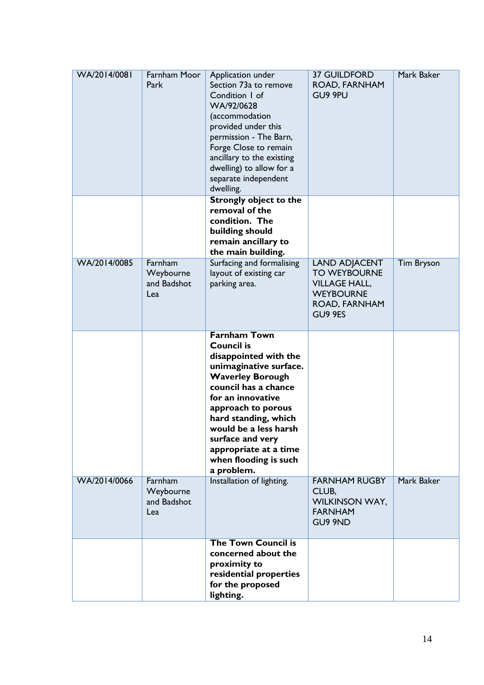| WA/2014/0081 | Farnham Moor<br>Park                       | Application under<br>Section 73a to remove<br>Condition I of<br>WA/92/0628<br>(accommodation<br>provided under this<br>permission - The Barn,<br>Forge Close to remain<br>ancillary to the existing<br>dwelling) to allow for a<br>separate independent<br>dwelling.                                                           | <b>37 GUILDFORD</b><br>ROAD, FARNHAM<br>GU9 9PU                                                                     | Mark Baker        |
|--------------|--------------------------------------------|--------------------------------------------------------------------------------------------------------------------------------------------------------------------------------------------------------------------------------------------------------------------------------------------------------------------------------|---------------------------------------------------------------------------------------------------------------------|-------------------|
|              |                                            | <b>Strongly object to the</b><br>removal of the<br>condition. The<br>building should<br>remain ancillary to<br>the main building.                                                                                                                                                                                              |                                                                                                                     |                   |
| WA/2014/0085 | Farnham<br>Weybourne<br>and Badshot<br>Lea | Surfacing and formalising<br>layout of existing car<br>parking area.                                                                                                                                                                                                                                                           | <b>LAND ADJACENT</b><br><b>TO WEYBOURNE</b><br><b>VILLAGE HALL,</b><br><b>WEYBOURNE</b><br>ROAD, FARNHAM<br>GU9 9ES | <b>Tim Bryson</b> |
|              |                                            | <b>Farnham Town</b><br><b>Council is</b><br>disappointed with the<br>unimaginative surface.<br><b>Waverley Borough</b><br>council has a chance<br>for an innovative<br>approach to porous<br>hard standing, which<br>would be a less harsh<br>surface and very<br>appropriate at a time<br>when flooding is such<br>a problem. |                                                                                                                     |                   |
| WA/2014/0066 | Farnham<br>Weybourne<br>and Badshot<br>Lea | Installation of lighting.                                                                                                                                                                                                                                                                                                      | <b>FARNHAM RUGBY</b><br>CLUB,<br><b>WILKINSON WAY,</b><br><b>FARNHAM</b><br>GU9 9ND                                 | Mark Baker        |
|              |                                            | <b>The Town Council is</b><br>concerned about the<br>proximity to<br>residential properties<br>for the proposed<br>lighting.                                                                                                                                                                                                   |                                                                                                                     |                   |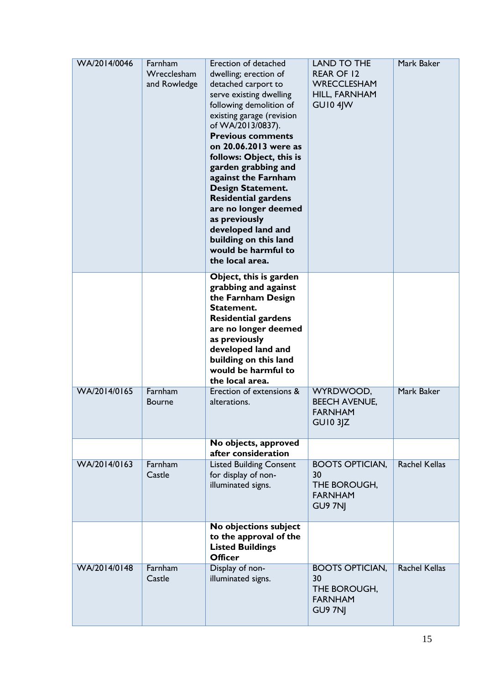| WA/2014/0046 | Farnham<br>Wrecclesham<br>and Rowledge | Erection of detached<br>dwelling; erection of<br>detached carport to<br>serve existing dwelling<br>following demolition of<br>existing garage (revision<br>of WA/2013/0837).<br><b>Previous comments</b><br>on 20.06.2013 were as<br>follows: Object, this is<br>garden grabbing and<br>against the Farnham<br><b>Design Statement.</b><br><b>Residential gardens</b><br>are no longer deemed<br>as previously<br>developed land and<br>building on this land<br>would be harmful to<br>the local area. | <b>LAND TO THE</b><br><b>REAR OF 12</b><br>WRECCLESHAM<br>HILL, FARNHAM<br><b>GU10 4JW</b> | Mark Baker           |
|--------------|----------------------------------------|---------------------------------------------------------------------------------------------------------------------------------------------------------------------------------------------------------------------------------------------------------------------------------------------------------------------------------------------------------------------------------------------------------------------------------------------------------------------------------------------------------|--------------------------------------------------------------------------------------------|----------------------|
|              |                                        | Object, this is garden<br>grabbing and against<br>the Farnham Design<br>Statement.<br><b>Residential gardens</b><br>are no longer deemed<br>as previously<br>developed land and<br>building on this land<br>would be harmful to<br>the local area.                                                                                                                                                                                                                                                      |                                                                                            |                      |
| WA/2014/0165 | Farnham<br><b>Bourne</b>               | Erection of extensions &<br>alterations.                                                                                                                                                                                                                                                                                                                                                                                                                                                                | WYRDWOOD,<br><b>BEECH AVENUE,</b><br><b>FARNHAM</b><br><b>GUI0 3JZ</b>                     | Mark Baker           |
|              |                                        | No objects, approved<br>after consideration                                                                                                                                                                                                                                                                                                                                                                                                                                                             |                                                                                            |                      |
| WA/2014/0163 | Farnham<br>Castle                      | <b>Listed Building Consent</b><br>for display of non-<br>illuminated signs.                                                                                                                                                                                                                                                                                                                                                                                                                             | <b>BOOTS OPTICIAN,</b><br>30<br>THE BOROUGH,<br><b>FARNHAM</b><br>GU9 7NI                  | <b>Rachel Kellas</b> |
|              |                                        | No objections subject<br>to the approval of the<br><b>Listed Buildings</b><br><b>Officer</b>                                                                                                                                                                                                                                                                                                                                                                                                            |                                                                                            |                      |
| WA/2014/0148 | Farnham<br>Castle                      | Display of non-<br>illuminated signs.                                                                                                                                                                                                                                                                                                                                                                                                                                                                   | <b>BOOTS OPTICIAN,</b><br>30<br>THE BOROUGH,<br><b>FARNHAM</b><br>GU9 7NJ                  | <b>Rachel Kellas</b> |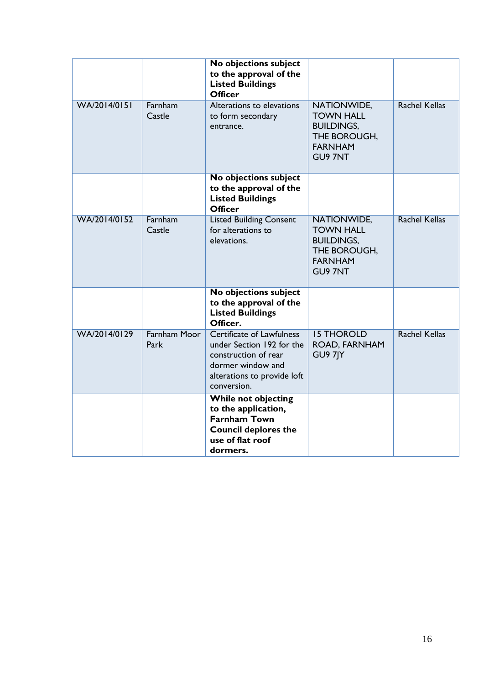|              |                             | No objections subject<br>to the approval of the<br><b>Listed Buildings</b><br><b>Officer</b>                                                             |                                                                                                          |                      |
|--------------|-----------------------------|----------------------------------------------------------------------------------------------------------------------------------------------------------|----------------------------------------------------------------------------------------------------------|----------------------|
| WA/2014/0151 | Farnham<br>Castle           | Alterations to elevations<br>to form secondary<br>entrance.                                                                                              | NATIONWIDE,<br><b>TOWN HALL</b><br><b>BUILDINGS,</b><br>THE BOROUGH,<br><b>FARNHAM</b><br><b>GU9 7NT</b> | <b>Rachel Kellas</b> |
|              |                             | No objections subject<br>to the approval of the<br><b>Listed Buildings</b><br><b>Officer</b>                                                             |                                                                                                          |                      |
| WA/2014/0152 | Farnham<br>Castle           | <b>Listed Building Consent</b><br>for alterations to<br>elevations.                                                                                      | NATIONWIDE,<br><b>TOWN HALL</b><br><b>BUILDINGS,</b><br>THE BOROUGH,<br><b>FARNHAM</b><br><b>GU9 7NT</b> | <b>Rachel Kellas</b> |
|              |                             | No objections subject<br>to the approval of the<br><b>Listed Buildings</b><br>Officer.                                                                   |                                                                                                          |                      |
| WA/2014/0129 | <b>Farnham Moor</b><br>Park | <b>Certificate of Lawfulness</b><br>under Section 192 for the<br>construction of rear<br>dormer window and<br>alterations to provide loft<br>conversion. | <b>IS THOROLD</b><br>ROAD, FARNHAM<br>GU97JY                                                             | <b>Rachel Kellas</b> |
|              |                             | <b>While not objecting</b><br>to the application,<br><b>Farnham Town</b><br><b>Council deplores the</b><br>use of flat roof<br>dormers.                  |                                                                                                          |                      |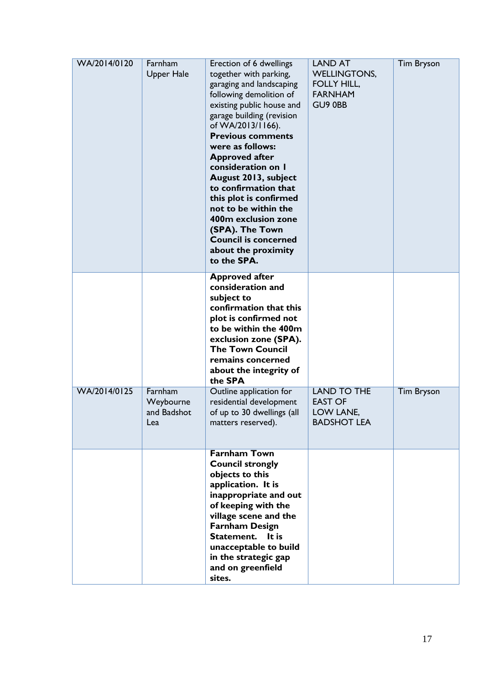| WA/2014/0120 | Farnham<br><b>Upper Hale</b>               | Erection of 6 dwellings<br>together with parking,<br>garaging and landscaping<br>following demolition of<br>existing public house and<br>garage building (revision<br>of WA/2013/1166).<br><b>Previous comments</b><br>were as follows:<br><b>Approved after</b><br>consideration on I<br>August 2013, subject<br>to confirmation that<br>this plot is confirmed<br>not to be within the<br>400m exclusion zone<br>(SPA). The Town<br><b>Council is concerned</b><br>about the proximity<br>to the SPA. | <b>LAND AT</b><br><b>WELLINGTONS,</b><br><b>FOLLY HILL,</b><br><b>FARNHAM</b><br>GU9 0BB | <b>Tim Bryson</b> |
|--------------|--------------------------------------------|---------------------------------------------------------------------------------------------------------------------------------------------------------------------------------------------------------------------------------------------------------------------------------------------------------------------------------------------------------------------------------------------------------------------------------------------------------------------------------------------------------|------------------------------------------------------------------------------------------|-------------------|
|              |                                            | <b>Approved after</b><br>consideration and<br>subject to<br>confirmation that this<br>plot is confirmed not<br>to be within the 400m<br>exclusion zone (SPA).<br><b>The Town Council</b><br>remains concerned<br>about the integrity of<br>the SPA                                                                                                                                                                                                                                                      |                                                                                          |                   |
| WA/2014/0125 | Farnham<br>Weybourne<br>and Badshot<br>Lea | Outline application for<br>residential development<br>of up to 30 dwellings (all<br>matters reserved).                                                                                                                                                                                                                                                                                                                                                                                                  | <b>LAND TO THE</b><br><b>EAST OF</b><br>LOW LANE,<br><b>BADSHOT LEA</b>                  | <b>Tim Bryson</b> |
|              |                                            | <b>Farnham Town</b><br><b>Council strongly</b><br>objects to this<br>application. It is<br>inappropriate and out<br>of keeping with the<br>village scene and the<br><b>Farnham Design</b><br>Statement.<br>It is<br>unacceptable to build<br>in the strategic gap<br>and on greenfield<br>sites.                                                                                                                                                                                                        |                                                                                          |                   |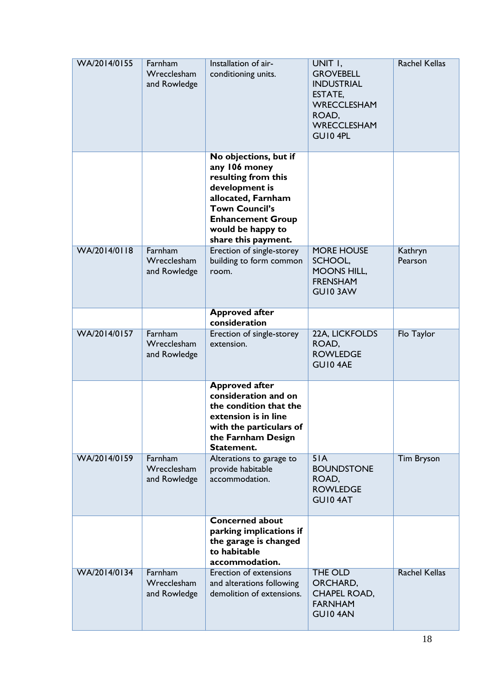| WA/2014/0155 | Farnham<br>Wrecclesham<br>and Rowledge | Installation of air-<br>conditioning units.                                                                                                                                                            | UNIT I,<br><b>GROVEBELL</b><br><b>INDUSTRIAL</b><br>ESTATE,<br><b>WRECCLESHAM</b><br>ROAD,<br><b>WRECCLESHAM</b><br>GUI04PL | <b>Rachel Kellas</b> |
|--------------|----------------------------------------|--------------------------------------------------------------------------------------------------------------------------------------------------------------------------------------------------------|-----------------------------------------------------------------------------------------------------------------------------|----------------------|
|              |                                        | No objections, but if<br>any 106 money<br>resulting from this<br>development is<br>allocated, Farnham<br><b>Town Council's</b><br><b>Enhancement Group</b><br>would be happy to<br>share this payment. |                                                                                                                             |                      |
| WA/2014/0118 | Farnham<br>Wrecclesham<br>and Rowledge | Erection of single-storey<br>building to form common<br>room.                                                                                                                                          | <b>MORE HOUSE</b><br>SCHOOL,<br><b>MOONS HILL,</b><br><b>FRENSHAM</b><br>GUI03AW                                            | Kathryn<br>Pearson   |
|              |                                        | <b>Approved after</b><br>consideration                                                                                                                                                                 |                                                                                                                             |                      |
| WA/2014/0157 | Farnham<br>Wrecclesham<br>and Rowledge | Erection of single-storey<br>extension.                                                                                                                                                                | 22A, LICKFOLDS<br>ROAD,<br><b>ROWLEDGE</b><br><b>GUI0 4AE</b>                                                               | Flo Taylor           |
|              |                                        | <b>Approved after</b><br>consideration and on<br>the condition that the<br>extension is in line<br>with the particulars of<br>the Farnham Design<br>Statement.                                         |                                                                                                                             |                      |
| WA/2014/0159 | Farnham<br>Wrecclesham<br>and Rowledge | Alterations to garage to<br>provide habitable<br>accommodation.                                                                                                                                        | 5I <sub>A</sub><br><b>BOUNDSTONE</b><br>ROAD,<br><b>ROWLEDGE</b><br>GUI04AT                                                 | <b>Tim Bryson</b>    |
|              |                                        | <b>Concerned about</b><br>parking implications if<br>the garage is changed<br>to habitable<br>accommodation.                                                                                           |                                                                                                                             |                      |
| WA/2014/0134 | Farnham<br>Wrecclesham<br>and Rowledge | Erection of extensions<br>and alterations following<br>demolition of extensions.                                                                                                                       | <b>THE OLD</b><br>ORCHARD,<br><b>CHAPEL ROAD,</b><br><b>FARNHAM</b><br><b>GUI0 4AN</b>                                      | <b>Rachel Kellas</b> |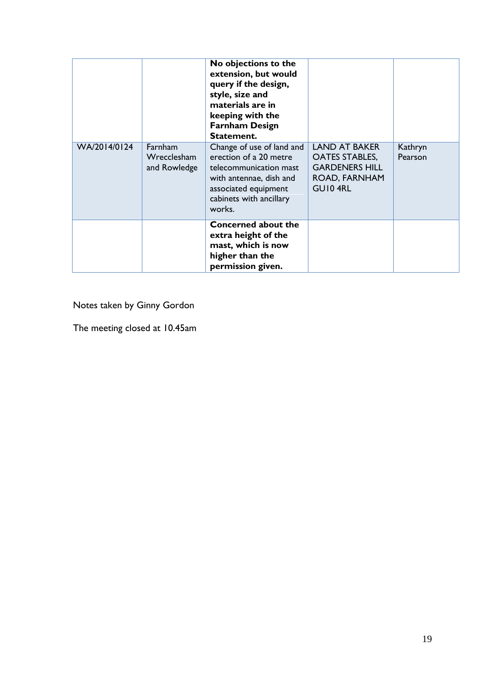|              |                                        | No objections to the<br>extension, but would<br>query if the design,<br>style, size and<br>materials are in<br>keeping with the<br><b>Farnham Design</b><br>Statement. |                                                                                                    |                    |
|--------------|----------------------------------------|------------------------------------------------------------------------------------------------------------------------------------------------------------------------|----------------------------------------------------------------------------------------------------|--------------------|
| WA/2014/0124 | Farnham<br>Wrecclesham<br>and Rowledge | Change of use of land and<br>erection of a 20 metre<br>telecommunication mast<br>with antennae, dish and<br>associated equipment<br>cabinets with ancillary<br>works.  | <b>LAND AT BAKER</b><br><b>OATES STABLES,</b><br><b>GARDENERS HILL</b><br>ROAD, FARNHAM<br>GUI04RL | Kathryn<br>Pearson |
|              |                                        | <b>Concerned about the</b><br>extra height of the<br>mast, which is now<br>higher than the<br>permission given.                                                        |                                                                                                    |                    |

Notes taken by Ginny Gordon

The meeting closed at 10.45am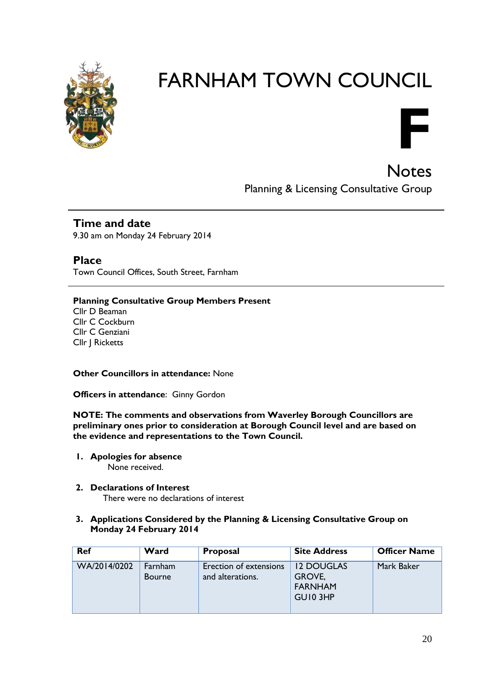

# FARNHAM TOWN COUNCIL



**Notes** Planning & Licensing Consultative Group

### **Time and date**

9.30 am on Monday 24 February 2014

#### **Place**

Town Council Offices, South Street, Farnham

#### **Planning Consultative Group Members Present**

Cllr D Beaman Cllr C Cockburn Cllr C Genziani Cllr J Ricketts

#### **Other Councillors in attendance:** None

**Officers in attendance**: Ginny Gordon

**NOTE: The comments and observations from Waverley Borough Councillors are preliminary ones prior to consideration at Borough Council level and are based on the evidence and representations to the Town Council.**

- **1. Apologies for absence** None received.
- **2. Declarations of Interest** There were no declarations of interest
	-
- **3. Applications Considered by the Planning & Licensing Consultative Group on Monday 24 February 2014**

| <b>Ref</b>   | Ward                            | <b>Proposal</b>                            | <b>Site Address</b>                                       | <b>Officer Name</b> |
|--------------|---------------------------------|--------------------------------------------|-----------------------------------------------------------|---------------------|
| WA/2014/0202 | <b>Farnham</b><br><b>Bourne</b> | Erection of extensions<br>and alterations. | <b>12 DOUGLAS</b><br>GROVE,<br><b>FARNHAM</b><br>GUI0 3HP | Mark Baker          |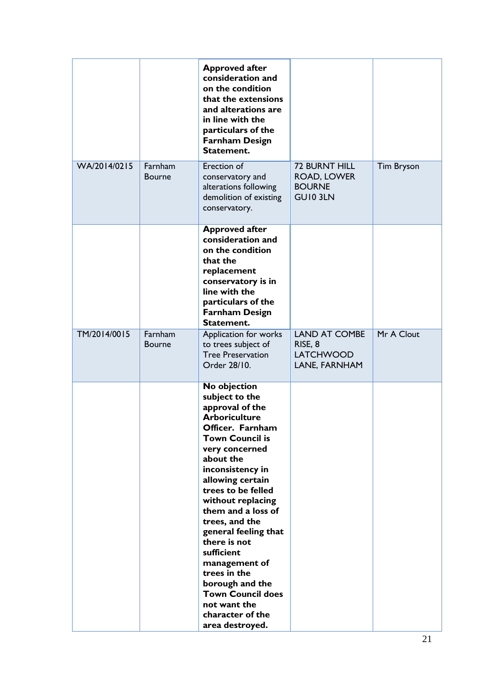|              |                          | <b>Approved after</b><br>consideration and<br>on the condition<br>that the extensions<br>and alterations are<br>in line with the<br>particulars of the<br><b>Farnham Design</b><br>Statement.                                                                                                                                                                                                                                                                                  |                                                                      |                   |
|--------------|--------------------------|--------------------------------------------------------------------------------------------------------------------------------------------------------------------------------------------------------------------------------------------------------------------------------------------------------------------------------------------------------------------------------------------------------------------------------------------------------------------------------|----------------------------------------------------------------------|-------------------|
| WA/2014/0215 | Farnham<br><b>Bourne</b> | Erection of<br>conservatory and<br>alterations following<br>demolition of existing<br>conservatory.                                                                                                                                                                                                                                                                                                                                                                            | <b>72 BURNT HILL</b><br>ROAD, LOWER<br><b>BOURNE</b><br>GUI0 3LN     | <b>Tim Bryson</b> |
|              |                          | <b>Approved after</b><br>consideration and<br>on the condition<br>that the<br>replacement<br>conservatory is in<br>line with the<br>particulars of the<br><b>Farnham Design</b><br>Statement.                                                                                                                                                                                                                                                                                  |                                                                      |                   |
| TM/2014/0015 | Farnham<br><b>Bourne</b> | Application for works<br>to trees subject of<br><b>Tree Preservation</b><br>Order 28/10.                                                                                                                                                                                                                                                                                                                                                                                       | <b>LAND AT COMBE</b><br>RISE, 8<br><b>LATCHWOOD</b><br>LANE, FARNHAM | Mr A Clout        |
|              |                          | No objection<br>subject to the<br>approval of the<br><b>Arboriculture</b><br>Officer. Farnham<br><b>Town Council is</b><br>very concerned<br>about the<br>inconsistency in<br>allowing certain<br>trees to be felled<br>without replacing<br>them and a loss of<br>trees, and the<br>general feeling that<br>there is not<br>sufficient<br>management of<br>trees in the<br>borough and the<br><b>Town Council does</b><br>not want the<br>character of the<br>area destroyed. |                                                                      |                   |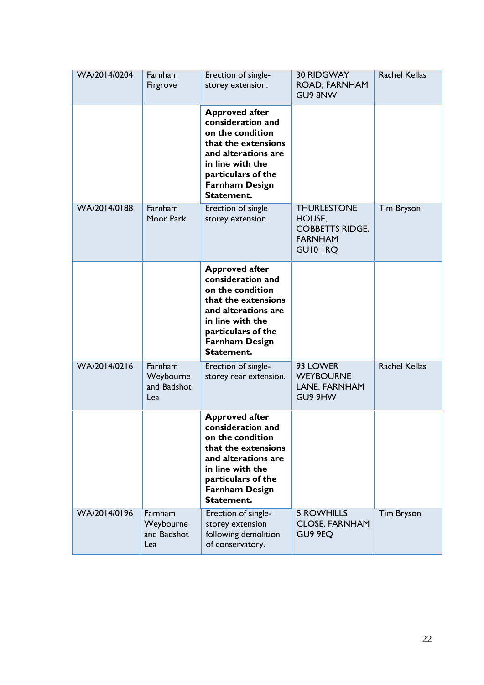| WA/2014/0204 | Farnham<br>Firgrove                        | Erection of single-<br>storey extension.                                                                                                                                                      | <b>30 RIDGWAY</b><br>ROAD, FARNHAM<br>GU9 8NW                                               | <b>Rachel Kellas</b> |
|--------------|--------------------------------------------|-----------------------------------------------------------------------------------------------------------------------------------------------------------------------------------------------|---------------------------------------------------------------------------------------------|----------------------|
|              |                                            | <b>Approved after</b><br>consideration and<br>on the condition<br>that the extensions<br>and alterations are<br>in line with the<br>particulars of the<br><b>Farnham Design</b><br>Statement. |                                                                                             |                      |
| WA/2014/0188 | Farnham<br>Moor Park                       | Erection of single<br>storey extension.                                                                                                                                                       | <b>THURLESTONE</b><br>HOUSE,<br><b>COBBETTS RIDGE,</b><br><b>FARNHAM</b><br><b>GUIO IRQ</b> | <b>Tim Bryson</b>    |
|              |                                            | <b>Approved after</b><br>consideration and<br>on the condition<br>that the extensions<br>and alterations are<br>in line with the<br>particulars of the<br><b>Farnham Design</b><br>Statement. |                                                                                             |                      |
| WA/2014/0216 | Farnham<br>Weybourne<br>and Badshot<br>Lea | Erection of single-<br>storey rear extension.                                                                                                                                                 | 93 LOWER<br><b>WEYBOURNE</b><br>LANE, FARNHAM<br>GU9 9HW                                    | <b>Rachel Kellas</b> |
|              |                                            | <b>Approved after</b><br>consideration and<br>on the condition<br>that the extensions<br>and alterations are<br>in line with the<br>particulars of the<br><b>Farnham Design</b><br>Statement. |                                                                                             |                      |
| WA/2014/0196 | Farnham<br>Weybourne<br>and Badshot<br>Lea | Erection of single-<br>storey extension<br>following demolition<br>of conservatory.                                                                                                           | <b>5 ROWHILLS</b><br><b>CLOSE, FARNHAM</b><br>GU9 9EQ                                       | <b>Tim Bryson</b>    |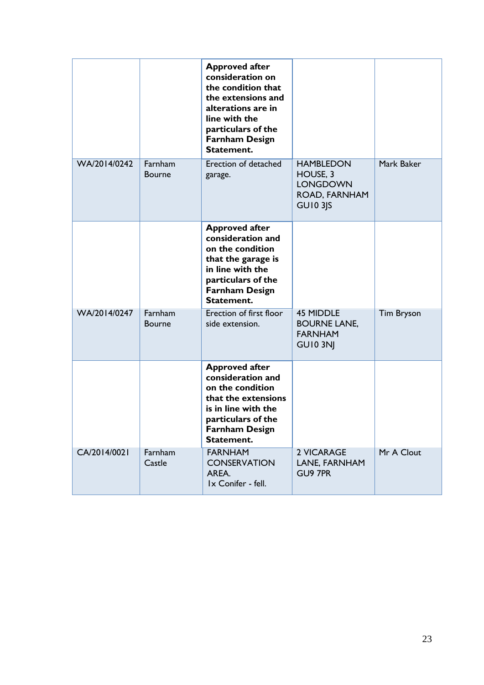|              |                          | <b>Approved after</b><br>consideration on<br>the condition that<br>the extensions and<br>alterations are in<br>line with the<br>particulars of the<br><b>Farnham Design</b> |                                                                                     |                   |
|--------------|--------------------------|-----------------------------------------------------------------------------------------------------------------------------------------------------------------------------|-------------------------------------------------------------------------------------|-------------------|
| WA/2014/0242 | Farnham<br><b>Bourne</b> | Statement.<br>Erection of detached<br>garage.                                                                                                                               | <b>HAMBLEDON</b><br>HOUSE, 3<br><b>LONGDOWN</b><br>ROAD, FARNHAM<br><b>GU10 3JS</b> | Mark Baker        |
|              |                          | <b>Approved after</b><br>consideration and<br>on the condition<br>that the garage is<br>in line with the<br>particulars of the<br><b>Farnham Design</b><br>Statement.       |                                                                                     |                   |
| WA/2014/0247 | Farnham<br><b>Bourne</b> | Erection of first floor<br>side extension.                                                                                                                                  | <b>45 MIDDLE</b><br><b>BOURNE LANE,</b><br><b>FARNHAM</b><br><b>GU10 3NJ</b>        | <b>Tim Bryson</b> |
|              |                          | <b>Approved after</b><br>consideration and<br>on the condition<br>that the extensions<br>is in line with the<br>particulars of the<br><b>Farnham Design</b><br>Statement.   |                                                                                     |                   |
| CA/2014/0021 | Farnham<br>Castle        | <b>FARNHAM</b><br><b>CONSERVATION</b><br>AREA.<br>Ix Conifer - fell.                                                                                                        | 2 VICARAGE<br>LANE, FARNHAM<br>GU9 7PR                                              | Mr A Clout        |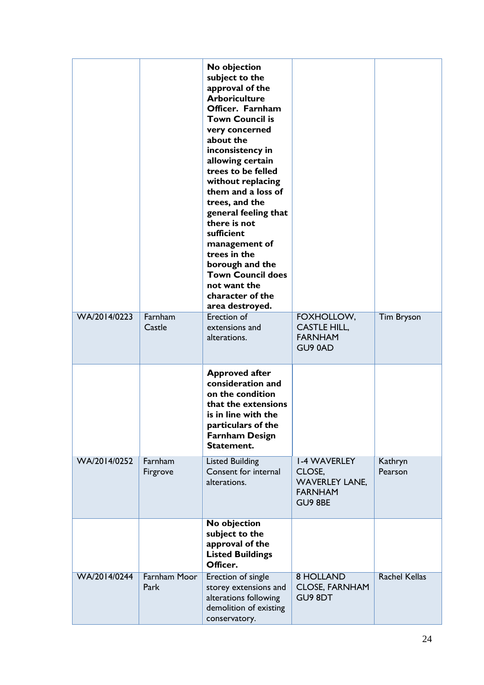|              |                             | No objection<br>subject to the<br>approval of the<br><b>Arboriculture</b><br>Officer. Farnham<br><b>Town Council is</b><br>very concerned<br>about the<br>inconsistency in<br>allowing certain<br>trees to be felled<br>without replacing<br>them and a loss of<br>trees, and the<br>general feeling that<br>there is not<br>sufficient<br>management of<br>trees in the<br>borough and the<br><b>Town Council does</b><br>not want the<br>character of the<br>area destroyed. |                                                                                     |                      |
|--------------|-----------------------------|--------------------------------------------------------------------------------------------------------------------------------------------------------------------------------------------------------------------------------------------------------------------------------------------------------------------------------------------------------------------------------------------------------------------------------------------------------------------------------|-------------------------------------------------------------------------------------|----------------------|
| WA/2014/0223 | Farnham<br>Castle           | Erection of<br>extensions and<br>alterations.                                                                                                                                                                                                                                                                                                                                                                                                                                  | FOXHOLLOW,<br><b>CASTLE HILL,</b><br><b>FARNHAM</b><br>GU90AD                       | <b>Tim Bryson</b>    |
|              |                             | <b>Approved after</b><br>consideration and<br>on the condition<br>that the extensions<br>is in line with the<br>particulars of the<br><b>Farnham Design</b><br>Statement.                                                                                                                                                                                                                                                                                                      |                                                                                     |                      |
| WA/2014/0252 | Farnham<br>Firgrove         | <b>Listed Building</b><br>Consent for internal<br>alterations.                                                                                                                                                                                                                                                                                                                                                                                                                 | <b>I-4 WAVERLEY</b><br>CLOSE,<br><b>WAVERLEY LANE,</b><br><b>FARNHAM</b><br>GU9 8BE | Kathryn<br>Pearson   |
|              |                             | <b>No objection</b><br>subject to the<br>approval of the<br><b>Listed Buildings</b><br>Officer.                                                                                                                                                                                                                                                                                                                                                                                |                                                                                     |                      |
| WA/2014/0244 | <b>Farnham Moor</b><br>Park | Erection of single<br>storey extensions and<br>alterations following<br>demolition of existing<br>conservatory.                                                                                                                                                                                                                                                                                                                                                                | <b>8 HOLLAND</b><br><b>CLOSE, FARNHAM</b><br>GU9 8DT                                | <b>Rachel Kellas</b> |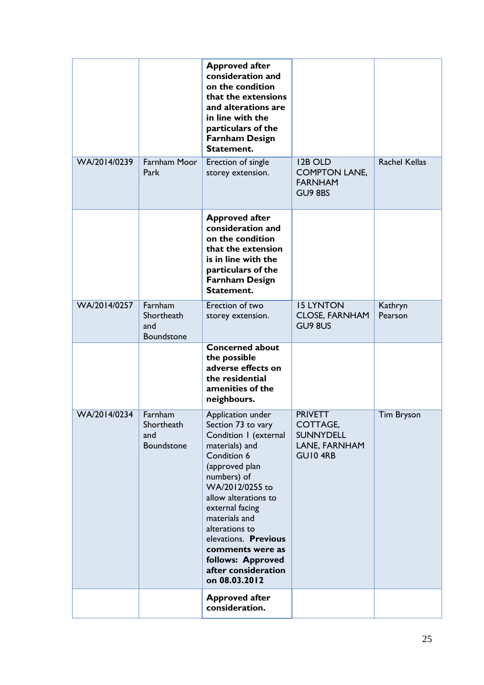| WA/2014/0239 | Farnham Moor                               | <b>Approved after</b><br>consideration and<br>on the condition<br>that the extensions<br>and alterations are<br>in line with the<br>particulars of the<br><b>Farnham Design</b><br>Statement.                                                                                                                                                | 12B OLD                                                             | <b>Rachel Kellas</b> |
|--------------|--------------------------------------------|----------------------------------------------------------------------------------------------------------------------------------------------------------------------------------------------------------------------------------------------------------------------------------------------------------------------------------------------|---------------------------------------------------------------------|----------------------|
|              | Park                                       | Erection of single<br>storey extension.                                                                                                                                                                                                                                                                                                      | <b>COMPTON LANE,</b><br><b>FARNHAM</b><br>GU9 8BS                   |                      |
|              |                                            | <b>Approved after</b><br>consideration and<br>on the condition<br>that the extension<br>is in line with the<br>particulars of the<br><b>Farnham Design</b><br>Statement.                                                                                                                                                                     |                                                                     |                      |
| WA/2014/0257 | Farnham<br>Shortheath<br>and<br>Boundstone | Erection of two<br>storey extension.                                                                                                                                                                                                                                                                                                         | <b>IS LYNTON</b><br><b>CLOSE, FARNHAM</b><br>GU9 8US                | Kathryn<br>Pearson   |
|              |                                            | <b>Concerned about</b><br>the possible<br>adverse effects on<br>the residential<br>amenities of the<br>neighbours.                                                                                                                                                                                                                           |                                                                     |                      |
| WA/2014/0234 | Farnham<br>Shortheath<br>and<br>Boundstone | Application under<br>Section 73 to vary<br>Condition I (external<br>materials) and<br>Condition 6<br>(approved plan<br>numbers) of<br>WA/2012/0255 to<br>allow alterations to<br>external facing<br>materials and<br>alterations to<br>elevations. Previous<br>comments were as<br>follows: Approved<br>after consideration<br>on 08.03.2012 | <b>PRIVETT</b><br>COTTAGE,<br>SUNNYDELL<br>LANE, FARNHAM<br>GUI04RB | <b>Tim Bryson</b>    |
|              |                                            | <b>Approved after</b><br>consideration.                                                                                                                                                                                                                                                                                                      |                                                                     |                      |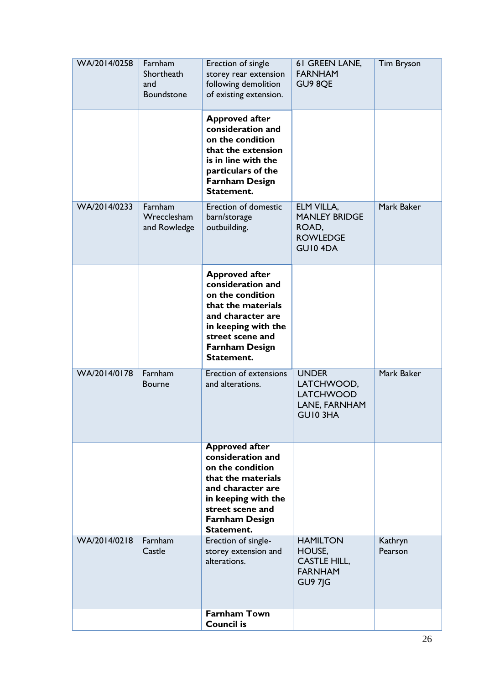| WA/2014/0258 | Farnham<br>Shortheath<br>and<br>Boundstone | Erection of single<br>storey rear extension<br>following demolition<br>of existing extension.                                                                                               | 61 GREEN LANE,<br><b>FARNHAM</b><br>GU9 8QE                                          | <b>Tim Bryson</b>  |
|--------------|--------------------------------------------|---------------------------------------------------------------------------------------------------------------------------------------------------------------------------------------------|--------------------------------------------------------------------------------------|--------------------|
|              |                                            | <b>Approved after</b><br>consideration and<br>on the condition<br>that the extension<br>is in line with the<br>particulars of the<br><b>Farnham Design</b><br>Statement.                    |                                                                                      |                    |
| WA/2014/0233 | Farnham<br>Wrecclesham<br>and Rowledge     | Erection of domestic<br>barn/storage<br>outbuilding.                                                                                                                                        | ELM VILLA,<br><b>MANLEY BRIDGE</b><br>ROAD,<br><b>ROWLEDGE</b><br>GUI04DA            | Mark Baker         |
|              |                                            | <b>Approved after</b><br>consideration and<br>on the condition<br>that the materials<br>and character are<br>in keeping with the<br>street scene and<br><b>Farnham Design</b><br>Statement. |                                                                                      |                    |
| WA/2014/0178 | Farnham<br><b>Bourne</b>                   | Erection of extensions<br>and alterations.                                                                                                                                                  | <b>UNDER</b><br>LATCHWOOD,<br><b>LATCHWOOD</b><br>LANE, FARNHAM<br>GUI03HA           | Mark Baker         |
|              |                                            | <b>Approved after</b><br>consideration and<br>on the condition<br>that the materials<br>and character are<br>in keeping with the<br>street scene and<br><b>Farnham Design</b><br>Statement. |                                                                                      |                    |
| WA/2014/0218 | Farnham<br>Castle                          | Erection of single-<br>storey extension and<br>alterations.                                                                                                                                 | <b>HAMILTON</b><br>HOUSE,<br><b>CASTLE HILL,</b><br><b>FARNHAM</b><br><b>GU9 7JG</b> | Kathryn<br>Pearson |
|              |                                            | <b>Farnham Town</b><br><b>Council is</b>                                                                                                                                                    |                                                                                      |                    |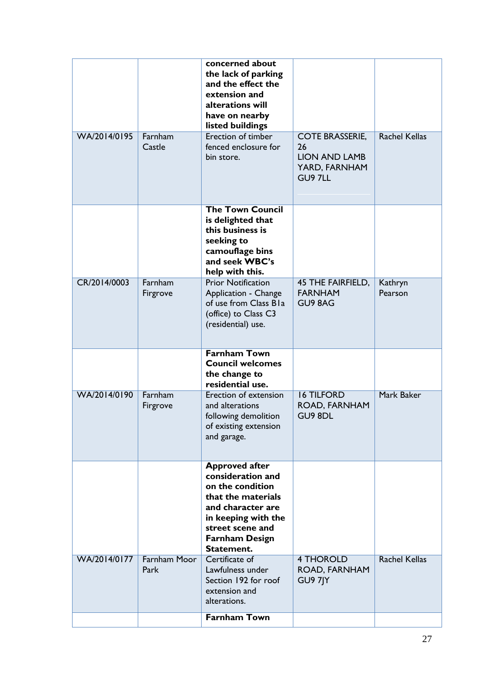|              |                             | concerned about<br>the lack of parking<br>and the effect the<br>extension and<br>alterations will<br>have on nearby<br>listed buildings                                                     |                                                                                  |                      |
|--------------|-----------------------------|---------------------------------------------------------------------------------------------------------------------------------------------------------------------------------------------|----------------------------------------------------------------------------------|----------------------|
| WA/2014/0195 | Farnham<br>Castle           | Erection of timber<br>fenced enclosure for<br>bin store.                                                                                                                                    | <b>COTE BRASSERIE,</b><br>26<br><b>LION AND LAMB</b><br>YARD, FARNHAM<br>GU9 7LL | <b>Rachel Kellas</b> |
|              |                             | <b>The Town Council</b><br>is delighted that<br>this business is<br>seeking to<br>camouflage bins<br>and seek WBC's<br>help with this.                                                      |                                                                                  |                      |
| CR/2014/0003 | Farnham<br>Firgrove         | <b>Prior Notification</b><br>Application - Change<br>of use from Class Bla<br>(office) to Class C3<br>(residential) use.                                                                    | <b>45 THE FAIRFIELD,</b><br><b>FARNHAM</b><br>GU9 8AG                            | Kathryn<br>Pearson   |
|              |                             | <b>Farnham Town</b><br><b>Council welcomes</b><br>the change to<br>residential use.                                                                                                         |                                                                                  |                      |
| WA/2014/0190 | Farnham<br>Firgrove         | <b>Erection of extension</b><br>and alterations<br>following demolition<br>of existing extension<br>and garage.                                                                             | <b>16 TILFORD</b><br>ROAD, FARNHAM<br>GU9 8DL                                    | Mark Baker           |
|              |                             | <b>Approved after</b><br>consideration and<br>on the condition<br>that the materials<br>and character are<br>in keeping with the<br>street scene and<br><b>Farnham Design</b><br>Statement. |                                                                                  |                      |
| WA/2014/0177 | <b>Farnham Moor</b><br>Park | Certificate of<br>Lawfulness under<br>Section 192 for roof<br>extension and<br>alterations.                                                                                                 | <b>4 THOROLD</b><br>ROAD, FARNHAM<br>GU9 7JY                                     | <b>Rachel Kellas</b> |
|              |                             | <b>Farnham Town</b>                                                                                                                                                                         |                                                                                  |                      |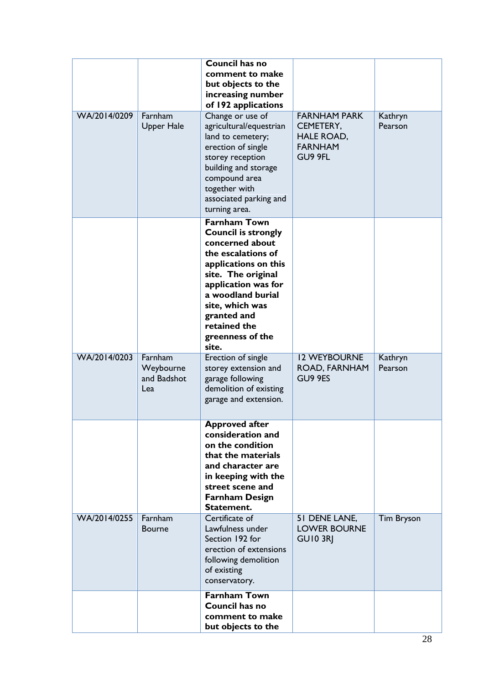| WA/2014/0209 | Farnham<br><b>Upper Hale</b>               | <b>Council has no</b><br>comment to make<br>but objects to the<br>increasing number<br>of 192 applications<br>Change or use of<br>agricultural/equestrian<br>land to cemetery;<br>erection of single<br>storey reception<br>building and storage<br>compound area<br>together with<br>associated parking and<br>turning area. | <b>FARNHAM PARK</b><br>CEMETERY,<br><b>HALE ROAD,</b><br><b>FARNHAM</b><br>GU9 9FL | Kathryn<br>Pearson |
|--------------|--------------------------------------------|-------------------------------------------------------------------------------------------------------------------------------------------------------------------------------------------------------------------------------------------------------------------------------------------------------------------------------|------------------------------------------------------------------------------------|--------------------|
|              |                                            | <b>Farnham Town</b><br><b>Council is strongly</b><br>concerned about<br>the escalations of<br>applications on this<br>site. The original<br>application was for<br>a woodland burial<br>site, which was<br>granted and<br>retained the<br>greenness of the<br>site.                                                           |                                                                                    |                    |
| WA/2014/0203 | Farnham<br>Weybourne<br>and Badshot<br>Lea | Erection of single<br>storey extension and<br>garage following<br>demolition of existing<br>garage and extension.                                                                                                                                                                                                             | <b>12 WEYBOURNE</b><br>ROAD, FARNHAM<br><b>GU9 9ES</b>                             | Kathryn<br>Pearson |
|              |                                            | <b>Approved atter</b><br>consideration and<br>on the condition<br>that the materials<br>and character are<br>in keeping with the<br>street scene and<br><b>Farnham Design</b><br>Statement.                                                                                                                                   |                                                                                    |                    |
| WA/2014/0255 | Farnham<br><b>Bourne</b>                   | Certificate of<br>Lawfulness under<br>Section 192 for<br>erection of extensions<br>following demolition<br>of existing<br>conservatory.                                                                                                                                                                                       | 51 DENE LANE,<br><b>LOWER BOURNE</b><br><b>GUI0 3RI</b>                            | <b>Tim Bryson</b>  |
|              |                                            | <b>Farnham Town</b><br><b>Council has no</b><br>comment to make<br>but objects to the                                                                                                                                                                                                                                         |                                                                                    |                    |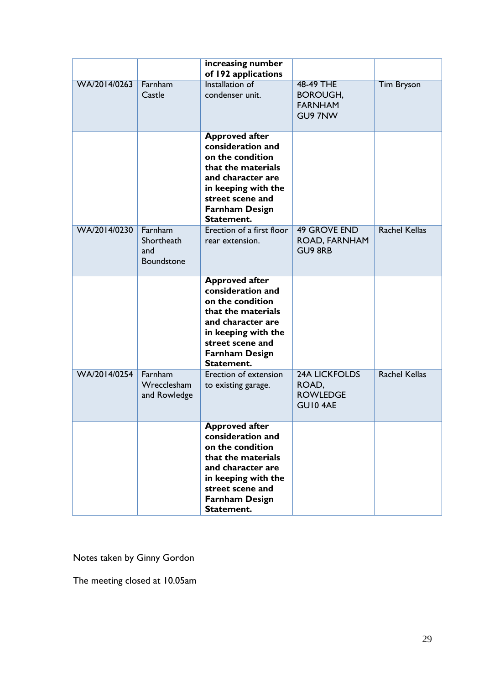|              |                                                   | increasing number<br>of 192 applications                                                                                                                                                    |                                                             |                      |
|--------------|---------------------------------------------------|---------------------------------------------------------------------------------------------------------------------------------------------------------------------------------------------|-------------------------------------------------------------|----------------------|
| WA/2014/0263 | Farnham<br>Castle                                 | <b>Installation of</b><br>condenser unit.                                                                                                                                                   | 48-49 THE<br><b>BOROUGH,</b><br><b>FARNHAM</b><br>GU9 7NW   | <b>Tim Bryson</b>    |
|              |                                                   | <b>Approved after</b><br>consideration and<br>on the condition<br>that the materials<br>and character are<br>in keeping with the<br>street scene and<br><b>Farnham Design</b><br>Statement. |                                                             |                      |
| WA/2014/0230 | Farnham<br>Shortheath<br>and<br><b>Boundstone</b> | Erection of a first floor<br>rear extension.                                                                                                                                                | <b>49 GROVE END</b><br>ROAD, FARNHAM<br><b>GU9 8RB</b>      | <b>Rachel Kellas</b> |
|              |                                                   | <b>Approved after</b><br>consideration and<br>on the condition<br>that the materials<br>and character are<br>in keeping with the<br>street scene and<br><b>Farnham Design</b><br>Statement. |                                                             |                      |
| WA/2014/0254 | Farnham<br>Wrecclesham<br>and Rowledge            | Erection of extension<br>to existing garage.                                                                                                                                                | <b>24A LICKFOLDS</b><br>ROAD,<br><b>ROWLEDGE</b><br>GUI04AE | <b>Rachel Kellas</b> |
|              |                                                   | <b>Approved after</b><br>consideration and<br>on the condition<br>that the materials<br>and character are<br>in keeping with the<br>street scene and<br><b>Farnham Design</b><br>Statement. |                                                             |                      |

Notes taken by Ginny Gordon

The meeting closed at 10.05am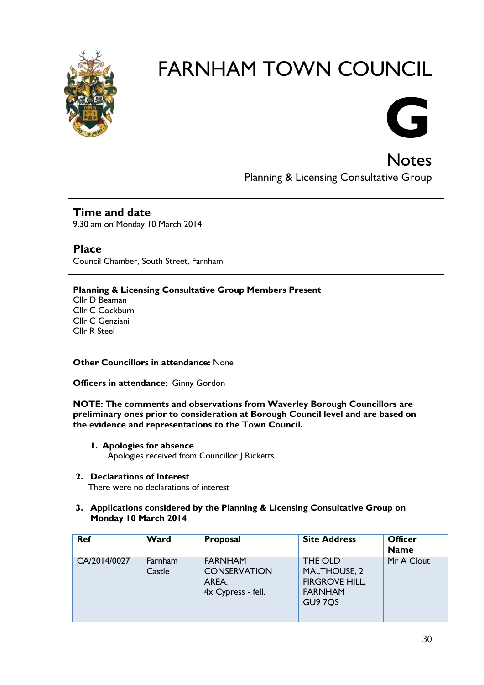

# FARNHAM TOWN COUNCIL



**Notes** Planning & Licensing Consultative Group

### **Time and date**

9.30 am on Monday 10 March 2014

**Place** Council Chamber, South Street, Farnham

**Planning & Licensing Consultative Group Members Present**

Cllr D Beaman Cllr C Cockburn Cllr C Genziani Cllr R Steel

**Other Councillors in attendance:** None

**Officers in attendance**: Ginny Gordon

**NOTE: The comments and observations from Waverley Borough Councillors are preliminary ones prior to consideration at Borough Council level and are based on the evidence and representations to the Town Council.**

- **1. Apologies for absence** Apologies received from Councillor | Ricketts
- **2. Declarations of Interest**

There were no declarations of interest

#### **3. Applications considered by the Planning & Licensing Consultative Group on Monday 10 March 2014**

| <b>Ref</b>   | Ward              | Proposal                                                             | <b>Site Address</b>                                                                  | <b>Officer</b><br><b>Name</b> |
|--------------|-------------------|----------------------------------------------------------------------|--------------------------------------------------------------------------------------|-------------------------------|
| CA/2014/0027 | Farnham<br>Castle | <b>FARNHAM</b><br><b>CONSERVATION</b><br>AREA.<br>4x Cypress - fell. | THE OLD<br><b>MALTHOUSE, 2</b><br><b>FIRGROVE HILL,</b><br><b>FARNHAM</b><br>GU9 7QS | Mr A Clout                    |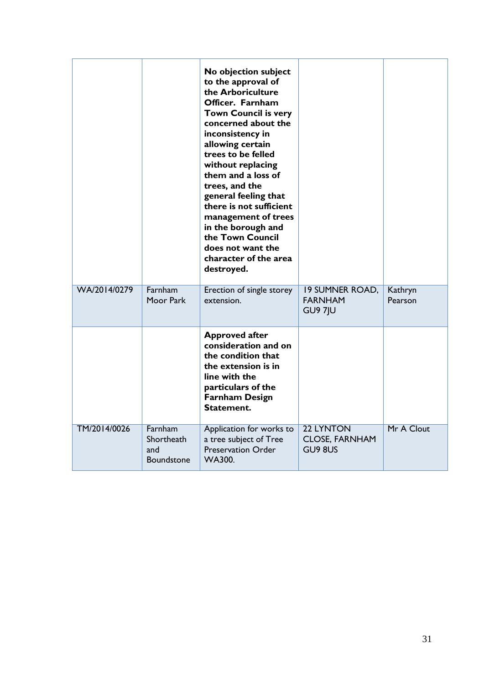|              |                                            | No objection subject<br>to the approval of<br>the Arboriculture<br>Officer. Farnham<br><b>Town Council is very</b><br>concerned about the<br>inconsistency in<br>allowing certain<br>trees to be felled<br>without replacing<br>them and a loss of<br>trees, and the<br>general feeling that<br>there is not sufficient<br>management of trees<br>in the borough and<br>the Town Council<br>does not want the<br>character of the area<br>destroyed. |                                                            |                    |
|--------------|--------------------------------------------|------------------------------------------------------------------------------------------------------------------------------------------------------------------------------------------------------------------------------------------------------------------------------------------------------------------------------------------------------------------------------------------------------------------------------------------------------|------------------------------------------------------------|--------------------|
| WA/2014/0279 | Farnham<br>Moor Park                       | Erection of single storey<br>extension.                                                                                                                                                                                                                                                                                                                                                                                                              | <b>19 SUMNER ROAD,</b><br><b>FARNHAM</b><br><b>GU9 7JU</b> | Kathryn<br>Pearson |
|              |                                            | <b>Approved after</b><br>consideration and on<br>the condition that<br>the extension is in<br>line with the<br>particulars of the<br><b>Farnham Design</b><br>Statement.                                                                                                                                                                                                                                                                             |                                                            |                    |
| TM/2014/0026 | Farnham<br>Shortheath<br>and<br>Boundstone | Application for works to<br>a tree subject of Tree<br><b>Preservation Order</b><br><b>WA300.</b>                                                                                                                                                                                                                                                                                                                                                     | 22 LYNTON<br><b>CLOSE, FARNHAM</b><br>GU9 8US              | Mr A Clout         |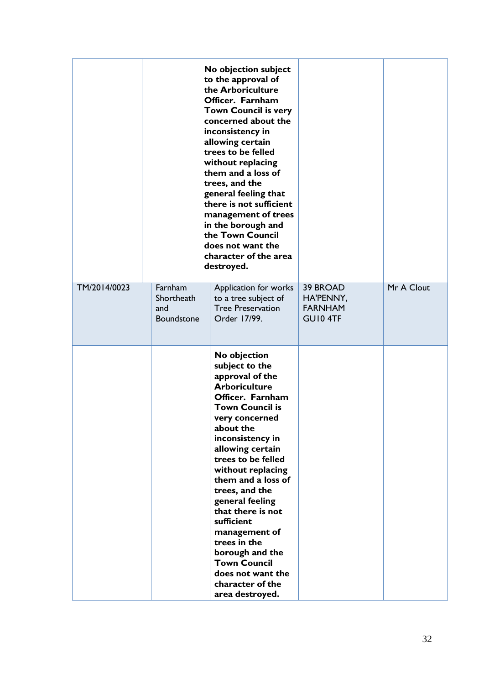|              |                                            | No objection subject<br>to the approval of<br>the Arboriculture<br>Officer. Farnham<br><b>Town Council is very</b><br>concerned about the<br>inconsistency in<br>allowing certain<br>trees to be felled<br>without replacing<br>them and a loss of<br>trees, and the<br>general feeling that<br>there is not sufficient<br>management of trees<br>in the borough and<br>the Town Council<br>does not want the<br>character of the area<br>destroyed.                           |                                                     |            |
|--------------|--------------------------------------------|--------------------------------------------------------------------------------------------------------------------------------------------------------------------------------------------------------------------------------------------------------------------------------------------------------------------------------------------------------------------------------------------------------------------------------------------------------------------------------|-----------------------------------------------------|------------|
| TM/2014/0023 | Farnham<br>Shortheath<br>and<br>Boundstone | Application for works<br>to a tree subject of<br><b>Tree Preservation</b><br>Order 17/99.                                                                                                                                                                                                                                                                                                                                                                                      | 39 BROAD<br>HA'PENNY,<br><b>FARNHAM</b><br>GUI0 4TF | Mr A Clout |
|              |                                            | No objection<br>subject to the<br>approval of the<br><b>Arboriculture</b><br>Officer. Farnham<br><b>Town Council is</b><br>very concerned<br>about the<br>inconsistency in<br>allowing certain<br>trees to be felled<br>without replacing<br>them and a loss of<br>trees, and the<br>general feeling<br>that there is not<br>sufficient<br>management of<br>trees in the<br>borough and the<br><b>Town Council</b><br>does not want the<br>character of the<br>area destroyed. |                                                     |            |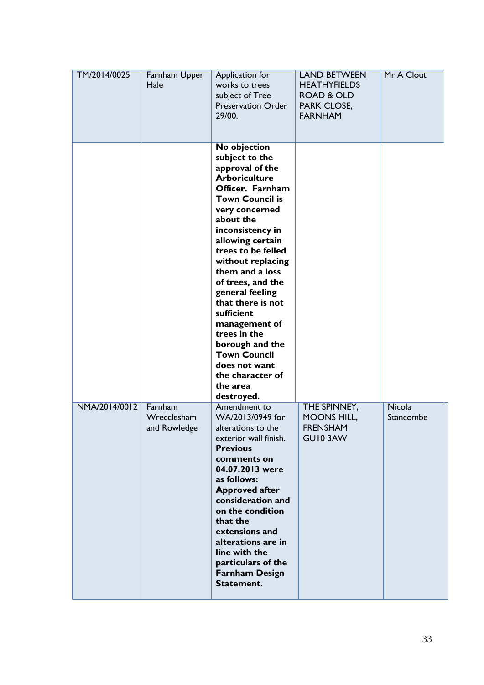| TM/2014/0025  | Farnham Upper<br>Hale                  | Application for<br>works to trees<br>subject of Tree<br><b>Preservation Order</b><br>29/00.                                                                                                                                                                                                                                                                                                                                                                                       | <b>LAND BETWEEN</b><br><b>HEATHYFIELDS</b><br><b>ROAD &amp; OLD</b><br>PARK CLOSE,<br><b>FARNHAM</b> | Mr A Clout                 |
|---------------|----------------------------------------|-----------------------------------------------------------------------------------------------------------------------------------------------------------------------------------------------------------------------------------------------------------------------------------------------------------------------------------------------------------------------------------------------------------------------------------------------------------------------------------|------------------------------------------------------------------------------------------------------|----------------------------|
|               |                                        | No objection<br>subject to the<br>approval of the<br><b>Arboriculture</b><br>Officer. Farnham<br><b>Town Council is</b><br>very concerned<br>about the<br>inconsistency in<br>allowing certain<br>trees to be felled<br>without replacing<br>them and a loss<br>of trees, and the<br>general feeling<br>that there is not<br>sufficient<br>management of<br>trees in the<br>borough and the<br><b>Town Council</b><br>does not want<br>the character of<br>the area<br>destroyed. |                                                                                                      |                            |
| NMA/2014/0012 | Farnham<br>Wrecclesham<br>and Rowledge | Amendment to<br>WA/2013/0949 for<br>alterations to the<br>exterior wall finish.<br><b>Previous</b><br>comments on<br>04.07.2013 were<br>as follows:<br><b>Approved after</b><br>consideration and<br>on the condition<br>that the<br>extensions and<br>alterations are in<br>line with the<br>particulars of the<br><b>Farnham Design</b><br>Statement.                                                                                                                           | THE SPINNEY,<br><b>MOONS HILL,</b><br><b>FRENSHAM</b><br>GUI03AW                                     | <b>Nicola</b><br>Stancombe |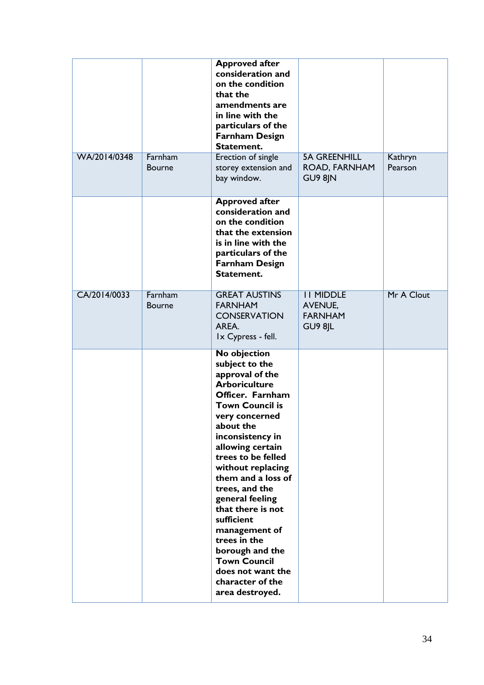| WA/2014/0348 | Farnham                  | <b>Approved after</b><br>consideration and<br>on the condition<br>that the<br>amendments are<br>in line with the<br>particulars of the<br><b>Farnham Design</b><br>Statement.<br>Erection of single                                                                                                                                                                                                                                                                            | <b>5A GREENHILL</b>                                      | Kathryn    |
|--------------|--------------------------|--------------------------------------------------------------------------------------------------------------------------------------------------------------------------------------------------------------------------------------------------------------------------------------------------------------------------------------------------------------------------------------------------------------------------------------------------------------------------------|----------------------------------------------------------|------------|
|              | <b>Bourne</b>            | storey extension and<br>bay window.                                                                                                                                                                                                                                                                                                                                                                                                                                            | ROAD, FARNHAM<br>GU9 8JN                                 | Pearson    |
|              |                          | <b>Approved after</b><br>consideration and<br>on the condition<br>that the extension<br>is in line with the<br>particulars of the<br><b>Farnham Design</b><br>Statement.                                                                                                                                                                                                                                                                                                       |                                                          |            |
| CA/2014/0033 | Farnham<br><b>Bourne</b> | <b>GREAT AUSTINS</b><br><b>FARNHAM</b><br><b>CONSERVATION</b><br>AREA.<br>Ix Cypress - fell.                                                                                                                                                                                                                                                                                                                                                                                   | <b>II MIDDLE</b><br>AVENUE,<br><b>FARNHAM</b><br>GU9 8JL | Mr A Clout |
|              |                          | No objection<br>subject to the<br>approval of the<br><b>Arboriculture</b><br>Officer. Farnham<br><b>Town Council is</b><br>very concerned<br>about the<br>inconsistency in<br>allowing certain<br>trees to be felled<br>without replacing<br>them and a loss of<br>trees, and the<br>general feeling<br>that there is not<br>sufficient<br>management of<br>trees in the<br>borough and the<br><b>Town Council</b><br>does not want the<br>character of the<br>area destroyed. |                                                          |            |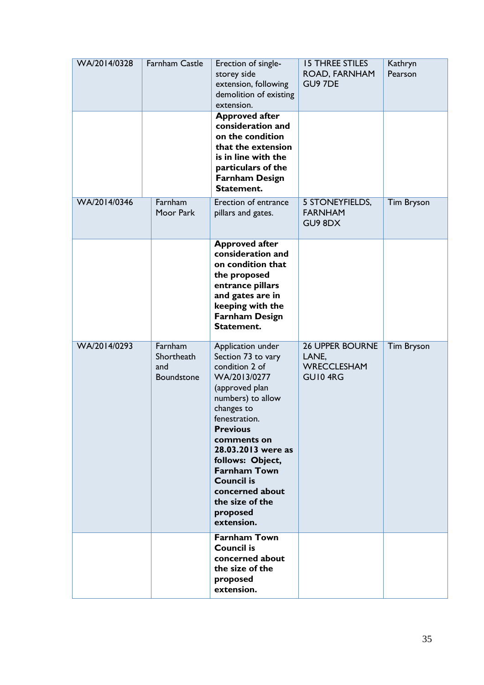| WA/2014/0328 | <b>Farnham Castle</b>                      | Erection of single-<br>storey side<br>extension, following<br>demolition of existing<br>extension.                                                                                                                                                                                                                                      | <b>15 THREE STILES</b><br>ROAD, FARNHAM<br>GU9 7DE               | Kathryn<br>Pearson |
|--------------|--------------------------------------------|-----------------------------------------------------------------------------------------------------------------------------------------------------------------------------------------------------------------------------------------------------------------------------------------------------------------------------------------|------------------------------------------------------------------|--------------------|
|              |                                            | <b>Approved after</b><br>consideration and<br>on the condition<br>that the extension<br>is in line with the<br>particulars of the<br><b>Farnham Design</b><br>Statement.                                                                                                                                                                |                                                                  |                    |
| WA/2014/0346 | Farnham<br>Moor Park                       | <b>Erection of entrance</b><br>pillars and gates.                                                                                                                                                                                                                                                                                       | 5 STONEYFIELDS,<br><b>FARNHAM</b><br>GU9 8DX                     | <b>Tim Bryson</b>  |
|              |                                            | <b>Approved after</b><br>consideration and<br>on condition that<br>the proposed<br>entrance pillars<br>and gates are in<br>keeping with the<br><b>Farnham Design</b><br>Statement.                                                                                                                                                      |                                                                  |                    |
| WA/2014/0293 | Farnham<br>Shortheath<br>and<br>Boundstone | Application under<br>Section 73 to vary<br>condition 2 of<br>WA/2013/0277<br>(approved plan<br>numbers) to allow<br>changes to<br>fenestration.<br><b>Previous</b><br>comments on<br>28.03.2013 were as<br>follows: Object,<br><b>Farnham Town</b><br><b>Council is</b><br>concerned about<br>the size of the<br>proposed<br>extension. | <b>26 UPPER BOURNE</b><br>LANE,<br><b>WRECCLESHAM</b><br>GUI04RG | <b>Tim Bryson</b>  |
|              |                                            | <b>Farnham Town</b><br><b>Council is</b><br>concerned about<br>the size of the<br>proposed<br>extension.                                                                                                                                                                                                                                |                                                                  |                    |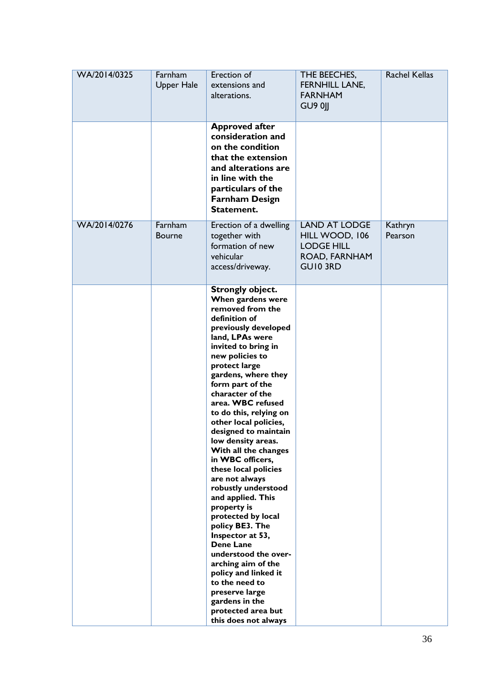| WA/2014/0325 | Farnham<br><b>Upper Hale</b> | Erection of<br>extensions and<br>alterations.                                                                                                                                                                                                                                                                                                                                                                                                                                                                                                                                                                                                                                                                                                                                            | THE BEECHES,<br>FERNHILL LANE,<br><b>FARNHAM</b><br><b>GU9 0  </b>                              | <b>Rachel Kellas</b> |
|--------------|------------------------------|------------------------------------------------------------------------------------------------------------------------------------------------------------------------------------------------------------------------------------------------------------------------------------------------------------------------------------------------------------------------------------------------------------------------------------------------------------------------------------------------------------------------------------------------------------------------------------------------------------------------------------------------------------------------------------------------------------------------------------------------------------------------------------------|-------------------------------------------------------------------------------------------------|----------------------|
|              |                              | <b>Approved after</b><br>consideration and<br>on the condition<br>that the extension<br>and alterations are<br>in line with the<br>particulars of the<br><b>Farnham Design</b><br>Statement.                                                                                                                                                                                                                                                                                                                                                                                                                                                                                                                                                                                             |                                                                                                 |                      |
| WA/2014/0276 | Farnham<br><b>Bourne</b>     | Erection of a dwelling<br>together with<br>formation of new<br>vehicular<br>access/driveway.                                                                                                                                                                                                                                                                                                                                                                                                                                                                                                                                                                                                                                                                                             | <b>LAND AT LODGE</b><br>HILL WOOD, 106<br><b>LODGE HILL</b><br>ROAD, FARNHAM<br><b>GUIO 3RD</b> | Kathryn<br>Pearson   |
|              |                              | <b>Strongly object.</b><br>When gardens were<br>removed from the<br>definition of<br>previously developed<br>land, LPAs were<br>invited to bring in<br>new policies to<br>protect large<br>gardens, where they<br>form part of the<br>character of the<br>area. WBC refused<br>to do this, relying on<br>other local policies,<br>designed to maintain<br>low density areas.<br>With all the changes<br>in WBC officers,<br>these local policies<br>are not always<br>robustly understood<br>and applied. This<br>property is<br>protected by local<br>policy BE3. The<br>Inspector at 53,<br><b>Dene Lane</b><br>understood the over-<br>arching aim of the<br>policy and linked it<br>to the need to<br>preserve large<br>gardens in the<br>protected area but<br>this does not always |                                                                                                 |                      |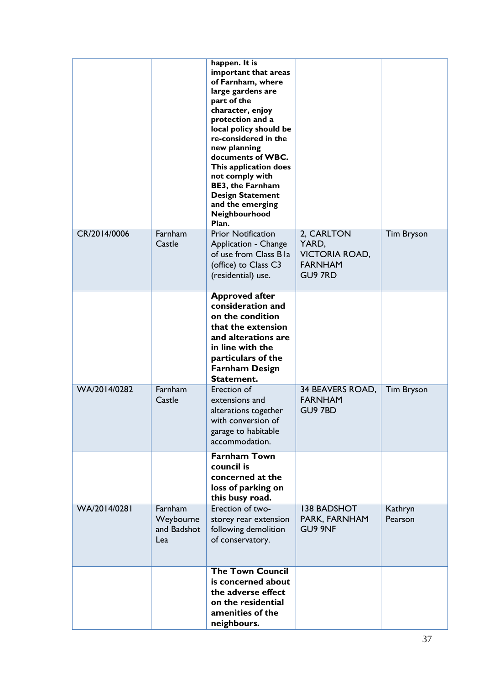|              |                                            | happen. It is<br>important that areas<br>of Farnham, where<br>large gardens are<br>part of the<br>character, enjoy<br>protection and a<br>local policy should be<br>re-considered in the<br>new planning<br>documents of WBC.<br>This application does<br>not comply with<br><b>BE3, the Farnham</b><br><b>Design Statement</b><br>and the emerging<br>Neighbourhood<br>Plan. |                                                                                  |                    |
|--------------|--------------------------------------------|-------------------------------------------------------------------------------------------------------------------------------------------------------------------------------------------------------------------------------------------------------------------------------------------------------------------------------------------------------------------------------|----------------------------------------------------------------------------------|--------------------|
| CR/2014/0006 | Farnham<br>Castle                          | <b>Prior Notification</b><br>Application - Change<br>of use from Class Bla<br>(office) to Class C3<br>(residential) use.                                                                                                                                                                                                                                                      | 2, CARLTON<br>YARD,<br><b>VICTORIA ROAD,</b><br><b>FARNHAM</b><br><b>GU9 7RD</b> | <b>Tim Bryson</b>  |
|              |                                            | <b>Approved after</b><br>consideration and<br>on the condition<br>that the extension<br>and alterations are<br>in line with the<br>particulars of the<br><b>Farnham Design</b><br>Statement.                                                                                                                                                                                  |                                                                                  |                    |
| WA/2014/0282 | Farnham<br>Castle                          | Erection of<br>extensions and<br>alterations together<br>with conversion of<br>garage to habitable<br>accommodation.                                                                                                                                                                                                                                                          | 34 BEAVERS ROAD,<br><b>FARNHAM</b><br>GU9 7BD                                    | <b>Tim Bryson</b>  |
|              |                                            | <b>Farnham Town</b><br>council is<br>concerned at the<br>loss of parking on<br>this busy road.                                                                                                                                                                                                                                                                                |                                                                                  |                    |
| WA/2014/0281 | Farnham<br>Weybourne<br>and Badshot<br>Lea | Erection of two-<br>storey rear extension<br>following demolition<br>of conservatory.                                                                                                                                                                                                                                                                                         | <b>138 BADSHOT</b><br>PARK, FARNHAM<br>GU9 9NF                                   | Kathryn<br>Pearson |
|              |                                            | <b>The Town Council</b><br>is concerned about<br>the adverse effect<br>on the residential<br>amenities of the<br>neighbours.                                                                                                                                                                                                                                                  |                                                                                  |                    |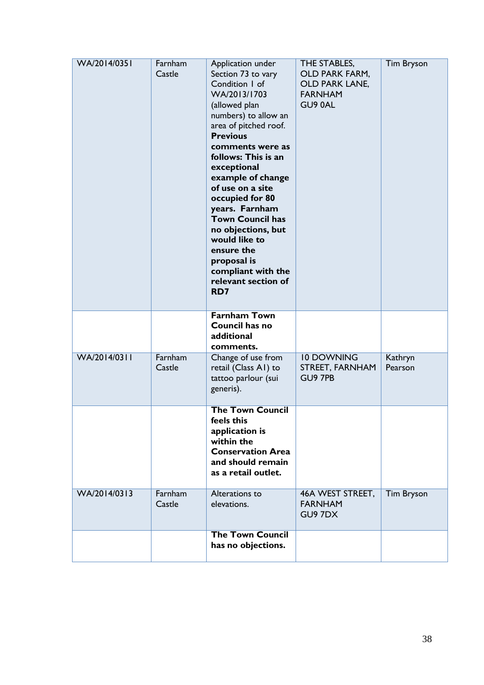| WA/2014/0351 | Farnham<br>Castle | Application under<br>Section 73 to vary<br>Condition I of<br>WA/2013/1703<br>(allowed plan<br>numbers) to allow an<br>area of pitched roof.<br><b>Previous</b><br>comments were as<br>follows: This is an<br>exceptional<br>example of change<br>of use on a site<br>occupied for 80<br>years. Farnham<br><b>Town Council has</b><br>no objections, but<br>would like to<br>ensure the<br>proposal is<br>compliant with the<br>relevant section of<br>RD7 | THE STABLES,<br><b>OLD PARK FARM,</b><br>OLD PARK LANE,<br><b>FARNHAM</b><br>GU90AL | <b>Tim Bryson</b>  |
|--------------|-------------------|-----------------------------------------------------------------------------------------------------------------------------------------------------------------------------------------------------------------------------------------------------------------------------------------------------------------------------------------------------------------------------------------------------------------------------------------------------------|-------------------------------------------------------------------------------------|--------------------|
|              |                   | <b>Farnham Town</b><br>Council has no<br>additional<br>comments.                                                                                                                                                                                                                                                                                                                                                                                          |                                                                                     |                    |
| WA/2014/0311 | Farnham<br>Castle | Change of use from<br>retail (Class A1) to<br>tattoo parlour (sui<br>generis).                                                                                                                                                                                                                                                                                                                                                                            | <b>10 DOWNING</b><br>STREET, FARNHAM<br>GU9 7PB                                     | Kathryn<br>Pearson |
|              |                   | <b>The Town Council</b><br>feels this<br>application is<br>within the<br><b>Conservation Area</b><br>and should remain<br>as a retail outlet.                                                                                                                                                                                                                                                                                                             |                                                                                     |                    |
| WA/2014/0313 | Farnham<br>Castle | Alterations to<br>elevations.                                                                                                                                                                                                                                                                                                                                                                                                                             | 46A WEST STREET,<br><b>FARNHAM</b><br>GU97DX                                        | Tim Bryson         |
|              |                   | <b>The Town Council</b><br>has no objections.                                                                                                                                                                                                                                                                                                                                                                                                             |                                                                                     |                    |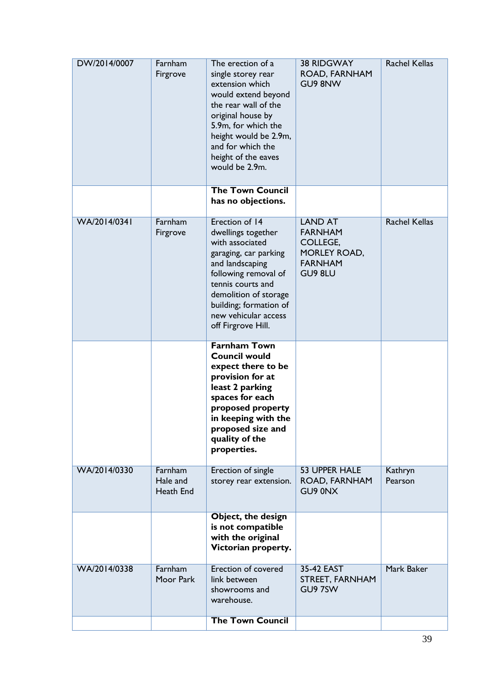| DW/2014/0007 | Farnham<br>Firgrove              | The erection of a<br>single storey rear<br>extension which<br>would extend beyond<br>the rear wall of the<br>original house by<br>5.9m, for which the<br>height would be 2.9m,<br>and for which the<br>height of the eaves<br>would be 2.9m.      | <b>38 RIDGWAY</b><br>ROAD, FARNHAM<br>GU9 8NW                                             | <b>Rachel Kellas</b> |
|--------------|----------------------------------|---------------------------------------------------------------------------------------------------------------------------------------------------------------------------------------------------------------------------------------------------|-------------------------------------------------------------------------------------------|----------------------|
|              |                                  | <b>The Town Council</b><br>has no objections.                                                                                                                                                                                                     |                                                                                           |                      |
| WA/2014/0341 | Farnham<br>Firgrove              | Erection of 14<br>dwellings together<br>with associated<br>garaging, car parking<br>and landscaping<br>following removal of<br>tennis courts and<br>demolition of storage<br>building; formation of<br>new vehicular access<br>off Firgrove Hill. | <b>LAND AT</b><br><b>FARNHAM</b><br>COLLEGE,<br>MORLEY ROAD,<br><b>FARNHAM</b><br>GU9 8LU | <b>Rachel Kellas</b> |
|              |                                  | <b>Farnham Town</b><br><b>Council would</b><br>expect there to be<br>provision for at<br>least 2 parking<br>spaces for each<br>proposed property<br>in keeping with the<br>proposed size and<br>quality of the<br>properties.                     |                                                                                           |                      |
| WA/2014/0330 | Farnham<br>Hale and<br>Heath End | Erection of single<br>storey rear extension.                                                                                                                                                                                                      | <b>53 UPPER HALE</b><br>ROAD, FARNHAM<br>GU9 0NX                                          | Kathryn<br>Pearson   |
|              |                                  | Object, the design<br>is not compatible<br>with the original<br>Victorian property.                                                                                                                                                               |                                                                                           |                      |
| WA/2014/0338 | Farnham<br>Moor Park             | Erection of covered<br>link between<br>showrooms and<br>warehouse.                                                                                                                                                                                | 35-42 EAST<br>STREET, FARNHAM<br>GU9 7SW                                                  | Mark Baker           |
|              |                                  | <b>The Town Council</b>                                                                                                                                                                                                                           |                                                                                           |                      |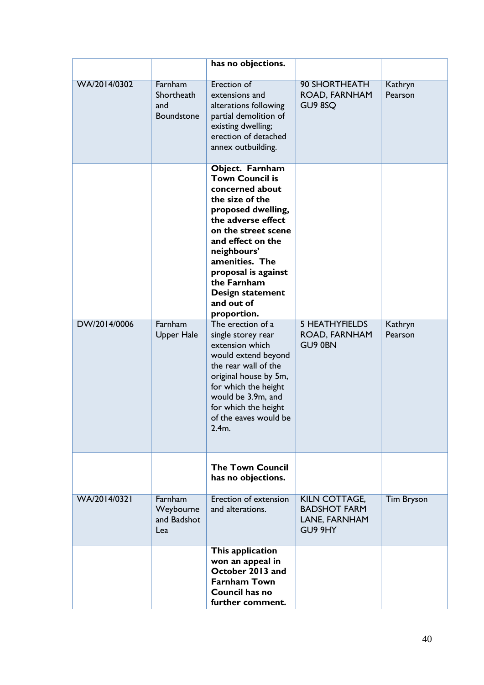|              |                                            | has no objections.                                                                                                                                                                                                                                                                                     |                                                                  |                    |
|--------------|--------------------------------------------|--------------------------------------------------------------------------------------------------------------------------------------------------------------------------------------------------------------------------------------------------------------------------------------------------------|------------------------------------------------------------------|--------------------|
| WA/2014/0302 | Farnham<br>Shortheath<br>and<br>Boundstone | Erection of<br>extensions and<br>alterations following<br>partial demolition of<br>existing dwelling;<br>erection of detached<br>annex outbuilding.                                                                                                                                                    | 90 SHORTHEATH<br>ROAD, FARNHAM<br>GU9 8SQ                        | Kathryn<br>Pearson |
|              |                                            | Object. Farnham<br><b>Town Council is</b><br>concerned about<br>the size of the<br>proposed dwelling,<br>the adverse effect<br>on the street scene<br>and effect on the<br>neighbours'<br>amenities. The<br>proposal is against<br>the Farnham<br><b>Design statement</b><br>and out of<br>proportion. |                                                                  |                    |
| DW/2014/0006 | Farnham<br><b>Upper Hale</b>               | The erection of a<br>single storey rear<br>extension which<br>would extend beyond<br>the rear wall of the<br>original house by 5m,<br>for which the height<br>would be 3.9m, and<br>for which the height<br>of the eaves would be<br>2.4m.                                                             | <b>5 HEATHYFIELDS</b><br>ROAD, FARNHAM<br>GU9 0BN                | Kathryn<br>Pearson |
|              |                                            | <b>The Town Council</b><br>has no objections.                                                                                                                                                                                                                                                          |                                                                  |                    |
| WA/2014/0321 | Farnham<br>Weybourne<br>and Badshot<br>Lea | <b>Erection of extension</b><br>and alterations.                                                                                                                                                                                                                                                       | KILN COTTAGE,<br><b>BADSHOT FARM</b><br>LANE, FARNHAM<br>GU9 9HY | <b>Tim Bryson</b>  |
|              |                                            | This application<br>won an appeal in<br>October 2013 and<br><b>Farnham Town</b><br><b>Council has no</b><br>further comment.                                                                                                                                                                           |                                                                  |                    |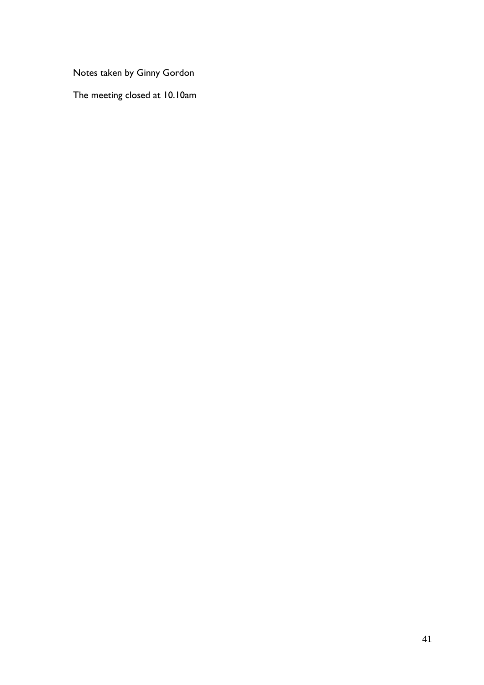Notes taken by Ginny Gordon

The meeting closed at 10.10am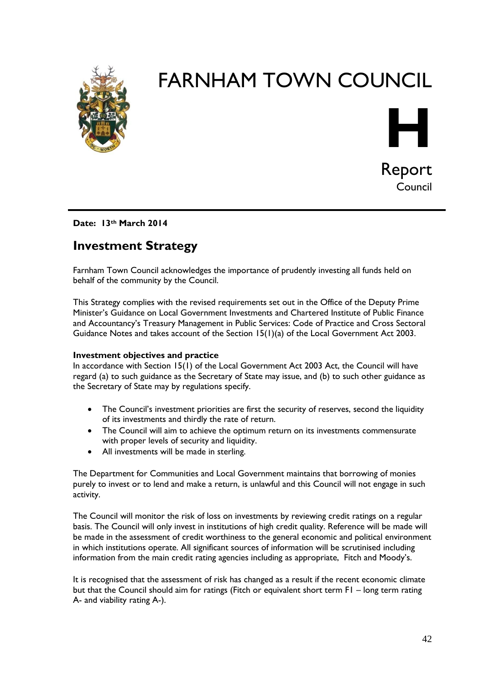

# FARNHAM TOWN COUNCIL



## **Date: 13th March 2014**

# **Investment Strategy**

Farnham Town Council acknowledges the importance of prudently investing all funds held on behalf of the community by the Council.

This Strategy complies with the revised requirements set out in the Office of the Deputy Prime Minister's Guidance on Local Government Investments and Chartered Institute of Public Finance and Accountancy's Treasury Management in Public Services: Code of Practice and Cross Sectoral Guidance Notes and takes account of the Section 15(1)(a) of the Local Government Act 2003.

#### **Investment objectives and practice**

In accordance with Section 15(1) of the Local Government Act 2003 Act, the Council will have regard (a) to such guidance as the Secretary of State may issue, and (b) to such other guidance as the Secretary of State may by regulations specify.

- The Council's investment priorities are first the security of reserves, second the liquidity of its investments and thirdly the rate of return.
- The Council will aim to achieve the optimum return on its investments commensurate with proper levels of security and liquidity.
- All investments will be made in sterling.

The Department for Communities and Local Government maintains that borrowing of monies purely to invest or to lend and make a return, is unlawful and this Council will not engage in such activity.

The Council will monitor the risk of loss on investments by reviewing credit ratings on a regular basis. The Council will only invest in institutions of high credit quality. Reference will be made will be made in the assessment of credit worthiness to the general economic and political environment in which institutions operate. All significant sources of information will be scrutinised including information from the main credit rating agencies including as appropriate, Fitch and Moody's.

It is recognised that the assessment of risk has changed as a result if the recent economic climate but that the Council should aim for ratings (Fitch or equivalent short term F1 – long term rating A- and viability rating A-).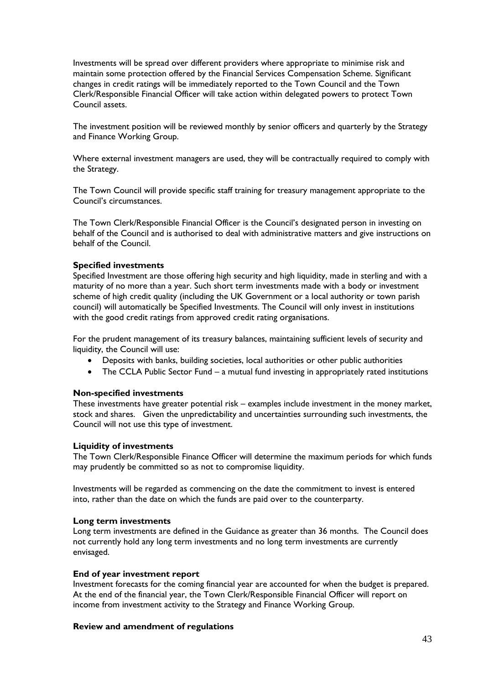Investments will be spread over different providers where appropriate to minimise risk and maintain some protection offered by the Financial Services Compensation Scheme. Significant changes in credit ratings will be immediately reported to the Town Council and the Town Clerk/Responsible Financial Officer will take action within delegated powers to protect Town Council assets.

The investment position will be reviewed monthly by senior officers and quarterly by the Strategy and Finance Working Group.

Where external investment managers are used, they will be contractually required to comply with the Strategy.

The Town Council will provide specific staff training for treasury management appropriate to the Council's circumstances.

The Town Clerk/Responsible Financial Officer is the Council's designated person in investing on behalf of the Council and is authorised to deal with administrative matters and give instructions on behalf of the Council.

### **Specified investments**

Specified Investment are those offering high security and high liquidity, made in sterling and with a maturity of no more than a year. Such short term investments made with a body or investment scheme of high credit quality (including the UK Government or a local authority or town parish council) will automatically be Specified Investments. The Council will only invest in institutions with the good credit ratings from approved credit rating organisations.

For the prudent management of its treasury balances, maintaining sufficient levels of security and liquidity, the Council will use:

- Deposits with banks, building societies, local authorities or other public authorities
- The CCLA Public Sector Fund a mutual fund investing in appropriately rated institutions

#### **Non-specified investments**

These investments have greater potential risk – examples include investment in the money market, stock and shares. Given the unpredictability and uncertainties surrounding such investments, the Council will not use this type of investment.

#### **Liquidity of investments**

The Town Clerk/Responsible Finance Officer will determine the maximum periods for which funds may prudently be committed so as not to compromise liquidity.

Investments will be regarded as commencing on the date the commitment to invest is entered into, rather than the date on which the funds are paid over to the counterparty.

#### **Long term investments**

Long term investments are defined in the Guidance as greater than 36 months. The Council does not currently hold any long term investments and no long term investments are currently envisaged.

#### **End of year investment report**

Investment forecasts for the coming financial year are accounted for when the budget is prepared. At the end of the financial year, the Town Clerk/Responsible Financial Officer will report on income from investment activity to the Strategy and Finance Working Group.

#### **Review and amendment of regulations**